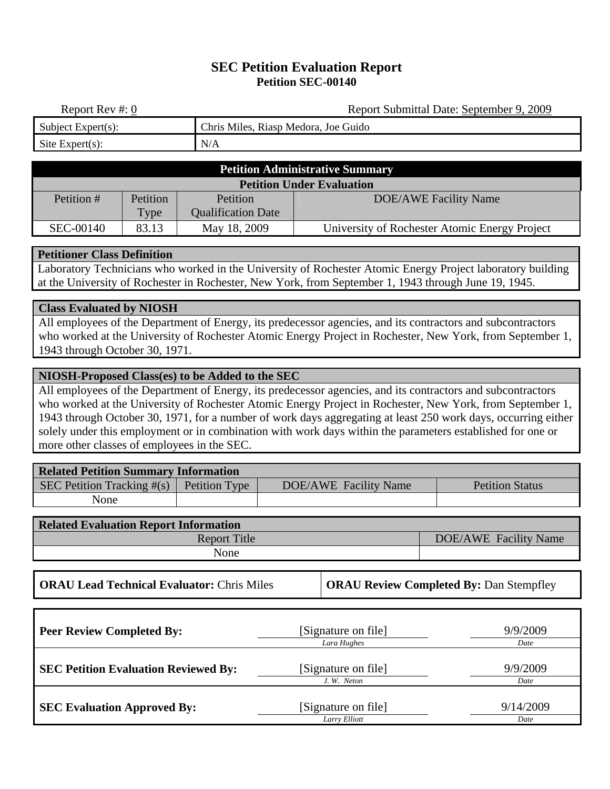#### **SEC Petition Evaluation Report Petition SEC-00140**

| Report Rev #: $0$     | Report Submittal Date: September 9, 2009 |
|-----------------------|------------------------------------------|
| Subject $Expert(s)$ : | Chris Miles, Riasp Medora, Joe Guido     |
| Site Expert(s):       | N/A                                      |

| <b>Petition Administrative Summary</b> |                                  |                           |                                               |  |
|----------------------------------------|----------------------------------|---------------------------|-----------------------------------------------|--|
|                                        | <b>Petition Under Evaluation</b> |                           |                                               |  |
| Petition #                             | Petition                         | Petition                  | <b>DOE/AWE Facility Name</b>                  |  |
|                                        | Type                             | <b>Qualification Date</b> |                                               |  |
| SEC-00140                              | 83.13                            | May 18, 2009              | University of Rochester Atomic Energy Project |  |

#### **Petitioner Class Definition**

Laboratory Technicians who worked in the University of Rochester Atomic Energy Project laboratory building at the University of Rochester in Rochester, New York, from September 1, 1943 through June 19, 1945.

#### **Class Evaluated by NIOSH**

All employees of the Department of Energy, its predecessor agencies, and its contractors and subcontractors who worked at the University of Rochester Atomic Energy Project in Rochester, New York, from September 1, 1943 through October 30, 1971.

#### **NIOSH-Proposed Class(es) to be Added to the SEC**

All employees of the Department of Energy, its predecessor agencies, and its contractors and subcontractors who worked at the University of Rochester Atomic Energy Project in Rochester, New York, from September 1, 1943 through October 30, 1971, for a number of work days aggregating at least 250 work days, occurring either solely under this employment or in combination with work days within the parameters established for one or more other classes of employees in the SEC.

| <b>Related Petition Summary Information</b>              |  |                       |                        |  |  |
|----------------------------------------------------------|--|-----------------------|------------------------|--|--|
| $\vert$ SEC Petition Tracking #(s) $\vert$ Petition Type |  | DOE/AWE Facility Name | <b>Petition Status</b> |  |  |
| None                                                     |  |                       |                        |  |  |

#### **Related Evaluation Report Information**  Report Title **DOE/AWE Facility Name** None

**ORAU Lead Technical Evaluator:** Chris Miles **ORAU Review Completed By:** Dan Stempfley

| <b>Peer Review Completed By:</b>            | [Signature on file]<br>Lara Hughes   | 9/9/2009<br>Date  |
|---------------------------------------------|--------------------------------------|-------------------|
| <b>SEC Petition Evaluation Reviewed By:</b> | [Signature on file]<br>J. W. Neton   | 9/9/2009<br>Date  |
| <b>SEC Evaluation Approved By:</b>          | [Signature on file]<br>Larry Elliott | 9/14/2009<br>Date |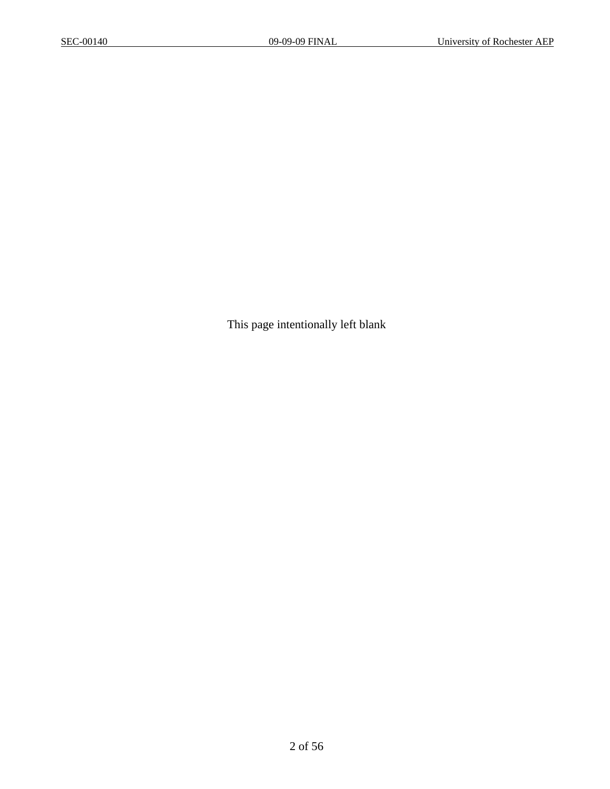This page intentionally left blank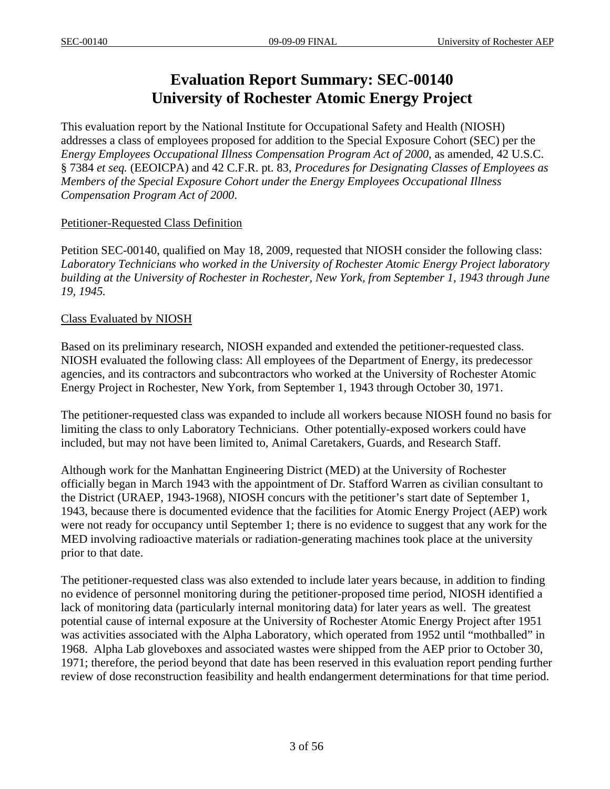## **Evaluation Report Summary: SEC-00140 University of Rochester Atomic Energy Project**

<span id="page-2-0"></span>This evaluation report by the National Institute for Occupational Safety and Health (NIOSH) addresses a class of employees proposed for addition to the Special Exposure Cohort (SEC) per the *Energy Employees Occupational Illness Compensation Program Act of 2000*, as amended, 42 U.S.C. § 7384 *et seq.* (EEOICPA) and 42 C.F.R. pt. 83, *Procedures for Designating Classes of Employees as Members of the Special Exposure Cohort under the Energy Employees Occupational Illness Compensation Program Act of 2000*.

#### Petitioner-Requested Class Definition

Petition SEC-00140, qualified on May 18, 2009, requested that NIOSH consider the following class: *Laboratory Technicians who worked in the University of Rochester Atomic Energy Project laboratory building at the University of Rochester in Rochester, New York, from September 1, 1943 through June 19, 1945.* 

#### Class Evaluated by NIOSH

Based on its preliminary research, NIOSH expanded and extended the petitioner-requested class. NIOSH evaluated the following class: All employees of the Department of Energy, its predecessor agencies, and its contractors and subcontractors who worked at the University of Rochester Atomic Energy Project in Rochester, New York, from September 1, 1943 through October 30, 1971.

The petitioner-requested class was expanded to include all workers because NIOSH found no basis for limiting the class to only Laboratory Technicians. Other potentially-exposed workers could have included, but may not have been limited to, Animal Caretakers, Guards, and Research Staff.

Although work for the Manhattan Engineering District (MED) at the University of Rochester officially began in March 1943 with the appointment of Dr. Stafford Warren as civilian consultant to the District (URAEP, 1943-1968), NIOSH concurs with the petitioner's start date of September 1, 1943, because there is documented evidence that the facilities for Atomic Energy Project (AEP) work were not ready for occupancy until September 1; there is no evidence to suggest that any work for the MED involving radioactive materials or radiation-generating machines took place at the university prior to that date.

The petitioner-requested class was also extended to include later years because, in addition to finding no evidence of personnel monitoring during the petitioner-proposed time period, NIOSH identified a lack of monitoring data (particularly internal monitoring data) for later years as well. The greatest potential cause of internal exposure at the University of Rochester Atomic Energy Project after 1951 was activities associated with the Alpha Laboratory, which operated from 1952 until "mothballed" in 1968. Alpha Lab gloveboxes and associated wastes were shipped from the AEP prior to October 30, 1971; therefore, the period beyond that date has been reserved in this evaluation report pending further review of dose reconstruction feasibility and health endangerment determinations for that time period.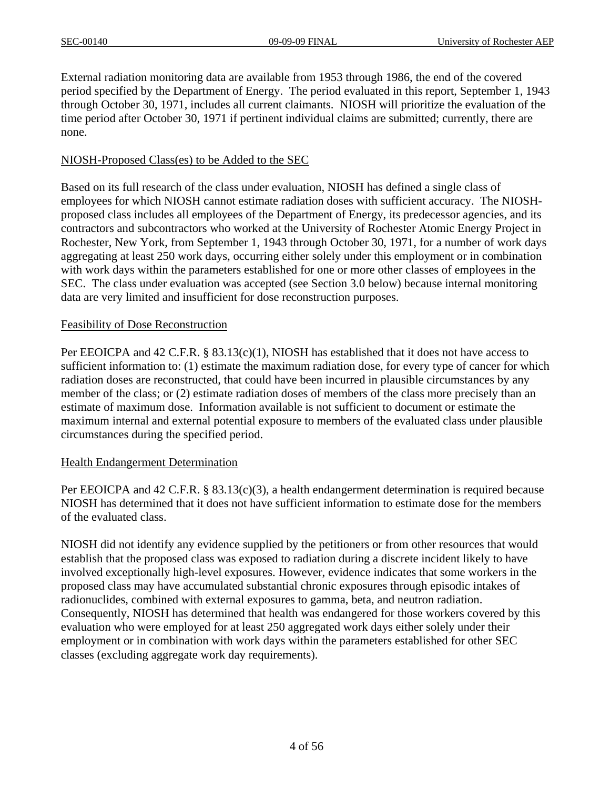External radiation monitoring data are available from 1953 through 1986, the end of the covered period specified by the Department of Energy. The period evaluated in this report, September 1, 1943 through October 30, 1971, includes all current claimants. NIOSH will prioritize the evaluation of the time period after October 30, 1971 if pertinent individual claims are submitted; currently, there are none.

#### NIOSH-Proposed Class(es) to be Added to the SEC

Based on its full research of the class under evaluation, NIOSH has defined a single class of employees for which NIOSH cannot estimate radiation doses with sufficient accuracy. The NIOSHproposed class includes all employees of the Department of Energy, its predecessor agencies, and its contractors and subcontractors who worked at the University of Rochester Atomic Energy Project in Rochester, New York, from September 1, 1943 through October 30, 1971, for a number of work days aggregating at least 250 work days, occurring either solely under this employment or in combination with work days within the parameters established for one or more other classes of employees in the SEC. The class under evaluation was accepted (see Section 3.0 below) because internal monitoring data are very limited and insufficient for dose reconstruction purposes.

#### Feasibility of Dose Reconstruction

Per EEOICPA and 42 C.F.R. § 83.13(c)(1), NIOSH has established that it does not have access to sufficient information to: (1) estimate the maximum radiation dose, for every type of cancer for which radiation doses are reconstructed, that could have been incurred in plausible circumstances by any member of the class; or (2) estimate radiation doses of members of the class more precisely than an estimate of maximum dose. Information available is not sufficient to document or estimate the maximum internal and external potential exposure to members of the evaluated class under plausible circumstances during the specified period.

#### Health Endangerment Determination

Per EEOICPA and 42 C.F.R. § 83.13(c)(3), a health endangerment determination is required because NIOSH has determined that it does not have sufficient information to estimate dose for the members of the evaluated class.

NIOSH did not identify any evidence supplied by the petitioners or from other resources that would establish that the proposed class was exposed to radiation during a discrete incident likely to have involved exceptionally high-level exposures. However, evidence indicates that some workers in the proposed class may have accumulated substantial chronic exposures through episodic intakes of radionuclides, combined with external exposures to gamma, beta, and neutron radiation. Consequently, NIOSH has determined that health was endangered for those workers covered by this evaluation who were employed for at least 250 aggregated work days either solely under their employment or in combination with work days within the parameters established for other SEC classes (excluding aggregate work day requirements).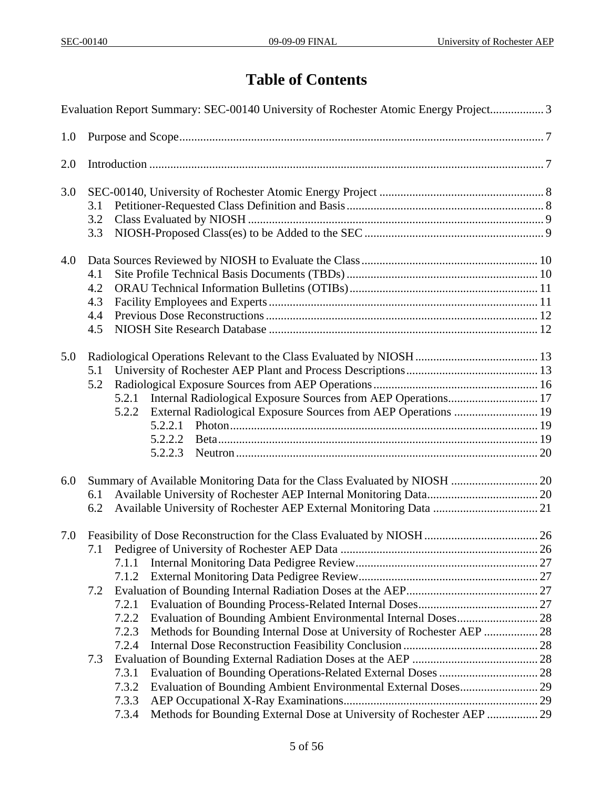# **Table of Contents**

|     |     | Evaluation Report Summary: SEC-00140 University of Rochester Atomic Energy Project 3 |  |
|-----|-----|--------------------------------------------------------------------------------------|--|
| 1.0 |     |                                                                                      |  |
| 2.0 |     |                                                                                      |  |
|     |     |                                                                                      |  |
| 3.0 |     |                                                                                      |  |
|     | 3.1 |                                                                                      |  |
|     | 3.2 |                                                                                      |  |
|     | 3.3 |                                                                                      |  |
| 4.0 |     |                                                                                      |  |
|     | 4.1 |                                                                                      |  |
|     | 4.2 |                                                                                      |  |
|     | 4.3 |                                                                                      |  |
|     | 4.4 |                                                                                      |  |
|     | 4.5 |                                                                                      |  |
| 5.0 |     |                                                                                      |  |
|     | 5.1 |                                                                                      |  |
|     | 5.2 |                                                                                      |  |
|     |     | Internal Radiological Exposure Sources from AEP Operations 17<br>5.2.1               |  |
|     |     | External Radiological Exposure Sources from AEP Operations  19<br>5.2.2              |  |
|     |     | 5.2.2.1                                                                              |  |
|     |     | 5.2.2.2                                                                              |  |
|     |     | 5.2.2.3                                                                              |  |
| 6.0 |     | Summary of Available Monitoring Data for the Class Evaluated by NIOSH  20            |  |
|     | 6.1 |                                                                                      |  |
|     | 6.2 |                                                                                      |  |
| 7.0 |     |                                                                                      |  |
|     |     |                                                                                      |  |
|     |     | 7.1.1                                                                                |  |
|     |     | 7.1.2                                                                                |  |
|     | 7.2 |                                                                                      |  |
|     |     | 7.2.1                                                                                |  |
|     |     | 7.2.2                                                                                |  |
|     |     | Methods for Bounding Internal Dose at University of Rochester AEP  28<br>7.2.3       |  |
|     |     | 7.2.4                                                                                |  |
|     | 7.3 |                                                                                      |  |
|     |     | 7.3.1                                                                                |  |
|     |     | 7.3.2                                                                                |  |
|     |     | 7.3.3                                                                                |  |
|     |     | Methods for Bounding External Dose at University of Rochester AEP  29<br>7.3.4       |  |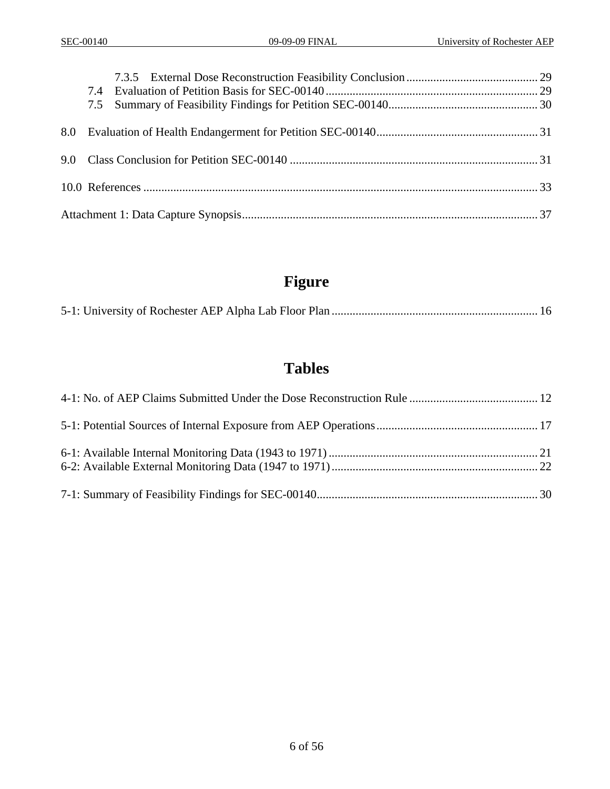## **Figure**

|--|--|--|

## **Tables**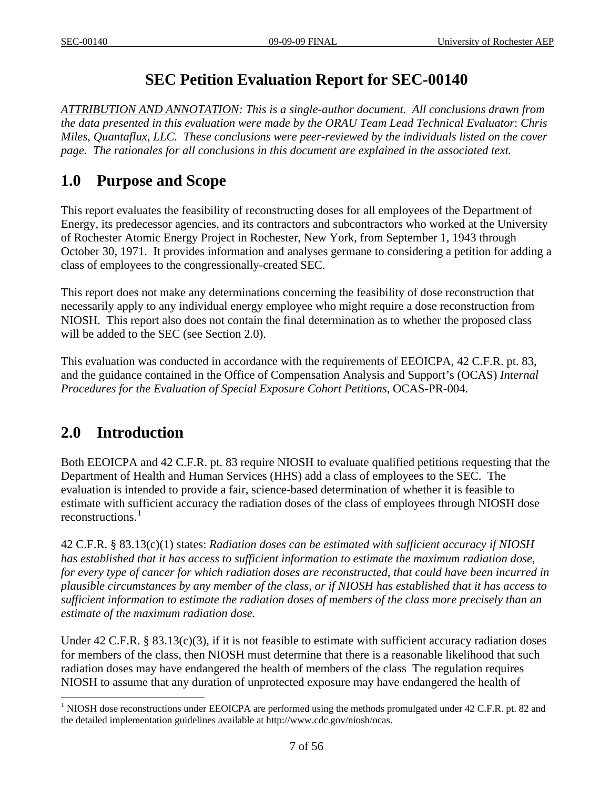## **SEC Petition Evaluation Report for SEC-00140**

*ATTRIBUTION AND ANNOTATION: This is a single-author document. All conclusions drawn from the data presented in this evaluation were made by the ORAU Team Lead Technical Evaluator*: *Chris Miles, Quantaflux, LLC. These conclusions were peer-reviewed by the individuals listed on the cover page. The rationales for all conclusions in this document are explained in the associated text.*

## <span id="page-6-0"></span>**1.0 Purpose and Scope**

This report evaluates the feasibility of reconstructing doses for all employees of the Department of Energy, its predecessor agencies, and its contractors and subcontractors who worked at the University of Rochester Atomic Energy Project in Rochester, New York, from September 1, 1943 through October 30, 1971. It provides information and analyses germane to considering a petition for adding a class of employees to the congressionally-created SEC.

This report does not make any determinations concerning the feasibility of dose reconstruction that necessarily apply to any individual energy employee who might require a dose reconstruction from NIOSH. This report also does not contain the final determination as to whether the proposed class will be added to the SEC (see Section 2.0).

This evaluation was conducted in accordance with the requirements of EEOICPA, 42 C.F.R. pt. 83, and the guidance contained in the Office of Compensation Analysis and Support's (OCAS) *Internal Procedures for the Evaluation of Special Exposure Cohort Petitions*, OCAS-PR-004.

## <span id="page-6-1"></span>**2.0 Introduction**

 $\overline{a}$ 

Both EEOICPA and 42 C.F.R. pt. 83 require NIOSH to evaluate qualified petitions requesting that the Department of Health and Human Services (HHS) add a class of employees to the SEC. The evaluation is intended to provide a fair, science-based determination of whether it is feasible to estimate with sufficient accuracy the radiation doses of the class of employees through NIOSH dose reconstructions.<sup>[1](#page-6-2)</sup>

42 C.F.R. § 83.13(c)(1) states: *Radiation doses can be estimated with sufficient accuracy if NIOSH has established that it has access to sufficient information to estimate the maximum radiation dose, for every type of cancer for which radiation doses are reconstructed, that could have been incurred in plausible circumstances by any member of the class, or if NIOSH has established that it has access to sufficient information to estimate the radiation doses of members of the class more precisely than an estimate of the maximum radiation dose.*

Under 42 C.F.R. § 83.13(c)(3), if it is not feasible to estimate with sufficient accuracy radiation doses for members of the class, then NIOSH must determine that there is a reasonable likelihood that such radiation doses may have endangered the health of members of the class The regulation requires NIOSH to assume that any duration of unprotected exposure may have endangered the health of

<span id="page-6-2"></span><sup>&</sup>lt;sup>1</sup> NIOSH dose reconstructions under EEOICPA are performed using the methods promulgated under 42 C.F.R. pt. 82 and the detailed implementation guidelines available at http://www.cdc.gov/niosh/ocas.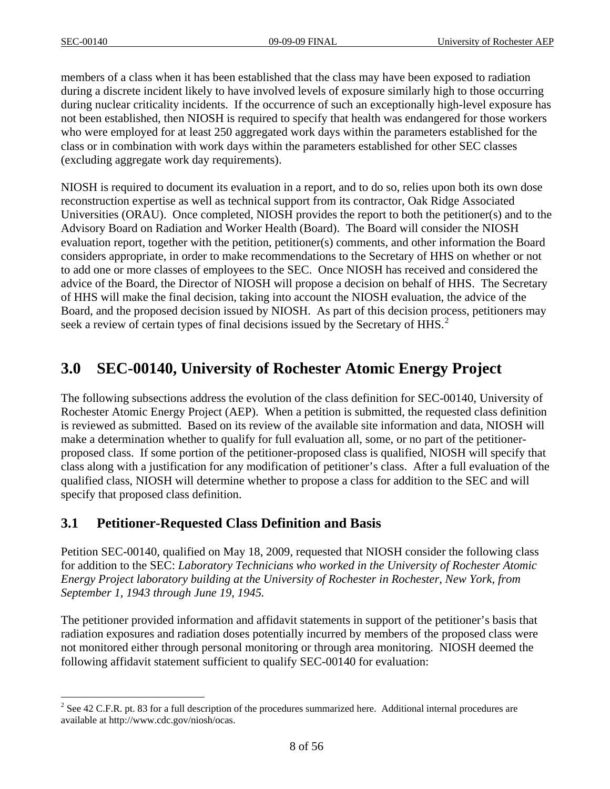$\overline{a}$ 

members of a class when it has been established that the class may have been exposed to radiation during a discrete incident likely to have involved levels of exposure similarly high to those occurring during nuclear criticality incidents. If the occurrence of such an exceptionally high-level exposure has not been established, then NIOSH is required to specify that health was endangered for those workers who were employed for at least 250 aggregated work days within the parameters established for the class or in combination with work days within the parameters established for other SEC classes (excluding aggregate work day requirements).

NIOSH is required to document its evaluation in a report, and to do so, relies upon both its own dose reconstruction expertise as well as technical support from its contractor, Oak Ridge Associated Universities (ORAU). Once completed, NIOSH provides the report to both the petitioner(s) and to the Advisory Board on Radiation and Worker Health (Board). The Board will consider the NIOSH evaluation report, together with the petition, petitioner(s) comments, and other information the Board considers appropriate, in order to make recommendations to the Secretary of HHS on whether or not to add one or more classes of employees to the SEC. Once NIOSH has received and considered the advice of the Board, the Director of NIOSH will propose a decision on behalf of HHS. The Secretary of HHS will make the final decision, taking into account the NIOSH evaluation, the advice of the Board, and the proposed decision issued by NIOSH. As part of this decision process, petitioners may seek a review of certain types of final decisions issued by the Secretary of HHS.<sup>[2](#page-7-2)</sup>

## <span id="page-7-0"></span>**3.0 SEC-00140, University of Rochester Atomic Energy Project**

The following subsections address the evolution of the class definition for SEC-00140, University of Rochester Atomic Energy Project (AEP). When a petition is submitted, the requested class definition is reviewed as submitted. Based on its review of the available site information and data, NIOSH will make a determination whether to qualify for full evaluation all, some, or no part of the petitionerproposed class. If some portion of the petitioner-proposed class is qualified, NIOSH will specify that class along with a justification for any modification of petitioner's class. After a full evaluation of the qualified class, NIOSH will determine whether to propose a class for addition to the SEC and will specify that proposed class definition.

## <span id="page-7-1"></span>**3.1 Petitioner-Requested Class Definition and Basis**

Petition SEC-00140, qualified on May 18, 2009, requested that NIOSH consider the following class for addition to the SEC: *Laboratory Technicians who worked in the University of Rochester Atomic Energy Project laboratory building at the University of Rochester in Rochester, New York, from September 1, 1943 through June 19, 1945.*

The petitioner provided information and affidavit statements in support of the petitioner's basis that radiation exposures and radiation doses potentially incurred by members of the proposed class were not monitored either through personal monitoring or through area monitoring. NIOSH deemed the following affidavit statement sufficient to qualify SEC-00140 for evaluation:

<span id="page-7-2"></span><sup>&</sup>lt;sup>2</sup> See 42 C.F.R. pt. 83 for a full description of the procedures summarized here. Additional internal procedures are available at http://www.cdc.gov/niosh/ocas.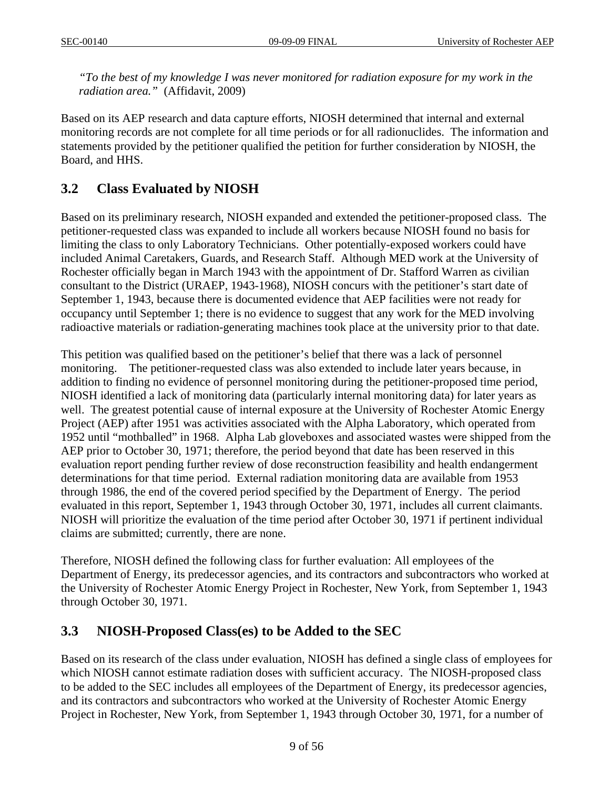*"To the best of my knowledge I was never monitored for radiation exposure for my work in the radiation area."* (Affidavit, 2009)

Based on its AEP research and data capture efforts, NIOSH determined that internal and external monitoring records are not complete for all time periods or for all radionuclides. The information and statements provided by the petitioner qualified the petition for further consideration by NIOSH, the Board, and HHS.

## <span id="page-8-0"></span>**3.2 Class Evaluated by NIOSH**

Based on its preliminary research, NIOSH expanded and extended the petitioner-proposed class. The petitioner-requested class was expanded to include all workers because NIOSH found no basis for limiting the class to only Laboratory Technicians. Other potentially-exposed workers could have included Animal Caretakers, Guards, and Research Staff. Although MED work at the University of Rochester officially began in March 1943 with the appointment of Dr. Stafford Warren as civilian consultant to the District (URAEP, 1943-1968), NIOSH concurs with the petitioner's start date of September 1, 1943, because there is documented evidence that AEP facilities were not ready for occupancy until September 1; there is no evidence to suggest that any work for the MED involving radioactive materials or radiation-generating machines took place at the university prior to that date.

This petition was qualified based on the petitioner's belief that there was a lack of personnel monitoring. The petitioner-requested class was also extended to include later years because, in addition to finding no evidence of personnel monitoring during the petitioner-proposed time period, NIOSH identified a lack of monitoring data (particularly internal monitoring data) for later years as well. The greatest potential cause of internal exposure at the University of Rochester Atomic Energy Project (AEP) after 1951 was activities associated with the Alpha Laboratory, which operated from 1952 until "mothballed" in 1968. Alpha Lab gloveboxes and associated wastes were shipped from the AEP prior to October 30, 1971; therefore, the period beyond that date has been reserved in this evaluation report pending further review of dose reconstruction feasibility and health endangerment determinations for that time period. External radiation monitoring data are available from 1953 through 1986, the end of the covered period specified by the Department of Energy. The period evaluated in this report, September 1, 1943 through October 30, 1971, includes all current claimants. NIOSH will prioritize the evaluation of the time period after October 30, 1971 if pertinent individual claims are submitted; currently, there are none.

Therefore, NIOSH defined the following class for further evaluation: All employees of the Department of Energy, its predecessor agencies, and its contractors and subcontractors who worked at the University of Rochester Atomic Energy Project in Rochester, New York, from September 1, 1943 through October 30, 1971.

### <span id="page-8-1"></span>**3.3 NIOSH-Proposed Class(es) to be Added to the SEC**

Based on its research of the class under evaluation, NIOSH has defined a single class of employees for which NIOSH cannot estimate radiation doses with sufficient accuracy. The NIOSH-proposed class to be added to the SEC includes all employees of the Department of Energy, its predecessor agencies, and its contractors and subcontractors who worked at the University of Rochester Atomic Energy Project in Rochester, New York, from September 1, 1943 through October 30, 1971, for a number of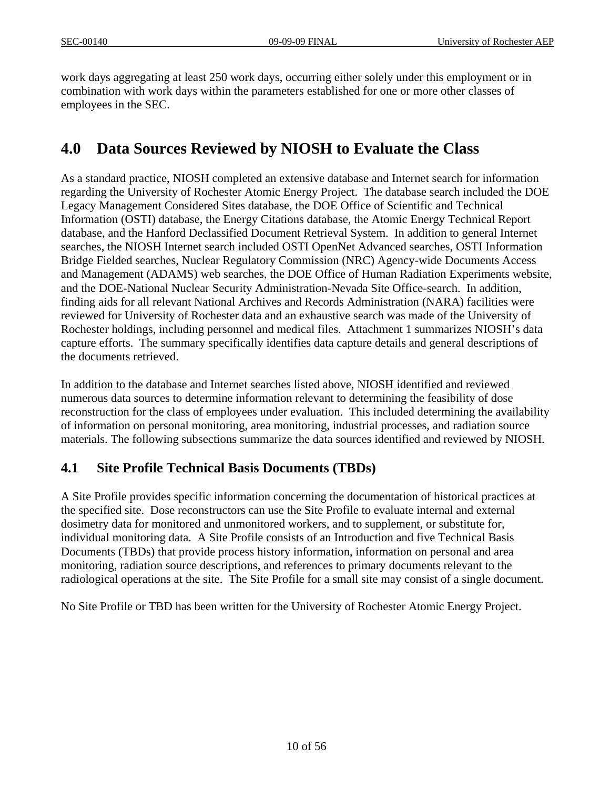work days aggregating at least 250 work days, occurring either solely under this employment or in combination with work days within the parameters established for one or more other classes of employees in the SEC.

## <span id="page-9-0"></span>**4.0 Data Sources Reviewed by NIOSH to Evaluate the Class**

As a standard practice, NIOSH completed an extensive database and Internet search for information regarding the University of Rochester Atomic Energy Project. The database search included the DOE Legacy Management Considered Sites database, the DOE Office of Scientific and Technical Information (OSTI) database, the Energy Citations database, the Atomic Energy Technical Report database, and the Hanford Declassified Document Retrieval System. In addition to general Internet searches, the NIOSH Internet search included OSTI OpenNet Advanced searches, OSTI Information Bridge Fielded searches, Nuclear Regulatory Commission (NRC) Agency-wide Documents Access and Management (ADAMS) web searches, the DOE Office of Human Radiation Experiments website, and the DOE-National Nuclear Security Administration-Nevada Site Office-search. In addition, finding aids for all relevant National Archives and Records Administration (NARA) facilities were reviewed for University of Rochester data and an exhaustive search was made of the University of Rochester holdings, including personnel and medical files. Attachment 1 summarizes NIOSH's data capture efforts. The summary specifically identifies data capture details and general descriptions of the documents retrieved.

In addition to the database and Internet searches listed above, NIOSH identified and reviewed numerous data sources to determine information relevant to determining the feasibility of dose reconstruction for the class of employees under evaluation. This included determining the availability of information on personal monitoring, area monitoring, industrial processes, and radiation source materials. The following subsections summarize the data sources identified and reviewed by NIOSH.

### <span id="page-9-1"></span>**4.1 Site Profile Technical Basis Documents (TBDs)**

A Site Profile provides specific information concerning the documentation of historical practices at the specified site. Dose reconstructors can use the Site Profile to evaluate internal and external dosimetry data for monitored and unmonitored workers, and to supplement, or substitute for, individual monitoring data. A Site Profile consists of an Introduction and five Technical Basis Documents (TBDs) that provide process history information, information on personal and area monitoring, radiation source descriptions, and references to primary documents relevant to the radiological operations at the site. The Site Profile for a small site may consist of a single document.

No Site Profile or TBD has been written for the University of Rochester Atomic Energy Project.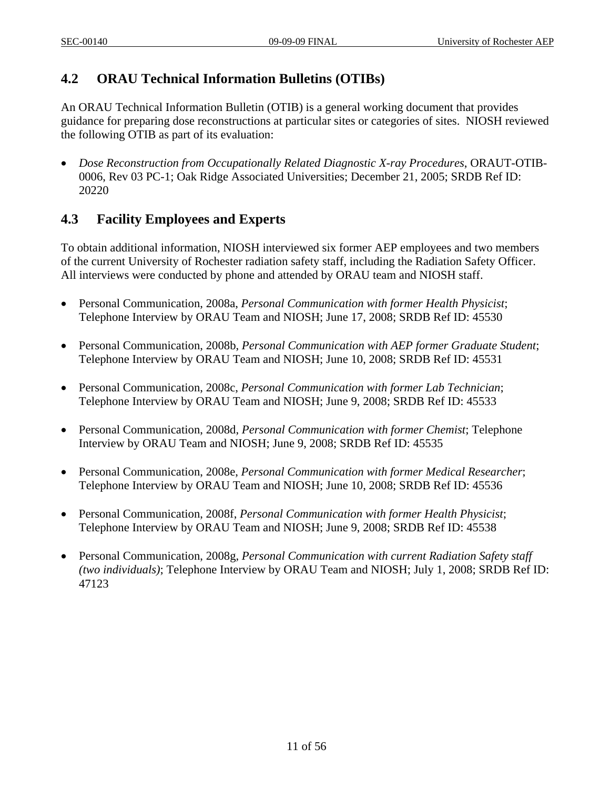## **4.2 ORAU Technical Information Bulletins (OTIBs)**

An ORAU Technical Information Bulletin (OTIB) is a general working document that provides guidance for preparing dose reconstructions at particular sites or categories of sites. NIOSH reviewed the following OTIB as part of its evaluation:

 *Dose Reconstruction from Occupationally Related Diagnostic X-ray Procedures*, ORAUT-OTIB-0006, Rev 03 PC-1; Oak Ridge Associated Universities; December 21, 2005; SRDB Ref ID: 20220

## <span id="page-10-1"></span>**4.3 Facility Employees and Experts**

To obtain additional information, NIOSH interviewed six former AEP employees and two members of the current University of Rochester radiation safety staff, including the Radiation Safety Officer. All interviews were conducted by phone and attended by ORAU team and NIOSH staff.

- Personal Communication, 2008a, *Personal Communication with former Health Physicist*; Telephone Interview by ORAU Team and NIOSH; June 17, 2008; SRDB Ref ID: 45530
- Personal Communication, 2008b, *Personal Communication with AEP former Graduate Student*; Telephone Interview by ORAU Team and NIOSH; June 10, 2008; SRDB Ref ID: 45531
- Personal Communication, 2008c, *Personal Communication with former Lab Technician*; Telephone Interview by ORAU Team and NIOSH; June 9, 2008; SRDB Ref ID: 45533
- Personal Communication, 2008d, *Personal Communication with former Chemist*; Telephone Interview by ORAU Team and NIOSH; June 9, 2008; SRDB Ref ID: 45535
- Personal Communication, 2008e, *Personal Communication with former Medical Researcher*; Telephone Interview by ORAU Team and NIOSH; June 10, 2008; SRDB Ref ID: 45536
- Personal Communication, 2008f, *Personal Communication with former Health Physicist*; Telephone Interview by ORAU Team and NIOSH; June 9, 2008; SRDB Ref ID: 45538
- <span id="page-10-0"></span> Personal Communication, 2008g, *Personal Communication with current Radiation Safety staff (two individuals)*; Telephone Interview by ORAU Team and NIOSH; July 1, 2008; SRDB Ref ID: 47123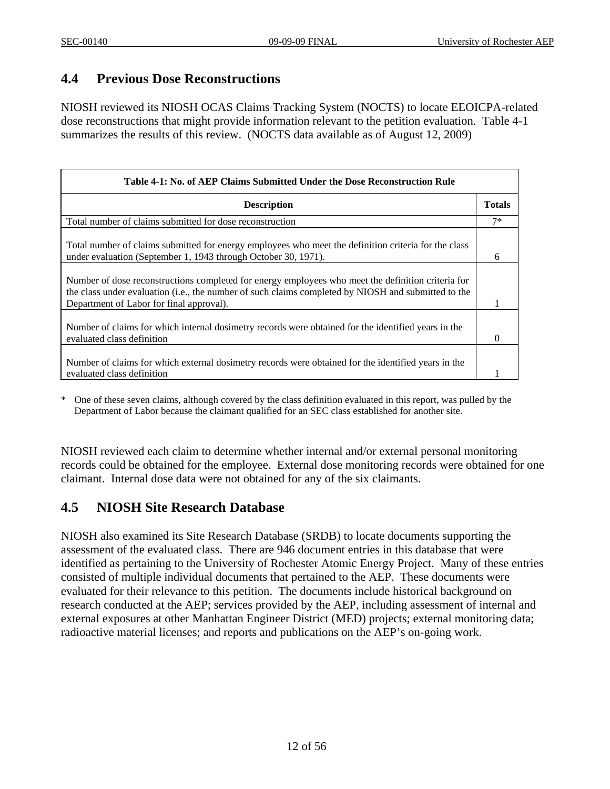### <span id="page-11-0"></span>**4.4 Previous Dose Reconstructions**

NIOSH reviewed its NIOSH OCAS Claims Tracking System (NOCTS) to locate EEOICPA-related dose reconstructions that might provide information relevant to the petition evaluation. Table 4-1 summarizes the results of this review. (NOCTS data available as of August 12, 2009)

<span id="page-11-2"></span>

| Table 4-1: No. of AEP Claims Submitted Under the Dose Reconstruction Rule                                                                                                                                                                             |               |
|-------------------------------------------------------------------------------------------------------------------------------------------------------------------------------------------------------------------------------------------------------|---------------|
| <b>Description</b>                                                                                                                                                                                                                                    | <b>Totals</b> |
| Total number of claims submitted for dose reconstruction                                                                                                                                                                                              | $7*$          |
| Total number of claims submitted for energy employees who meet the definition criteria for the class<br>under evaluation (September 1, 1943 through October 30, 1971).                                                                                | 6             |
| Number of dose reconstructions completed for energy employees who meet the definition criteria for<br>the class under evaluation (i.e., the number of such claims completed by NIOSH and submitted to the<br>Department of Labor for final approval). |               |
| Number of claims for which internal dosimetry records were obtained for the identified years in the<br>evaluated class definition                                                                                                                     |               |
| Number of claims for which external dosimetry records were obtained for the identified years in the<br>evaluated class definition                                                                                                                     |               |

\* One of these seven claims, although covered by the class definition evaluated in this report, was pulled by the Department of Labor because the claimant qualified for an SEC class established for another site.

NIOSH reviewed each claim to determine whether internal and/or external personal monitoring records could be obtained for the employee. External dose monitoring records were obtained for one claimant. Internal dose data were not obtained for any of the six claimants.

## <span id="page-11-1"></span>**4.5 NIOSH Site Research Database**

NIOSH also examined its Site Research Database (SRDB) to locate documents supporting the assessment of the evaluated class. There are 946 document entries in this database that were identified as pertaining to the University of Rochester Atomic Energy Project. Many of these entries consisted of multiple individual documents that pertained to the AEP. These documents were evaluated for their relevance to this petition. The documents include historical background on research conducted at the AEP; services provided by the AEP, including assessment of internal and external exposures at other Manhattan Engineer District (MED) projects; external monitoring data; radioactive material licenses; and reports and publications on the AEP's on-going work.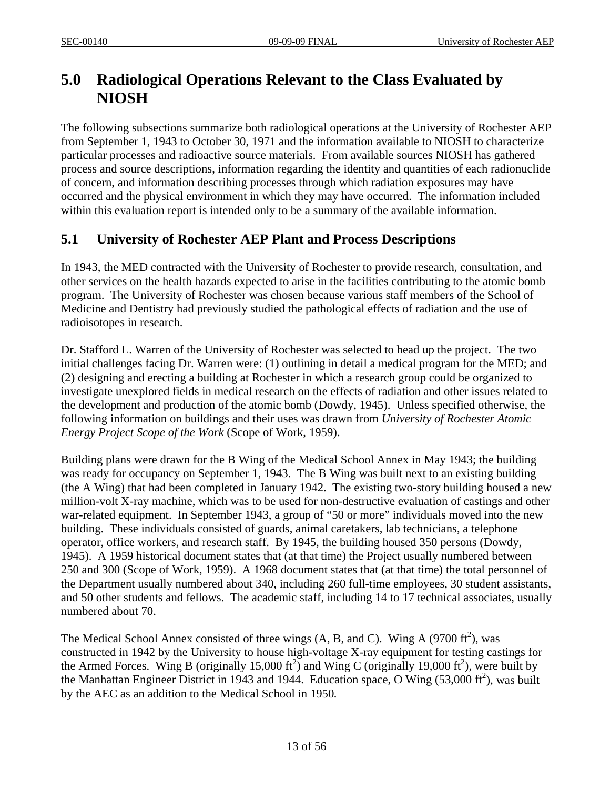## <span id="page-12-0"></span>**5.0 Radiological Operations Relevant to the Class Evaluated by NIOSH**

The following subsections summarize both radiological operations at the University of Rochester AEP from September 1, 1943 to October 30, 1971 and the information available to NIOSH to characterize particular processes and radioactive source materials. From available sources NIOSH has gathered process and source descriptions, information regarding the identity and quantities of each radionuclide of concern, and information describing processes through which radiation exposures may have occurred and the physical environment in which they may have occurred. The information included within this evaluation report is intended only to be a summary of the available information.

### <span id="page-12-1"></span>**5.1 University of Rochester AEP Plant and Process Descriptions**

In 1943, the MED contracted with the University of Rochester to provide research, consultation, and other services on the health hazards expected to arise in the facilities contributing to the atomic bomb program. The University of Rochester was chosen because various staff members of the School of Medicine and Dentistry had previously studied the pathological effects of radiation and the use of radioisotopes in research.

Dr. Stafford L. Warren of the University of Rochester was selected to head up the project. The two initial challenges facing Dr. Warren were: (1) outlining in detail a medical program for the MED; and (2) designing and erecting a building at Rochester in which a research group could be organized to investigate unexplored fields in medical research on the effects of radiation and other issues related to the development and production of the atomic bomb (Dowdy, 1945). Unless specified otherwise, the following information on buildings and their uses was drawn from *University of Rochester Atomic Energy Project Scope of the Work* (Scope of Work, 1959).

Building plans were drawn for the B Wing of the Medical School Annex in May 1943; the building was ready for occupancy on September 1, 1943. The B Wing was built next to an existing building (the A Wing) that had been completed in January 1942. The existing two-story building housed a new million-volt X-ray machine, which was to be used for non-destructive evaluation of castings and other war-related equipment. In September 1943, a group of "50 or more" individuals moved into the new building. These individuals consisted of guards, animal caretakers, lab technicians, a telephone operator, office workers, and research staff. By 1945, the building housed 350 persons (Dowdy, 1945). A 1959 historical document states that (at that time) the Project usually numbered between 250 and 300 (Scope of Work, 1959). A 1968 document states that (at that time) the total personnel of the Department usually numbered about 340, including 260 full-time employees, 30 student assistants, and 50 other students and fellows. The academic staff, including 14 to 17 technical associates, usually numbered about 70.

The Medical School Annex consisted of three wings  $(A, B, and C)$ . Wing A (9700 ft<sup>2</sup>), was constructed in 1942 by the University to house high-voltage X-ray equipment for testing castings for the Armed Forces. Wing B (originally 15,000 ft<sup>2</sup>) and Wing C (originally 19,000 ft<sup>2</sup>), were built by the Manhattan Engineer District in 1943 and 1944. Education space, O Wing  $(53,000 \text{ ft}^2)$ , was built by the AEC as an addition to the Medical School in 1950*.*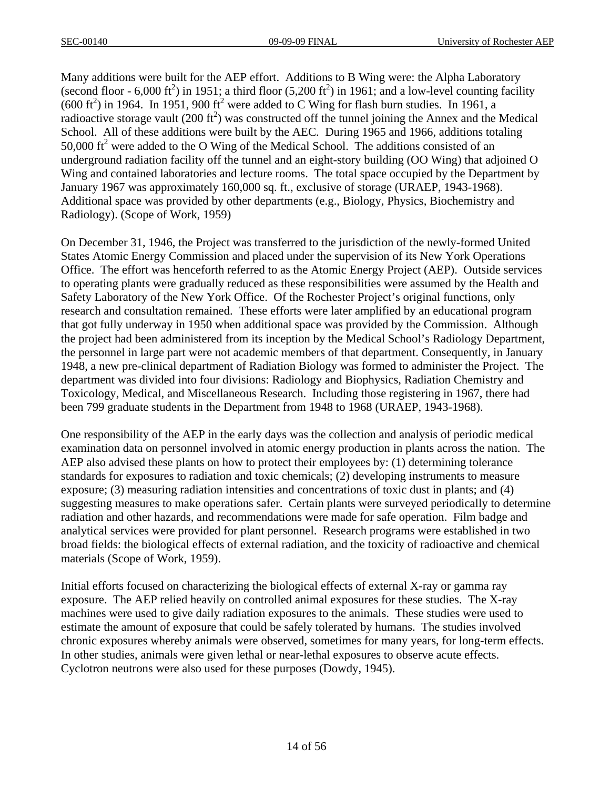Many additions were built for the AEP effort. Additions to B Wing were: the Alpha Laboratory (second floor - 6,000 ft<sup>2</sup>) in 1951; a third floor  $(5,200 \text{ ft}^2)$  in 1961; and a low-level counting facility  $(600 \text{ ft}^2)$  in 1964. In 1951, 900 ft<sup>2</sup> were added to C Wing for flash burn studies. In 1961, a radioactive storage vault  $(200 \text{ ft}^2)$  was constructed off the tunnel joining the Annex and the Medical School. All of these additions were built by the AEC. During 1965 and 1966, additions totaling  $50,000$  ft<sup>2</sup> were added to the O Wing of the Medical School. The additions consisted of an underground radiation facility off the tunnel and an eight-story building (OO Wing) that adjoined O Wing and contained laboratories and lecture rooms. The total space occupied by the Department by January 1967 was approximately 160,000 sq. ft., exclusive of storage (URAEP, 1943-1968). Additional space was provided by other departments (e.g., Biology, Physics, Biochemistry and Radiology). (Scope of Work, 1959)

On December 31, 1946, the Project was transferred to the jurisdiction of the newly-formed United States Atomic Energy Commission and placed under the supervision of its New York Operations Office. The effort was henceforth referred to as the Atomic Energy Project (AEP). Outside services to operating plants were gradually reduced as these responsibilities were assumed by the Health and Safety Laboratory of the New York Office. Of the Rochester Project's original functions, only research and consultation remained. These efforts were later amplified by an educational program that got fully underway in 1950 when additional space was provided by the Commission. Although the project had been administered from its inception by the Medical School's Radiology Department, the personnel in large part were not academic members of that department. Consequently, in January 1948, a new pre-clinical department of Radiation Biology was formed to administer the Project. The department was divided into four divisions: Radiology and Biophysics, Radiation Chemistry and Toxicology, Medical, and Miscellaneous Research. Including those registering in 1967, there had been 799 graduate students in the Department from 1948 to 1968 (URAEP, 1943-1968).

One responsibility of the AEP in the early days was the collection and analysis of periodic medical examination data on personnel involved in atomic energy production in plants across the nation. The AEP also advised these plants on how to protect their employees by: (1) determining tolerance standards for exposures to radiation and toxic chemicals; (2) developing instruments to measure exposure; (3) measuring radiation intensities and concentrations of toxic dust in plants; and (4) suggesting measures to make operations safer. Certain plants were surveyed periodically to determine radiation and other hazards, and recommendations were made for safe operation. Film badge and analytical services were provided for plant personnel. Research programs were established in two broad fields: the biological effects of external radiation, and the toxicity of radioactive and chemical materials (Scope of Work, 1959).

Initial efforts focused on characterizing the biological effects of external X-ray or gamma ray exposure. The AEP relied heavily on controlled animal exposures for these studies. The X-ray machines were used to give daily radiation exposures to the animals. These studies were used to estimate the amount of exposure that could be safely tolerated by humans. The studies involved chronic exposures whereby animals were observed, sometimes for many years, for long-term effects. In other studies, animals were given lethal or near-lethal exposures to observe acute effects. Cyclotron neutrons were also used for these purposes (Dowdy, 1945).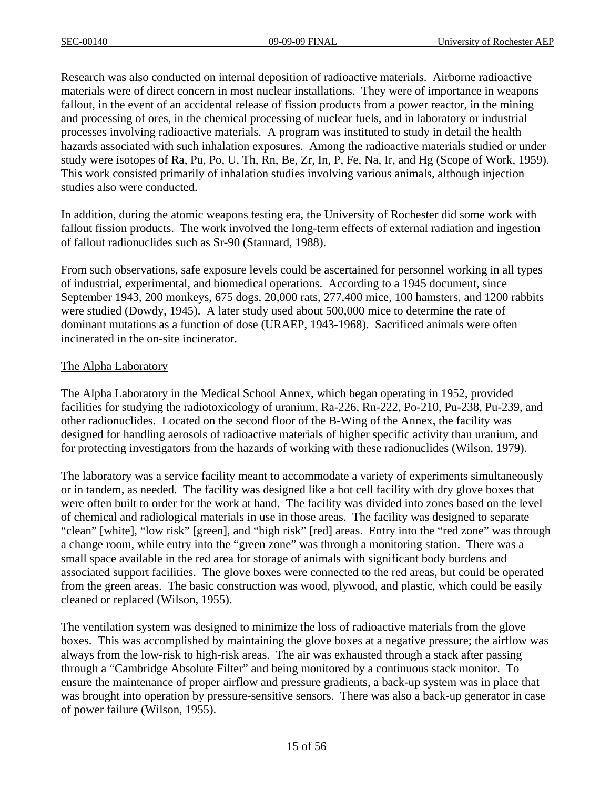Research was also conducted on internal deposition of radioactive materials. Airborne radioactive materials were of direct concern in most nuclear installations. They were of importance in weapons fallout, in the event of an accidental release of fission products from a power reactor, in the mining and processing of ores, in the chemical processing of nuclear fuels, and in laboratory or industrial processes involving radioactive materials. A program was instituted to study in detail the health hazards associated with such inhalation exposures. Among the radioactive materials studied or under study were isotopes of Ra, Pu, Po, U, Th, Rn, Be, Zr, In, P, Fe, Na, Ir, and Hg (Scope of Work, 1959). This work consisted primarily of inhalation studies involving various animals, although injection studies also were conducted.

In addition, during the atomic weapons testing era, the University of Rochester did some work with fallout fission products. The work involved the long-term effects of external radiation and ingestion of fallout radionuclides such as Sr-90 (Stannard, 1988).

From such observations, safe exposure levels could be ascertained for personnel working in all types of industrial, experimental, and biomedical operations. According to a 1945 document, since September 1943, 200 monkeys, 675 dogs, 20,000 rats, 277,400 mice, 100 hamsters, and 1200 rabbits were studied (Dowdy, 1945). A later study used about 500,000 mice to determine the rate of dominant mutations as a function of dose (URAEP, 1943-1968). Sacrificed animals were often incinerated in the on-site incinerator.

#### The Alpha Laboratory

The Alpha Laboratory in the Medical School Annex, which began operating in 1952, provided facilities for studying the radiotoxicology of uranium, Ra-226, Rn-222, Po-210, Pu-238, Pu-239, and other radionuclides. Located on the second floor of the B-Wing of the Annex, the facility was designed for handling aerosols of radioactive materials of higher specific activity than uranium, and for protecting investigators from the hazards of working with these radionuclides (Wilson, 1979).

The laboratory was a service facility meant to accommodate a variety of experiments simultaneously or in tandem, as needed. The facility was designed like a hot cell facility with dry glove boxes that were often built to order for the work at hand. The facility was divided into zones based on the level of chemical and radiological materials in use in those areas. The facility was designed to separate "clean" [white], "low risk" [green], and "high risk" [red] areas. Entry into the "red zone" was through a change room, while entry into the "green zone" was through a monitoring station. There was a small space available in the red area for storage of animals with significant body burdens and associated support facilities. The glove boxes were connected to the red areas, but could be operated from the green areas. The basic construction was wood, plywood, and plastic, which could be easily cleaned or replaced (Wilson, 1955).

The ventilation system was designed to minimize the loss of radioactive materials from the glove boxes. This was accomplished by maintaining the glove boxes at a negative pressure; the airflow was always from the low-risk to high-risk areas. The air was exhausted through a stack after passing through a "Cambridge Absolute Filter" and being monitored by a continuous stack monitor. To ensure the maintenance of proper airflow and pressure gradients, a back-up system was in place that was brought into operation by pressure-sensitive sensors. There was also a back-up generator in case of power failure (Wilson, 1955).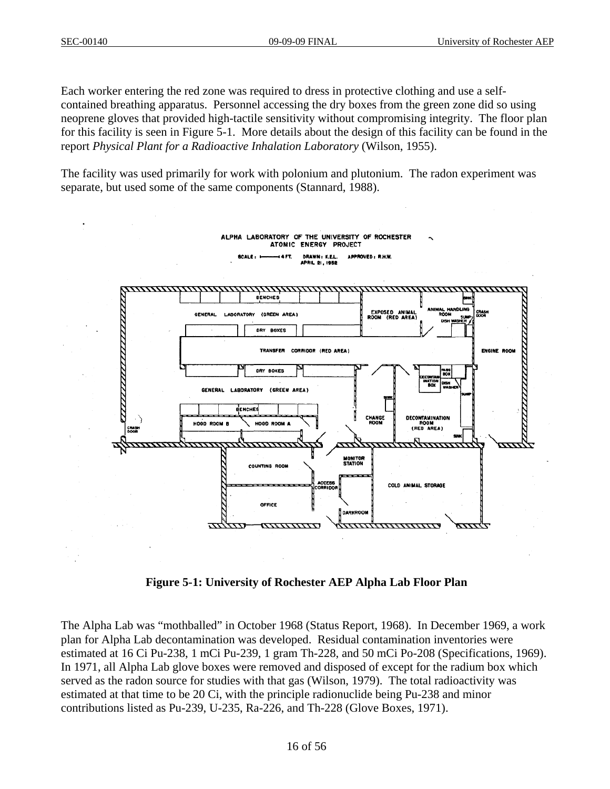Each worker entering the red zone was required to dress in protective clothing and use a selfcontained breathing apparatus. Personnel accessing the dry boxes from the green zone did so using neoprene gloves that provided high-tactile sensitivity without compromising integrity. The floor plan for this facility is seen in Figure 5-1. More details about the design of this facility can be found in the report *Physical Plant for a Radioactive Inhalation Laboratory* (Wilson, 1955).

The facility was used primarily for work with polonium and plutonium. The radon experiment was separate, but used some of the same components (Stannard, 1988).



**Figure 5-1: University of Rochester AEP Alpha Lab Floor Plan** 

<span id="page-15-0"></span>The Alpha Lab was "mothballed" in October 1968 (Status Report, 1968). In December 1969, a work plan for Alpha Lab decontamination was developed. Residual contamination inventories were estimated at 16 Ci Pu-238, 1 mCi Pu-239, 1 gram Th-228, and 50 mCi Po-208 (Specifications, 1969). In 1971, all Alpha Lab glove boxes were removed and disposed of except for the radium box which served as the radon source for studies with that gas (Wilson, 1979). The total radioactivity was estimated at that time to be 20 Ci, with the principle radionuclide being Pu-238 and minor contributions listed as Pu-239, U-235, Ra-226, and Th-228 (Glove Boxes, 1971).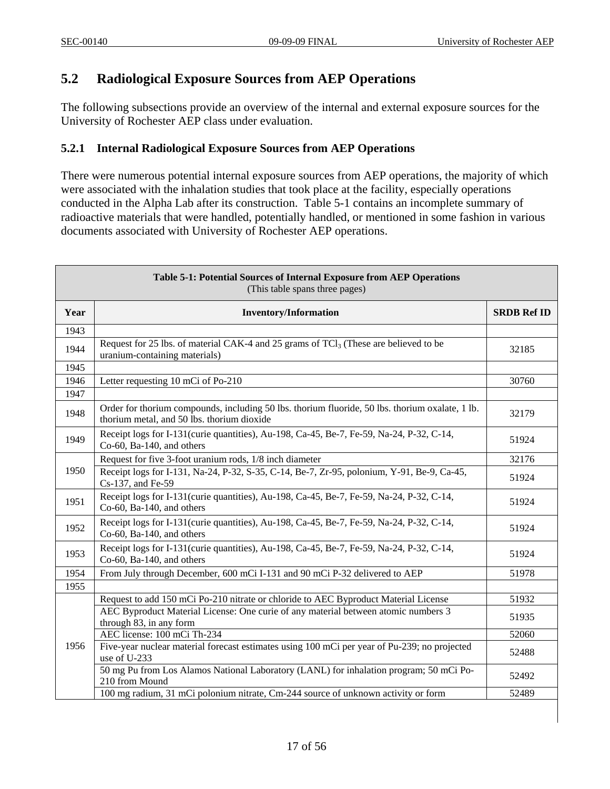### **5.2 Radiological Exposure Sources from AEP Operations**

The following subsections provide an overview of the internal and external exposure sources for the University of Rochester AEP class under evaluation.

#### <span id="page-16-1"></span>**5.2.1 Internal Radiological Exposure Sources from AEP Operations**

There were numerous potential internal exposure sources from AEP operations, the majority of which were associated with the inhalation studies that took place at the facility, especially operations conducted in the Alpha Lab after its construction. Table 5-1 contains an incomplete summary of radioactive materials that were handled, potentially handled, or mentioned in some fashion in various documents associated with University of Rochester AEP operations.

<span id="page-16-2"></span><span id="page-16-0"></span>

| Table 5-1: Potential Sources of Internal Exposure from AEP Operations<br>(This table spans three pages) |                                                                                                                                               |                    |  |
|---------------------------------------------------------------------------------------------------------|-----------------------------------------------------------------------------------------------------------------------------------------------|--------------------|--|
| Year                                                                                                    | <b>Inventory/Information</b>                                                                                                                  | <b>SRDB Ref ID</b> |  |
| 1943                                                                                                    |                                                                                                                                               |                    |  |
| 1944                                                                                                    | Request for 25 lbs. of material CAK-4 and 25 grams of TCl <sub>3</sub> (These are believed to be<br>uranium-containing materials)             | 32185              |  |
| 1945                                                                                                    |                                                                                                                                               |                    |  |
| 1946                                                                                                    | Letter requesting 10 mCi of Po-210                                                                                                            | 30760              |  |
| 1947                                                                                                    |                                                                                                                                               |                    |  |
| 1948                                                                                                    | Order for thorium compounds, including 50 lbs. thorium fluoride, 50 lbs. thorium oxalate, 1 lb.<br>thorium metal, and 50 lbs. thorium dioxide | 32179              |  |
| 1949                                                                                                    | Receipt logs for I-131(curie quantities), Au-198, Ca-45, Be-7, Fe-59, Na-24, P-32, C-14,<br>Co-60, Ba-140, and others                         | 51924              |  |
|                                                                                                         | Request for five 3-foot uranium rods, 1/8 inch diameter                                                                                       | 32176              |  |
| 1950                                                                                                    | Receipt logs for I-131, Na-24, P-32, S-35, C-14, Be-7, Zr-95, polonium, Y-91, Be-9, Ca-45,<br>Cs-137, and Fe-59                               | 51924              |  |
| 1951                                                                                                    | Receipt logs for I-131(curie quantities), Au-198, Ca-45, Be-7, Fe-59, Na-24, P-32, C-14,<br>Co-60, Ba-140, and others                         | 51924              |  |
| 1952                                                                                                    | Receipt logs for I-131(curie quantities), Au-198, Ca-45, Be-7, Fe-59, Na-24, P-32, C-14,<br>Co-60, Ba-140, and others                         | 51924              |  |
| 1953                                                                                                    | Receipt logs for I-131(curie quantities), Au-198, Ca-45, Be-7, Fe-59, Na-24, P-32, C-14,<br>Co-60, Ba-140, and others                         | 51924              |  |
| 1954                                                                                                    | From July through December, 600 mCi I-131 and 90 mCi P-32 delivered to AEP                                                                    | 51978              |  |
| 1955                                                                                                    |                                                                                                                                               |                    |  |
|                                                                                                         | Request to add 150 mCi Po-210 nitrate or chloride to AEC Byproduct Material License                                                           | 51932              |  |
| 1956                                                                                                    | AEC Byproduct Material License: One curie of any material between atomic numbers 3<br>through 83, in any form                                 | 51935              |  |
|                                                                                                         | AEC license: 100 mCi Th-234                                                                                                                   | 52060              |  |
|                                                                                                         | Five-year nuclear material forecast estimates using 100 mCi per year of Pu-239; no projected<br>use of U-233                                  | 52488              |  |
|                                                                                                         | 50 mg Pu from Los Alamos National Laboratory (LANL) for inhalation program; 50 mCi Po-<br>210 from Mound                                      | 52492              |  |
|                                                                                                         | 100 mg radium, 31 mCi polonium nitrate, Cm-244 source of unknown activity or form                                                             | 52489              |  |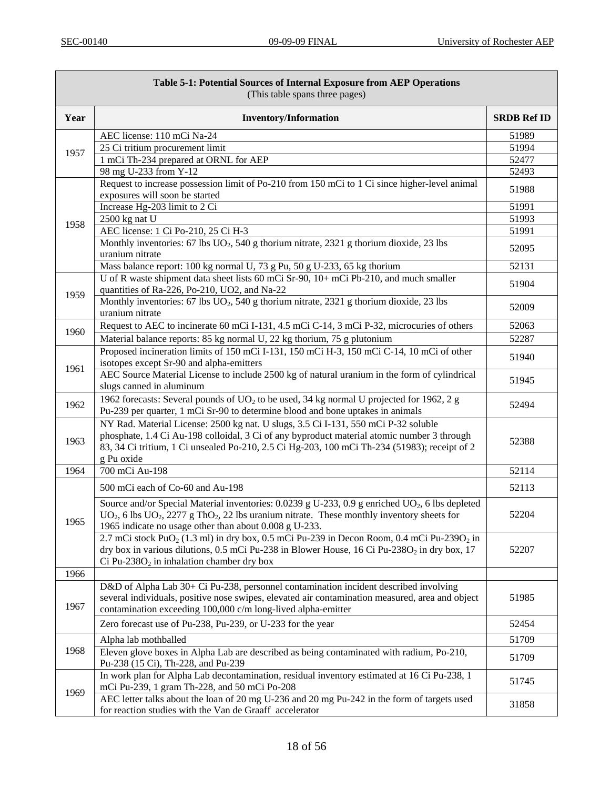|      | Table 5-1: Potential Sources of Internal Exposure from AEP Operations<br>(This table spans three pages)                                                                                                                                                                                        |                    |
|------|------------------------------------------------------------------------------------------------------------------------------------------------------------------------------------------------------------------------------------------------------------------------------------------------|--------------------|
| Year | <b>Inventory/Information</b>                                                                                                                                                                                                                                                                   | <b>SRDB Ref ID</b> |
| 1957 | AEC license: 110 mCi Na-24                                                                                                                                                                                                                                                                     | 51989              |
|      | 25 Ci tritium procurement limit                                                                                                                                                                                                                                                                | 51994              |
|      | 1 mCi Th-234 prepared at ORNL for AEP                                                                                                                                                                                                                                                          | 52477              |
|      | 98 mg U-233 from Y-12                                                                                                                                                                                                                                                                          | 52493              |
|      | Request to increase possession limit of Po-210 from 150 mCi to 1 Ci since higher-level animal<br>exposures will soon be started                                                                                                                                                                | 51988              |
|      | Increase Hg-203 limit to 2 Ci                                                                                                                                                                                                                                                                  | 51991              |
| 1958 | 2500 kg nat U                                                                                                                                                                                                                                                                                  | 51993              |
|      | AEC license: 1 Ci Po-210, 25 Ci H-3                                                                                                                                                                                                                                                            | 51991              |
|      | Monthly inventories: 67 lbs $UO_2$ , 540 g thorium nitrate, 2321 g thorium dioxide, 23 lbs<br>uranium nitrate                                                                                                                                                                                  | 52095              |
|      | Mass balance report: 100 kg normal U, 73 g Pu, 50 g U-233, 65 kg thorium                                                                                                                                                                                                                       | 52131              |
| 1959 | U of R waste shipment data sheet lists 60 mCi Sr-90, 10+ mCi Pb-210, and much smaller<br>quantities of Ra-226, Po-210, UO2, and Na-22                                                                                                                                                          | 51904              |
|      | Monthly inventories: 67 lbs $UO_2$ , 540 g thorium nitrate, 2321 g thorium dioxide, 23 lbs<br>uranium nitrate                                                                                                                                                                                  | 52009              |
|      | Request to AEC to incinerate 60 mCi I-131, 4.5 mCi C-14, 3 mCi P-32, microcuries of others                                                                                                                                                                                                     | 52063              |
| 1960 | Material balance reports: 85 kg normal U, 22 kg thorium, 75 g plutonium                                                                                                                                                                                                                        | 52287              |
|      | Proposed incineration limits of 150 mCi I-131, 150 mCi H-3, 150 mCi C-14, 10 mCi of other<br>isotopes except Sr-90 and alpha-emitters                                                                                                                                                          | 51940              |
| 1961 | AEC Source Material License to include 2500 kg of natural uranium in the form of cylindrical<br>slugs canned in aluminum                                                                                                                                                                       | 51945              |
| 1962 | 1962 forecasts: Several pounds of UO <sub>2</sub> to be used, 34 kg normal U projected for 1962, 2 g<br>Pu-239 per quarter, 1 mCi Sr-90 to determine blood and bone uptakes in animals                                                                                                         | 52494              |
| 1963 | NY Rad. Material License: 2500 kg nat. U slugs, 3.5 Ci I-131, 550 mCi P-32 soluble<br>phosphate, 1.4 Ci Au-198 colloidal, 3 Ci of any byproduct material atomic number 3 through<br>83, 34 Ci tritium, 1 Ci unsealed Po-210, 2.5 Ci Hg-203, 100 mCi Th-234 (51983); receipt of 2<br>g Pu oxide | 52388              |
| 1964 | 700 mCi Au-198                                                                                                                                                                                                                                                                                 | 52114              |
|      | 500 mCi each of Co-60 and Au-198                                                                                                                                                                                                                                                               | 52113              |
| 1965 | Source and/or Special Material inventories: 0.0239 g U-233, 0.9 g enriched UO <sub>2</sub> , 6 lbs depleted<br>$UO2$ , 6 lbs $UO2$ , 2277 g ThO <sub>2</sub> , 22 lbs uranium nitrate. These monthly inventory sheets for<br>1965 indicate no usage other than about 0.008 g U-233.            | 52204              |
|      | 2.7 mCi stock $PuO2$ (1.3 ml) in dry box, 0.5 mCi Pu-239 in Decon Room, 0.4 mCi Pu-239 $O2$ in<br>dry box in various dilutions, 0.5 mCi Pu-238 in Blower House, 16 Ci Pu-238O <sub>2</sub> in dry box, 17<br>Ci Pu-238O <sub>2</sub> in inhalation chamber dry box                             | 52207              |
| 1966 |                                                                                                                                                                                                                                                                                                |                    |
| 1967 | D&D of Alpha Lab 30+ Ci Pu-238, personnel contamination incident described involving<br>several individuals, positive nose swipes, elevated air contamination measured, area and object<br>contamination exceeding 100,000 c/m long-lived alpha-emitter                                        | 51985              |
|      | Zero forecast use of Pu-238, Pu-239, or U-233 for the year                                                                                                                                                                                                                                     | 52454              |
|      | Alpha lab mothballed                                                                                                                                                                                                                                                                           | 51709              |
| 1968 | Eleven glove boxes in Alpha Lab are described as being contaminated with radium, Po-210,<br>Pu-238 (15 Ci), Th-228, and Pu-239                                                                                                                                                                 | 51709              |
|      | In work plan for Alpha Lab decontamination, residual inventory estimated at 16 Ci Pu-238, 1<br>mCi Pu-239, 1 gram Th-228, and 50 mCi Po-208                                                                                                                                                    | 51745              |
| 1969 | AEC letter talks about the loan of 20 mg U-236 and 20 mg Pu-242 in the form of targets used<br>for reaction studies with the Van de Graaff accelerator                                                                                                                                         | 31858              |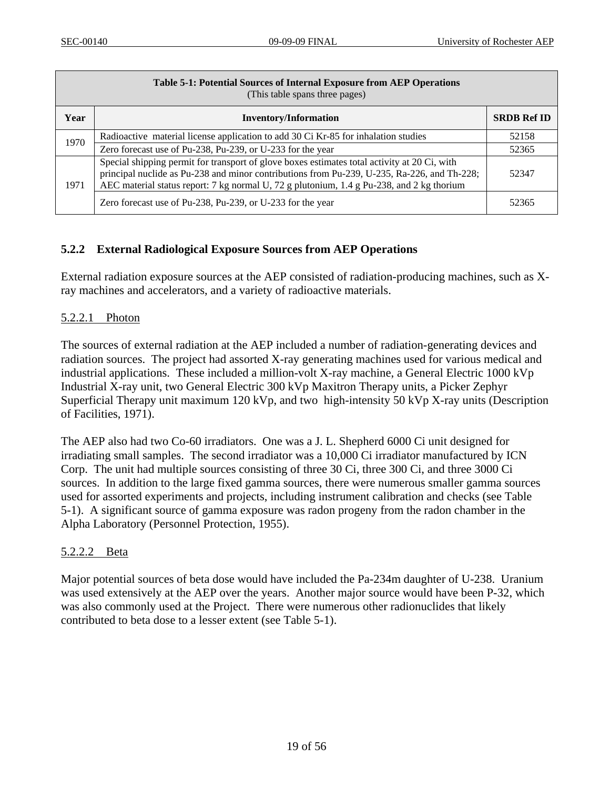| Table 5-1: Potential Sources of Internal Exposure from AEP Operations<br>(This table spans three pages) |                                                                                                                                                                                                                                                                                          |                    |  |
|---------------------------------------------------------------------------------------------------------|------------------------------------------------------------------------------------------------------------------------------------------------------------------------------------------------------------------------------------------------------------------------------------------|--------------------|--|
| Year                                                                                                    | <b>Inventory/Information</b>                                                                                                                                                                                                                                                             | <b>SRDB Ref ID</b> |  |
| 1970                                                                                                    | Radioactive material license application to add 30 Ci Kr-85 for inhalation studies                                                                                                                                                                                                       | 52158              |  |
|                                                                                                         | Zero forecast use of Pu-238, Pu-239, or U-233 for the year                                                                                                                                                                                                                               | 52365              |  |
| 1971                                                                                                    | Special shipping permit for transport of glove boxes estimates total activity at 20 Ci, with<br>principal nuclide as Pu-238 and minor contributions from Pu-239, U-235, Ra-226, and Th-228;<br>AEC material status report: 7 kg normal U, 72 g plutonium, 1.4 g Pu-238, and 2 kg thorium | 52347              |  |
|                                                                                                         | Zero forecast use of Pu-238, Pu-239, or U-233 for the year                                                                                                                                                                                                                               | 52365              |  |

#### <span id="page-18-0"></span>**5.2.2 External Radiological Exposure Sources from AEP Operations**

External radiation exposure sources at the AEP consisted of radiation-producing machines, such as Xray machines and accelerators, and a variety of radioactive materials.

#### <span id="page-18-1"></span>5.2.2.1 Photon

The sources of external radiation at the AEP included a number of radiation-generating devices and radiation sources. The project had assorted X-ray generating machines used for various medical and industrial applications. These included a million-volt X-ray machine, a General Electric 1000 kVp Industrial X-ray unit, two General Electric 300 kVp Maxitron Therapy units, a Picker Zephyr Superficial Therapy unit maximum 120 kVp, and two high-intensity 50 kVp X-ray units (Description of Facilities, 1971).

The AEP also had two Co-60 irradiators. One was a J. L. Shepherd 6000 Ci unit designed for irradiating small samples. The second irradiator was a 10,000 Ci irradiator manufactured by ICN Corp. The unit had multiple sources consisting of three 30 Ci, three 300 Ci, and three 3000 Ci sources. In addition to the large fixed gamma sources, there were numerous smaller gamma sources used for assorted experiments and projects, including instrument calibration and checks (see Table 5-1). A significant source of gamma exposure was radon progeny from the radon chamber in the Alpha Laboratory (Personnel Protection, 1955).

#### <span id="page-18-2"></span>5.2.2.2 Beta

Major potential sources of beta dose would have included the Pa-234m daughter of U-238. Uranium was used extensively at the AEP over the years. Another major source would have been P-32, which was also commonly used at the Project. There were numerous other radionuclides that likely contributed to beta dose to a lesser extent (see Table 5-1).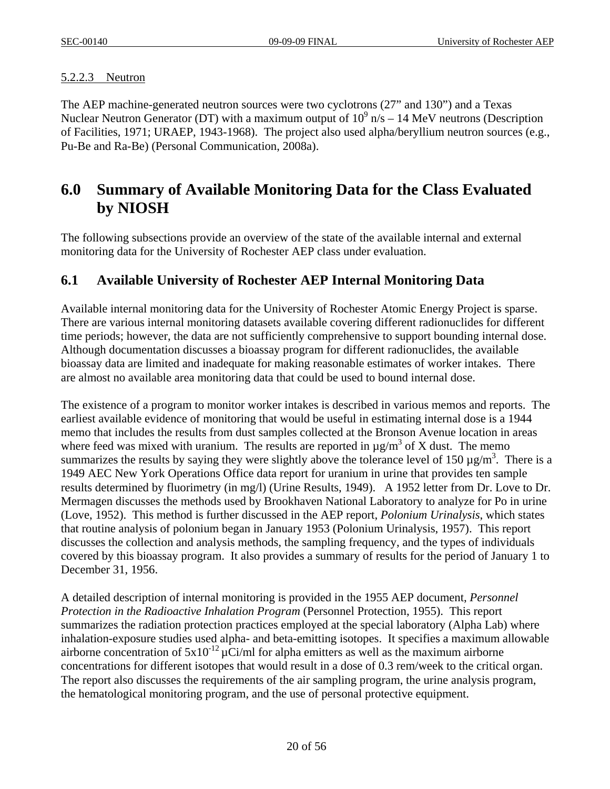#### 5.2.2.3 Neutron

The AEP machine-generated neutron sources were two cyclotrons (27" and 130") and a Texas Nuclear Neutron Generator (DT) with a maximum output of  $10^9$  n/s – 14 MeV neutrons (Description of Facilities, 1971; URAEP, 1943-1968). The project also used alpha/beryllium neutron sources (e.g., Pu-Be and Ra-Be) (Personal Communication, 2008a).

## <span id="page-19-1"></span>**6.0 Summary of Available Monitoring Data for the Class Evaluated by NIOSH**

The following subsections provide an overview of the state of the available internal and external monitoring data for the University of Rochester AEP class under evaluation.

### <span id="page-19-2"></span>**6.1 Available University of Rochester AEP Internal Monitoring Data**

Available internal monitoring data for the University of Rochester Atomic Energy Project is sparse. There are various internal monitoring datasets available covering different radionuclides for different time periods; however, the data are not sufficiently comprehensive to support bounding internal dose. Although documentation discusses a bioassay program for different radionuclides, the available bioassay data are limited and inadequate for making reasonable estimates of worker intakes. There are almost no available area monitoring data that could be used to bound internal dose.

The existence of a program to monitor worker intakes is described in various memos and reports. The earliest available evidence of monitoring that would be useful in estimating internal dose is a 1944 memo that includes the results from dust samples collected at the Bronson Avenue location in areas where feed was mixed with uranium. The results are reported in  $\mu$ g/m<sup>3</sup> of X dust. The memo summarizes the results by saying they were slightly above the tolerance level of 150  $\mu$ g/m<sup>3</sup>. There is a 1949 AEC New York Operations Office data report for uranium in urine that provides ten sample results determined by fluorimetry (in mg/l) (Urine Results, 1949). A 1952 letter from Dr. Love to Dr. Mermagen discusses the methods used by Brookhaven National Laboratory to analyze for Po in urine (Love, 1952). This method is further discussed in the AEP report, *Polonium Urinalysis*, which states that routine analysis of polonium began in January 1953 (Polonium Urinalysis, 1957). This report discusses the collection and analysis methods, the sampling frequency, and the types of individuals covered by this bioassay program. It also provides a summary of results for the period of January 1 to December 31, 1956.

<span id="page-19-0"></span>A detailed description of internal monitoring is provided in the 1955 AEP document, *Personnel Protection in the Radioactive Inhalation Program* (Personnel Protection, 1955). This report summarizes the radiation protection practices employed at the special laboratory (Alpha Lab) where inhalation-exposure studies used alpha- and beta-emitting isotopes. It specifies a maximum allowable airborne concentration of  $5x10^{-12}$   $\mu$ Ci/ml for alpha emitters as well as the maximum airborne concentrations for different isotopes that would result in a dose of 0.3 rem/week to the critical organ. The report also discusses the requirements of the air sampling program, the urine analysis program, the hematological monitoring program, and the use of personal protective equipment.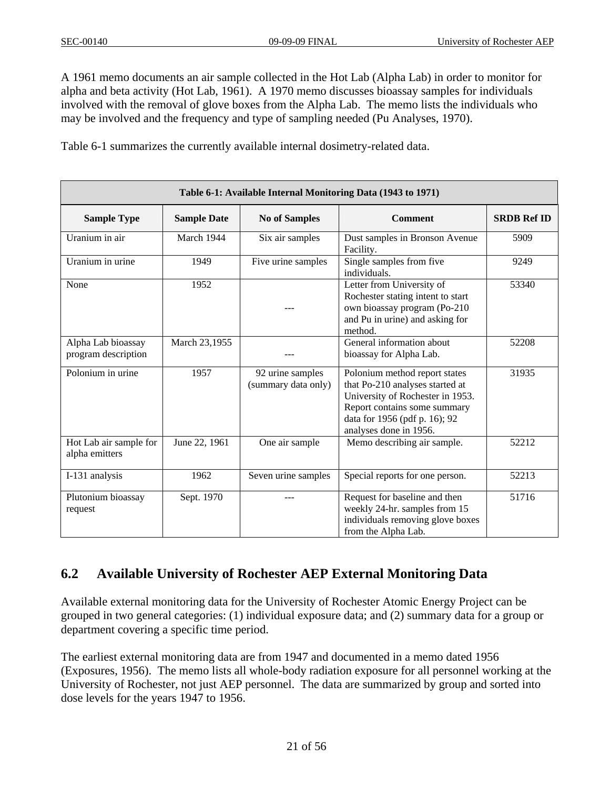A 1961 memo documents an air sample collected in the Hot Lab (Alpha Lab) in order to monitor for alpha and beta activity (Hot Lab, 1961). A 1970 memo discusses bioassay samples for individuals involved with the removal of glove boxes from the Alpha Lab. The memo lists the individuals who may be involved and the frequency and type of sampling needed (Pu Analyses, 1970).

Table 6-1 summarizes the currently available internal dosimetry-related data.

<span id="page-20-1"></span>

| Table 6-1: Available Internal Monitoring Data (1943 to 1971) |                    |                                         |                                                                                                                                                                                                 |                    |
|--------------------------------------------------------------|--------------------|-----------------------------------------|-------------------------------------------------------------------------------------------------------------------------------------------------------------------------------------------------|--------------------|
| <b>Sample Type</b>                                           | <b>Sample Date</b> | <b>No of Samples</b>                    | <b>Comment</b>                                                                                                                                                                                  | <b>SRDB Ref ID</b> |
| Uranium in air                                               | March 1944         | Six air samples                         | Dust samples in Bronson Avenue<br>Facility.                                                                                                                                                     | 5909               |
| Uranium in urine                                             | 1949               | Five urine samples                      | Single samples from five<br>individuals.                                                                                                                                                        | 9249               |
| None                                                         | 1952               |                                         | Letter from University of<br>Rochester stating intent to start<br>own bioassay program (Po-210<br>and Pu in urine) and asking for<br>method.                                                    | 53340              |
| Alpha Lab bioassay<br>program description                    | March 23,1955      |                                         | General information about<br>bioassay for Alpha Lab.                                                                                                                                            | 52208              |
| Polonium in urine                                            | 1957               | 92 urine samples<br>(summary data only) | Polonium method report states<br>that Po-210 analyses started at<br>University of Rochester in 1953.<br>Report contains some summary<br>data for 1956 (pdf p. 16); 92<br>analyses done in 1956. | 31935              |
| Hot Lab air sample for<br>alpha emitters                     | June 22, 1961      | One air sample                          | Memo describing air sample.                                                                                                                                                                     | 52212              |
| I-131 analysis                                               | 1962               | Seven urine samples                     | Special reports for one person.                                                                                                                                                                 | 52213              |
| Plutonium bioassay<br>request                                | Sept. 1970         |                                         | Request for baseline and then<br>weekly 24-hr. samples from 15<br>individuals removing glove boxes<br>from the Alpha Lab.                                                                       | 51716              |

### <span id="page-20-0"></span>**6.2 Available University of Rochester AEP External Monitoring Data**

Available external monitoring data for the University of Rochester Atomic Energy Project can be grouped in two general categories: (1) individual exposure data; and (2) summary data for a group or department covering a specific time period.

The earliest external monitoring data are from 1947 and documented in a memo dated 1956 (Exposures, 1956). The memo lists all whole-body radiation exposure for all personnel working at the University of Rochester, not just AEP personnel. The data are summarized by group and sorted into dose levels for the years 1947 to 1956.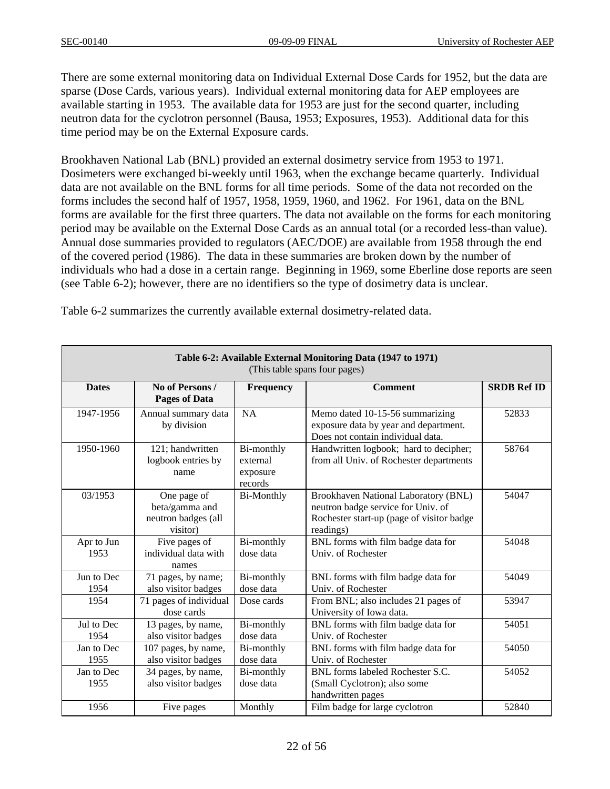There are some external monitoring data on Individual External Dose Cards for 1952, but the data are sparse (Dose Cards, various years). Individual external monitoring data for AEP employees are available starting in 1953. The available data for 1953 are just for the second quarter, including neutron data for the cyclotron personnel (Bausa, 1953; Exposures, 1953). Additional data for this time period may be on the External Exposure cards.

Brookhaven National Lab (BNL) provided an external dosimetry service from 1953 to 1971. Dosimeters were exchanged bi-weekly until 1963, when the exchange became quarterly. Individual data are not available on the BNL forms for all time periods. Some of the data not recorded on the forms includes the second half of 1957, 1958, 1959, 1960, and 1962. For 1961, data on the BNL forms are available for the first three quarters. The data not available on the forms for each monitoring period may be available on the External Dose Cards as an annual total (or a recorded less-than value). Annual dose summaries provided to regulators (AEC/DOE) are available from 1958 through the end of the covered period (1986). The data in these summaries are broken down by the number of individuals who had a dose in a certain range. Beginning in 1969, some Eberline dose reports are seen (see Table 6-2); however, there are no identifiers so the type of dosimetry data is unclear.

<span id="page-21-0"></span>

| Table 6-2: Available External Monitoring Data (1947 to 1971)<br>(This table spans four pages) |                                                                  |                                               |                                                                                                                                      |                    |
|-----------------------------------------------------------------------------------------------|------------------------------------------------------------------|-----------------------------------------------|--------------------------------------------------------------------------------------------------------------------------------------|--------------------|
| <b>Dates</b>                                                                                  | No of Persons /<br><b>Pages of Data</b>                          | Frequency                                     | <b>Comment</b>                                                                                                                       | <b>SRDB Ref ID</b> |
| 1947-1956                                                                                     | Annual summary data<br>by division                               | <b>NA</b>                                     | Memo dated 10-15-56 summarizing<br>exposure data by year and department.<br>Does not contain individual data.                        | 52833              |
| 1950-1960                                                                                     | 121; handwritten<br>logbook entries by<br>name                   | Bi-monthly<br>external<br>exposure<br>records | Handwritten logbook; hard to decipher;<br>from all Univ. of Rochester departments                                                    | 58764              |
| 03/1953                                                                                       | One page of<br>beta/gamma and<br>neutron badges (all<br>visitor) | <b>Bi-Monthly</b>                             | Brookhaven National Laboratory (BNL)<br>neutron badge service for Univ. of<br>Rochester start-up (page of visitor badge<br>readings) | 54047              |
| Apr to Jun<br>1953                                                                            | Five pages of<br>individual data with<br>names                   | Bi-monthly<br>dose data                       | BNL forms with film badge data for<br>Univ. of Rochester                                                                             | 54048              |
| Jun to Dec<br>1954                                                                            | 71 pages, by name;<br>also visitor badges                        | Bi-monthly<br>dose data                       | BNL forms with film badge data for<br>Univ. of Rochester                                                                             | 54049              |
| 1954                                                                                          | 71 pages of individual<br>dose cards                             | Dose cards                                    | From BNL; also includes 21 pages of<br>University of Iowa data.                                                                      | 53947              |
| Jul to Dec<br>1954                                                                            | 13 pages, by name,<br>also visitor badges                        | Bi-monthly<br>dose data                       | BNL forms with film badge data for<br>Univ. of Rochester                                                                             | 54051              |
| Jan to Dec<br>1955                                                                            | 107 pages, by name,<br>also visitor badges                       | Bi-monthly<br>dose data                       | BNL forms with film badge data for<br>Univ. of Rochester                                                                             | 54050              |
| Jan to Dec<br>1955                                                                            | 34 pages, by name,<br>also visitor badges                        | Bi-monthly<br>dose data                       | BNL forms labeled Rochester S.C.<br>(Small Cyclotron); also some<br>handwritten pages                                                | 54052              |
| 1956                                                                                          | Five pages                                                       | Monthly                                       | Film badge for large cyclotron                                                                                                       | 52840              |

Table 6-2 summarizes the currently available external dosimetry-related data.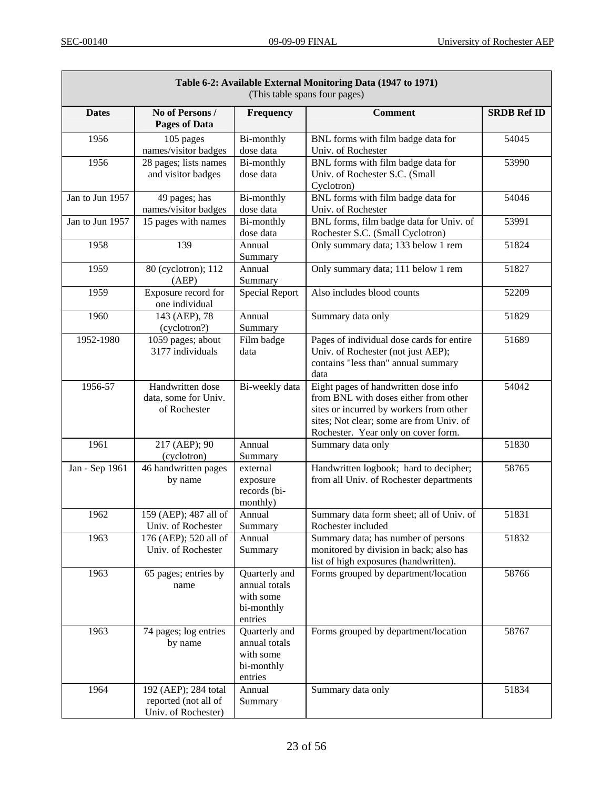$\Box$ 

 $\overline{\phantom{0}}$ 

| Table 6-2: Available External Monitoring Data (1947 to 1971)<br>(This table spans four pages) |                                                                     |                                                                      |                                                                                                                                                                                                             |                    |
|-----------------------------------------------------------------------------------------------|---------------------------------------------------------------------|----------------------------------------------------------------------|-------------------------------------------------------------------------------------------------------------------------------------------------------------------------------------------------------------|--------------------|
| <b>Dates</b>                                                                                  | No of Persons /<br><b>Pages of Data</b>                             | <b>Frequency</b>                                                     | <b>Comment</b>                                                                                                                                                                                              | <b>SRDB Ref ID</b> |
| 1956                                                                                          | 105 pages<br>names/visitor badges                                   | Bi-monthly<br>dose data                                              | BNL forms with film badge data for<br>Univ. of Rochester                                                                                                                                                    | 54045              |
| 1956                                                                                          | 28 pages; lists names<br>and visitor badges                         | Bi-monthly<br>dose data                                              | BNL forms with film badge data for<br>Univ. of Rochester S.C. (Small<br>Cyclotron)                                                                                                                          | 53990              |
| Jan to Jun 1957                                                                               | 49 pages; has<br>names/visitor badges                               | Bi-monthly<br>dose data                                              | BNL forms with film badge data for<br>Univ. of Rochester                                                                                                                                                    | 54046              |
| Jan to Jun 1957                                                                               | 15 pages with names                                                 | Bi-monthly<br>dose data                                              | BNL forms, film badge data for Univ. of<br>Rochester S.C. (Small Cyclotron)                                                                                                                                 | 53991              |
| 1958                                                                                          | 139                                                                 | Annual<br>Summary                                                    | Only summary data; 133 below 1 rem                                                                                                                                                                          | 51824              |
| 1959                                                                                          | 80 (cyclotron); 112<br>(AEP)                                        | Annual<br>Summary                                                    | Only summary data; 111 below 1 rem                                                                                                                                                                          | 51827              |
| 1959                                                                                          | Exposure record for<br>one individual                               | <b>Special Report</b>                                                | Also includes blood counts                                                                                                                                                                                  | 52209              |
| 1960                                                                                          | 143 (AEP), 78<br>(cyclotron?)                                       | Annual<br>Summary                                                    | Summary data only                                                                                                                                                                                           | 51829              |
| 1952-1980                                                                                     | 1059 pages; about<br>3177 individuals                               | Film badge<br>data                                                   | Pages of individual dose cards for entire<br>Univ. of Rochester (not just AEP);<br>contains "less than" annual summary<br>data                                                                              | 51689              |
| 1956-57                                                                                       | Handwritten dose<br>data, some for Univ.<br>of Rochester            | Bi-weekly data                                                       | Eight pages of handwritten dose info<br>from BNL with doses either from other<br>sites or incurred by workers from other<br>sites; Not clear; some are from Univ. of<br>Rochester. Year only on cover form. | 54042              |
| 1961                                                                                          | 217 (AEP); 90<br>(cyclotron)                                        | Annual<br>Summary                                                    | Summary data only                                                                                                                                                                                           | 51830              |
| Jan - Sep 1961                                                                                | 46 handwritten pages<br>by name                                     | external<br>exposure<br>records (bi-<br>monthly)                     | Handwritten logbook; hard to decipher;<br>from all Univ. of Rochester departments                                                                                                                           | 58765              |
| 1962                                                                                          | 159 (AEP); 487 all of<br>Univ. of Rochester                         | Annual<br>Summary                                                    | Summary data form sheet; all of Univ. of<br>Rochester included                                                                                                                                              | 51831              |
| 1963                                                                                          | 176 (AEP); 520 all of<br>Univ. of Rochester                         | Annual<br>Summary                                                    | Summary data; has number of persons<br>monitored by division in back; also has<br>list of high exposures (handwritten).                                                                                     | 51832              |
| 1963                                                                                          | 65 pages; entries by<br>name                                        | Quarterly and<br>annual totals<br>with some<br>bi-monthly<br>entries | Forms grouped by department/location                                                                                                                                                                        | 58766              |
| 1963                                                                                          | 74 pages; log entries<br>by name                                    | Quarterly and<br>annual totals<br>with some<br>bi-monthly<br>entries | Forms grouped by department/location                                                                                                                                                                        | 58767              |
| 1964                                                                                          | 192 (AEP); 284 total<br>reported (not all of<br>Univ. of Rochester) | Annual<br>Summary                                                    | Summary data only                                                                                                                                                                                           | 51834              |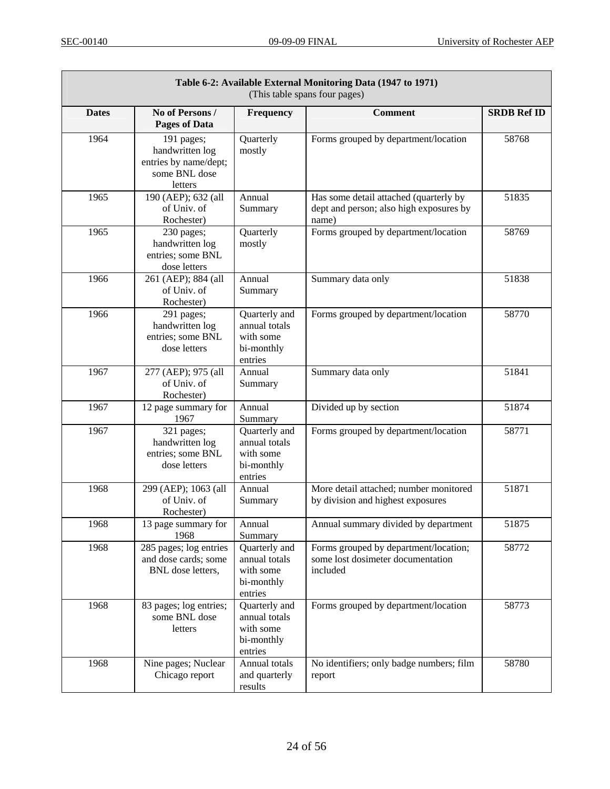$\overline{\phantom{0}}$ 

| Table 6-2: Available External Monitoring Data (1947 to 1971)<br>(This table spans four pages) |                                                                                    |                                                                      |                                                                                            |                    |
|-----------------------------------------------------------------------------------------------|------------------------------------------------------------------------------------|----------------------------------------------------------------------|--------------------------------------------------------------------------------------------|--------------------|
| <b>Dates</b>                                                                                  | No of Persons /<br><b>Pages of Data</b>                                            | Frequency                                                            | <b>Comment</b>                                                                             | <b>SRDB Ref ID</b> |
| 1964                                                                                          | 191 pages;<br>handwritten log<br>entries by name/dept;<br>some BNL dose<br>letters | Quarterly<br>mostly                                                  | Forms grouped by department/location                                                       | 58768              |
| 1965                                                                                          | 190 (AEP); 632 (all<br>of Univ. of<br>Rochester)                                   | Annual<br>Summary                                                    | Has some detail attached (quarterly by<br>dept and person; also high exposures by<br>name) | 51835              |
| 1965                                                                                          | 230 pages;<br>handwritten log<br>entries; some BNL<br>dose letters                 | Quarterly<br>mostly                                                  | Forms grouped by department/location                                                       | 58769              |
| 1966                                                                                          | 261 (AEP); 884 (all<br>of Univ. of<br>Rochester)                                   | Annual<br>Summary                                                    | Summary data only                                                                          | 51838              |
| 1966                                                                                          | 291 pages;<br>handwritten log<br>entries; some BNL<br>dose letters                 | Quarterly and<br>annual totals<br>with some<br>bi-monthly<br>entries | Forms grouped by department/location                                                       | 58770              |
| 1967                                                                                          | 277 (AEP); 975 (all<br>of Univ. of<br>Rochester)                                   | Annual<br>Summary                                                    | Summary data only                                                                          | 51841              |
| 1967                                                                                          | 12 page summary for<br>1967                                                        | Annual<br>Summary                                                    | Divided up by section                                                                      | 51874              |
| 1967                                                                                          | 321 pages;<br>handwritten log<br>entries; some BNL<br>dose letters                 | Quarterly and<br>annual totals<br>with some<br>bi-monthly<br>entries | Forms grouped by department/location                                                       | 58771              |
| 1968                                                                                          | 299 (AEP); 1063 (all<br>of Univ. of<br>Rochester)                                  | Annual<br>Summary                                                    | More detail attached; number monitored<br>by division and highest exposures                | 51871              |
| 1968                                                                                          | 13 page summary for<br>1968                                                        | Annual<br>Summary                                                    | Annual summary divided by department                                                       | 51875              |
| 1968                                                                                          | 285 pages; log entries<br>and dose cards; some<br>BNL dose letters,                | Quarterly and<br>annual totals<br>with some<br>bi-monthly<br>entries | Forms grouped by department/location;<br>some lost dosimeter documentation<br>included     | 58772              |
| 1968                                                                                          | 83 pages; log entries;<br>some BNL dose<br>letters                                 | Quarterly and<br>annual totals<br>with some<br>bi-monthly<br>entries | Forms grouped by department/location                                                       | 58773              |
| 1968                                                                                          | Nine pages; Nuclear<br>Chicago report                                              | Annual totals<br>and quarterly<br>results                            | No identifiers; only badge numbers; film<br>report                                         | 58780              |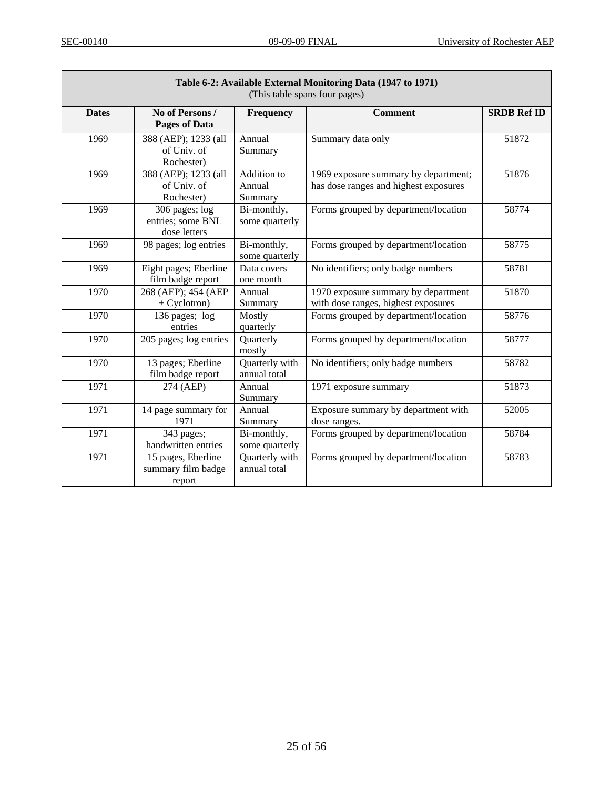$\overline{\phantom{a}}$ 

 $\overline{\phantom{0}}$ 

| Table 6-2: Available External Monitoring Data (1947 to 1971)<br>(This table spans four pages) |                                                     |                                  |                                                                               |                    |
|-----------------------------------------------------------------------------------------------|-----------------------------------------------------|----------------------------------|-------------------------------------------------------------------------------|--------------------|
| <b>Dates</b>                                                                                  | No of Persons /<br><b>Pages of Data</b>             | Frequency                        | <b>Comment</b>                                                                | <b>SRDB Ref ID</b> |
| 1969                                                                                          | 388 (AEP); 1233 (all<br>of Univ. of<br>Rochester)   | Annual<br>Summary                | Summary data only                                                             | 51872              |
| 1969                                                                                          | 388 (AEP); 1233 (all<br>of Univ. of<br>Rochester)   | Addition to<br>Annual<br>Summary | 1969 exposure summary by department;<br>has dose ranges and highest exposures | 51876              |
| 1969                                                                                          | 306 pages; log<br>entries; some BNL<br>dose letters | Bi-monthly,<br>some quarterly    | Forms grouped by department/location                                          | 58774              |
| 1969                                                                                          | 98 pages; log entries                               | Bi-monthly,<br>some quarterly    | Forms grouped by department/location                                          | 58775              |
| 1969                                                                                          | Eight pages; Eberline<br>film badge report          | Data covers<br>one month         | No identifiers; only badge numbers                                            | 58781              |
| 1970                                                                                          | 268 (AEP); 454 (AEP<br>+ Cyclotron)                 | Annual<br>Summary                | 1970 exposure summary by department<br>with dose ranges, highest exposures    | 51870              |
| 1970                                                                                          | 136 pages; log<br>entries                           | Mostly<br>quarterly              | Forms grouped by department/location                                          | 58776              |
| 1970                                                                                          | 205 pages; log entries                              | Quarterly<br>mostly              | Forms grouped by department/location                                          | 58777              |
| 1970                                                                                          | 13 pages; Eberline<br>film badge report             | Quarterly with<br>annual total   | No identifiers; only badge numbers                                            | 58782              |
| 1971                                                                                          | 274 (AEP)                                           | Annual<br>Summary                | 1971 exposure summary                                                         | 51873              |
| 1971                                                                                          | 14 page summary for<br>1971                         | Annual<br>Summary                | Exposure summary by department with<br>dose ranges.                           | 52005              |
| 1971                                                                                          | 343 pages;<br>handwritten entries                   | Bi-monthly,<br>some quarterly    | Forms grouped by department/location                                          | 58784              |
| 1971                                                                                          | 15 pages, Eberline<br>summary film badge<br>report  | Quarterly with<br>annual total   | Forms grouped by department/location                                          | 58783              |

| Table 6-2: Available External Monitoring Data (1947 to 1971) |  |
|--------------------------------------------------------------|--|
| (This table spans four pages)                                |  |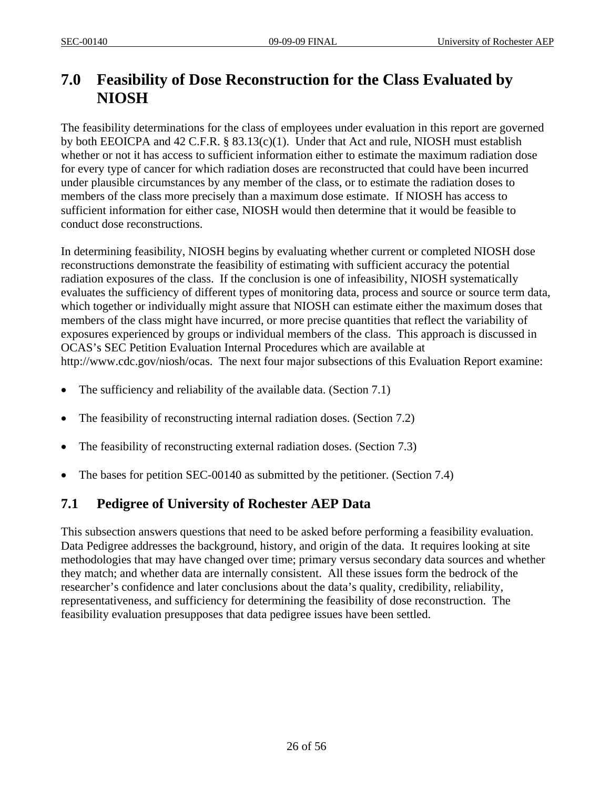## **7.0 Feasibility of Dose Reconstruction for the Class Evaluated by NIOSH**

The feasibility determinations for the class of employees under evaluation in this report are governed by both EEOICPA and 42 C.F.R. § 83.13(c)(1). Under that Act and rule, NIOSH must establish whether or not it has access to sufficient information either to estimate the maximum radiation dose for every type of cancer for which radiation doses are reconstructed that could have been incurred under plausible circumstances by any member of the class, or to estimate the radiation doses to members of the class more precisely than a maximum dose estimate. If NIOSH has access to sufficient information for either case, NIOSH would then determine that it would be feasible to conduct dose reconstructions.

In determining feasibility, NIOSH begins by evaluating whether current or completed NIOSH dose reconstructions demonstrate the feasibility of estimating with sufficient accuracy the potential radiation exposures of the class. If the conclusion is one of infeasibility, NIOSH systematically evaluates the sufficiency of different types of monitoring data, process and source or source term data, which together or individually might assure that NIOSH can estimate either the maximum doses that members of the class might have incurred, or more precise quantities that reflect the variability of exposures experienced by groups or individual members of the class. This approach is discussed in OCAS's SEC Petition Evaluation Internal Procedures which are available at http://www.cdc.gov/niosh/ocas. The next four major subsections of this Evaluation Report examine:

- The sufficiency and reliability of the available data. (Section 7.1)
- The feasibility of reconstructing internal radiation doses. (Section 7.2)
- The feasibility of reconstructing external radiation doses. (Section 7.3)
- The bases for petition SEC-00140 as submitted by the petitioner. (Section 7.4)

## <span id="page-25-1"></span><span id="page-25-0"></span>**7.1 Pedigree of University of Rochester AEP Data**

This subsection answers questions that need to be asked before performing a feasibility evaluation. Data Pedigree addresses the background, history, and origin of the data. It requires looking at site methodologies that may have changed over time; primary versus secondary data sources and whether they match; and whether data are internally consistent. All these issues form the bedrock of the researcher's confidence and later conclusions about the data's quality, credibility, reliability, representativeness, and sufficiency for determining the feasibility of dose reconstruction. The feasibility evaluation presupposes that data pedigree issues have been settled.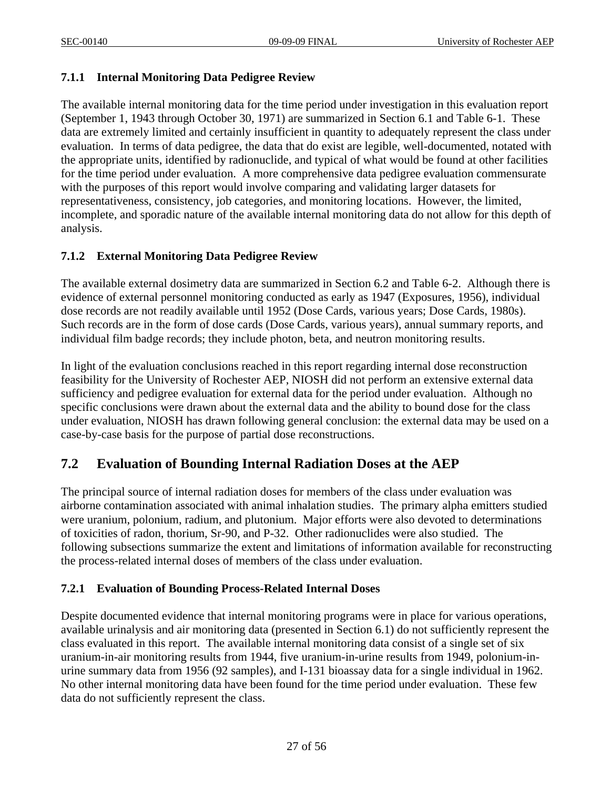#### **7.1.1 Internal Monitoring Data Pedigree Review**

The available internal monitoring data for the time period under investigation in this evaluation report (September 1, 1943 through October 30, 1971) are summarized in Section 6.1 and Table 6-1. These data are extremely limited and certainly insufficient in quantity to adequately represent the class under evaluation. In terms of data pedigree, the data that do exist are legible, well-documented, notated with the appropriate units, identified by radionuclide, and typical of what would be found at other facilities for the time period under evaluation. A more comprehensive data pedigree evaluation commensurate with the purposes of this report would involve comparing and validating larger datasets for representativeness, consistency, job categories, and monitoring locations. However, the limited, incomplete, and sporadic nature of the available internal monitoring data do not allow for this depth of analysis.

#### <span id="page-26-1"></span>**7.1.2 External Monitoring Data Pedigree Review**

The available external dosimetry data are summarized in Section 6.2 and Table 6-2. Although there is evidence of external personnel monitoring conducted as early as 1947 (Exposures, 1956), individual dose records are not readily available until 1952 (Dose Cards, various years; Dose Cards, 1980s). Such records are in the form of dose cards (Dose Cards, various years), annual summary reports, and individual film badge records; they include photon, beta, and neutron monitoring results.

In light of the evaluation conclusions reached in this report regarding internal dose reconstruction feasibility for the University of Rochester AEP, NIOSH did not perform an extensive external data sufficiency and pedigree evaluation for external data for the period under evaluation. Although no specific conclusions were drawn about the external data and the ability to bound dose for the class under evaluation, NIOSH has drawn following general conclusion: the external data may be used on a case-by-case basis for the purpose of partial dose reconstructions.

### <span id="page-26-2"></span>**7.2 Evaluation of Bounding Internal Radiation Doses at the AEP**

The principal source of internal radiation doses for members of the class under evaluation was airborne contamination associated with animal inhalation studies. The primary alpha emitters studied were uranium, polonium, radium, and plutonium. Major efforts were also devoted to determinations of toxicities of radon, thorium, Sr-90, and P-32. Other radionuclides were also studied. The following subsections summarize the extent and limitations of information available for reconstructing the process-related internal doses of members of the class under evaluation.

#### <span id="page-26-3"></span>**7.2.1 Evaluation of Bounding Process-Related Internal Doses**

<span id="page-26-0"></span>Despite documented evidence that internal monitoring programs were in place for various operations, available urinalysis and air monitoring data (presented in Section 6.1) do not sufficiently represent the class evaluated in this report. The available internal monitoring data consist of a single set of six uranium-in-air monitoring results from 1944, five uranium-in-urine results from 1949, polonium-inurine summary data from 1956 (92 samples), and I-131 bioassay data for a single individual in 1962. No other internal monitoring data have been found for the time period under evaluation. These few data do not sufficiently represent the class.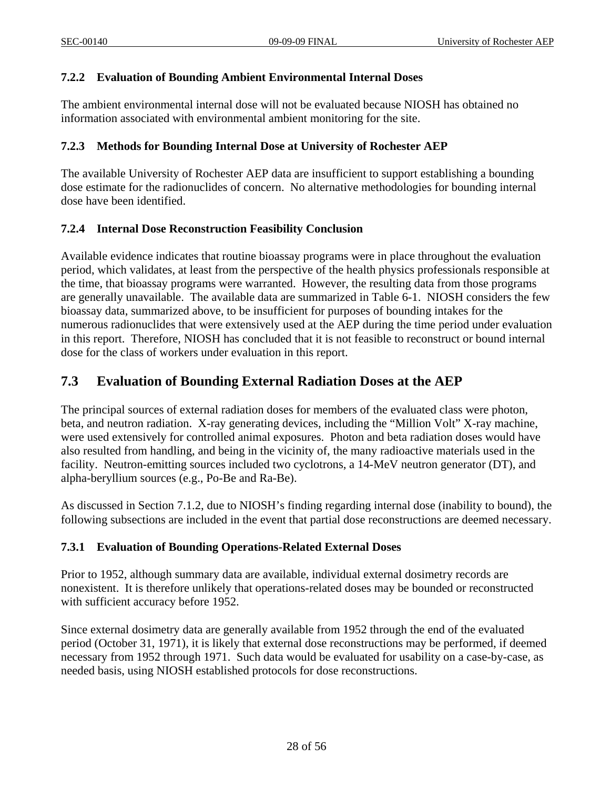#### <span id="page-27-0"></span>**7.2.2 Evaluation of Bounding Ambient Environmental Internal Doses**

The ambient environmental internal dose will not be evaluated because NIOSH has obtained no information associated with environmental ambient monitoring for the site.

#### <span id="page-27-1"></span>**7.2.3 Methods for Bounding Internal Dose at University of Rochester AEP**

The available University of Rochester AEP data are insufficient to support establishing a bounding dose estimate for the radionuclides of concern. No alternative methodologies for bounding internal dose have been identified.

#### <span id="page-27-2"></span>**7.2.4 Internal Dose Reconstruction Feasibility Conclusion**

Available evidence indicates that routine bioassay programs were in place throughout the evaluation period, which validates, at least from the perspective of the health physics professionals responsible at the time, that bioassay programs were warranted. However, the resulting data from those programs are generally unavailable. The available data are summarized in Table 6-1. NIOSH considers the few bioassay data, summarized above, to be insufficient for purposes of bounding intakes for the numerous radionuclides that were extensively used at the AEP during the time period under evaluation in this report. Therefore, NIOSH has concluded that it is not feasible to reconstruct or bound internal dose for the class of workers under evaluation in this report.

### <span id="page-27-3"></span>**7.3 Evaluation of Bounding External Radiation Doses at the AEP**

The principal sources of external radiation doses for members of the evaluated class were photon, beta, and neutron radiation. X-ray generating devices, including the "Million Volt" X-ray machine, were used extensively for controlled animal exposures. Photon and beta radiation doses would have also resulted from handling, and being in the vicinity of, the many radioactive materials used in the facility. Neutron-emitting sources included two cyclotrons, a 14-MeV neutron generator (DT), and alpha-beryllium sources (e.g., Po-Be and Ra-Be).

As discussed in Section 7.1.2, due to NIOSH's finding regarding internal dose (inability to bound), the following subsections are included in the event that partial dose reconstructions are deemed necessary.

#### <span id="page-27-4"></span>**7.3.1 Evaluation of Bounding Operations-Related External Doses**

Prior to 1952, although summary data are available, individual external dosimetry records are nonexistent. It is therefore unlikely that operations-related doses may be bounded or reconstructed with sufficient accuracy before 1952.

Since external dosimetry data are generally available from 1952 through the end of the evaluated period (October 31, 1971), it is likely that external dose reconstructions may be performed, if deemed necessary from 1952 through 1971. Such data would be evaluated for usability on a case-by-case, as needed basis, using NIOSH established protocols for dose reconstructions.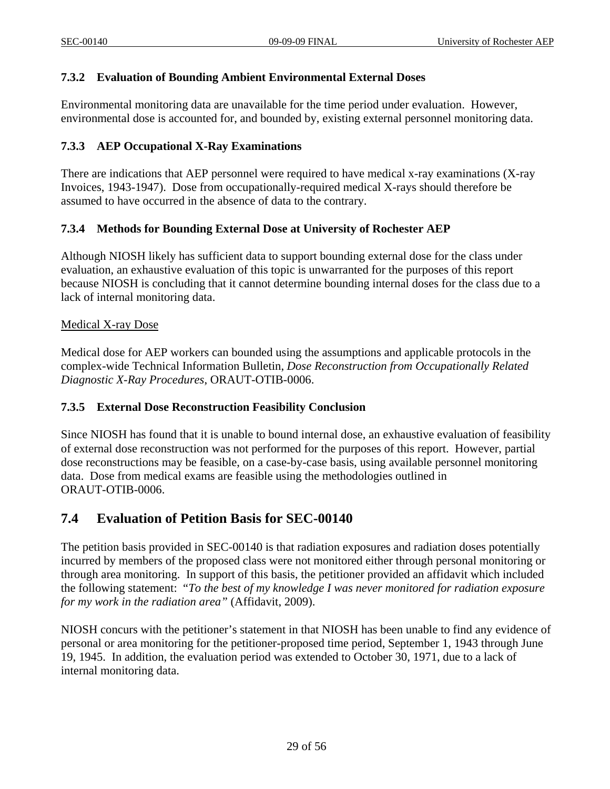#### **7.3.2 Evaluation of Bounding Ambient Environmental External Doses**

<span id="page-28-1"></span>Environmental monitoring data are unavailable for the time period under evaluation. However, environmental dose is accounted for, and bounded by, existing external personnel monitoring data.

#### **7.3.3 AEP Occupational X-Ray Examinations**

There are indications that AEP personnel were required to have medical x-ray examinations (X-ray Invoices, 1943-1947). Dose from occupationally-required medical X-rays should therefore be assumed to have occurred in the absence of data to the contrary.

#### <span id="page-28-2"></span>**7.3.4 Methods for Bounding External Dose at University of Rochester AEP**

Although NIOSH likely has sufficient data to support bounding external dose for the class under evaluation, an exhaustive evaluation of this topic is unwarranted for the purposes of this report because NIOSH is concluding that it cannot determine bounding internal doses for the class due to a lack of internal monitoring data.

#### Medical X-ray Dose

Medical dose for AEP workers can bounded using the assumptions and applicable protocols in the complex-wide Technical Information Bulletin, *Dose Reconstruction from Occupationally Related Diagnostic X-Ray Procedures*, ORAUT-OTIB-0006.

#### <span id="page-28-3"></span>**7.3.5 External Dose Reconstruction Feasibility Conclusion**

Since NIOSH has found that it is unable to bound internal dose, an exhaustive evaluation of feasibility of external dose reconstruction was not performed for the purposes of this report. However, partial dose reconstructions may be feasible, on a case-by-case basis, using available personnel monitoring data. Dose from medical exams are feasible using the methodologies outlined in ORAUT-OTIB-0006.

### <span id="page-28-4"></span>**7.4 Evaluation of Petition Basis for SEC-00140**

The petition basis provided in SEC-00140 is that radiation exposures and radiation doses potentially incurred by members of the proposed class were not monitored either through personal monitoring or through area monitoring. In support of this basis, the petitioner provided an affidavit which included the following statement: "*To the best of my knowledge I was never monitored for radiation exposure for my work in the radiation area"* (Affidavit, 2009).

<span id="page-28-0"></span>NIOSH concurs with the petitioner's statement in that NIOSH has been unable to find any evidence of personal or area monitoring for the petitioner-proposed time period, September 1, 1943 through June 19, 1945. In addition, the evaluation period was extended to October 30, 1971, due to a lack of internal monitoring data.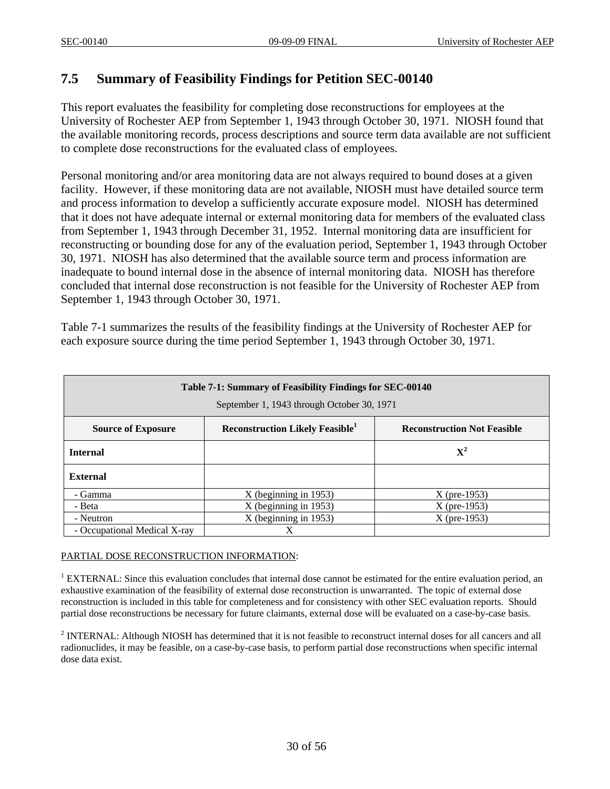### **7.5 Summary of Feasibility Findings for Petition SEC-00140**

This report evaluates the feasibility for completing dose reconstructions for employees at the University of Rochester AEP from September 1, 1943 through October 30, 1971. NIOSH found that the available monitoring records, process descriptions and source term data available are not sufficient to complete dose reconstructions for the evaluated class of employees.

Personal monitoring and/or area monitoring data are not always required to bound doses at a given facility. However, if these monitoring data are not available, NIOSH must have detailed source term and process information to develop a sufficiently accurate exposure model. NIOSH has determined that it does not have adequate internal or external monitoring data for members of the evaluated class from September 1, 1943 through December 31, 1952. Internal monitoring data are insufficient for reconstructing or bounding dose for any of the evaluation period, September 1, 1943 through October 30, 1971. NIOSH has also determined that the available source term and process information are inadequate to bound internal dose in the absence of internal monitoring data. NIOSH has therefore concluded that internal dose reconstruction is not feasible for the University of Rochester AEP from September 1, 1943 through October 30, 1971.

Table 7-1 summarizes the results of the feasibility findings at the University of Rochester AEP for each exposure source during the time period September 1, 1943 through October 30, 1971.

<span id="page-29-1"></span>

| Table 7-1: Summary of Feasibility Findings for SEC-00140<br>September 1, 1943 through October 30, 1971   |                         |                |  |
|----------------------------------------------------------------------------------------------------------|-------------------------|----------------|--|
| <b>Reconstruction Likely Feasible</b><br><b>Reconstruction Not Feasible</b><br><b>Source of Exposure</b> |                         |                |  |
| <b>Internal</b>                                                                                          |                         | ${\bf X}^2$    |  |
| <b>External</b>                                                                                          |                         |                |  |
| - Gamma                                                                                                  | $X$ (beginning in 1953) | $X$ (pre-1953) |  |
| - Beta                                                                                                   | $X$ (beginning in 1953) | $X$ (pre-1953) |  |
| - Neutron                                                                                                | $X$ (beginning in 1953) | $X$ (pre-1953) |  |
| - Occupational Medical X-ray                                                                             |                         |                |  |

#### PARTIAL DOSE RECONSTRUCTION INFORMATION:

<sup>1</sup> EXTERNAL: Since this evaluation concludes that internal dose cannot be estimated for the entire evaluation period, an exhaustive examination of the feasibility of external dose reconstruction is unwarranted. The topic of external dose reconstruction is included in this table for completeness and for consistency with other SEC evaluation reports. Should partial dose reconstructions be necessary for future claimants, external dose will be evaluated on a case-by-case basis.

<span id="page-29-0"></span> $2^2$  INTERNAL: Although NIOSH has determined that it is not feasible to reconstruct internal doses for all cancers and all radionuclides, it may be feasible, on a case-by-case basis, to perform partial dose reconstructions when specific internal dose data exist.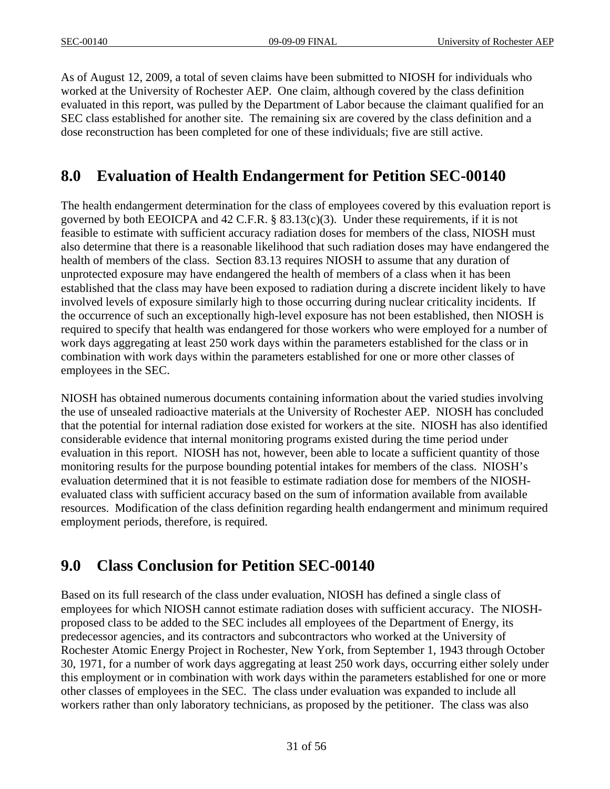As of August 12, 2009, a total of seven claims have been submitted to NIOSH for individuals who worked at the University of Rochester AEP. One claim, although covered by the class definition evaluated in this report, was pulled by the Department of Labor because the claimant qualified for an SEC class established for another site. The remaining six are covered by the class definition and a dose reconstruction has been completed for one of these individuals; five are still active.

## <span id="page-30-0"></span>**8.0 Evaluation of Health Endangerment for Petition SEC-00140**

The health endangerment determination for the class of employees covered by this evaluation report is governed by both EEOICPA and 42 C.F.R.  $\S$  83.13(c)(3). Under these requirements, if it is not feasible to estimate with sufficient accuracy radiation doses for members of the class, NIOSH must also determine that there is a reasonable likelihood that such radiation doses may have endangered the health of members of the class. Section 83.13 requires NIOSH to assume that any duration of unprotected exposure may have endangered the health of members of a class when it has been established that the class may have been exposed to radiation during a discrete incident likely to have involved levels of exposure similarly high to those occurring during nuclear criticality incidents. If the occurrence of such an exceptionally high-level exposure has not been established, then NIOSH is required to specify that health was endangered for those workers who were employed for a number of work days aggregating at least 250 work days within the parameters established for the class or in combination with work days within the parameters established for one or more other classes of employees in the SEC.

NIOSH has obtained numerous documents containing information about the varied studies involving the use of unsealed radioactive materials at the University of Rochester AEP. NIOSH has concluded that the potential for internal radiation dose existed for workers at the site. NIOSH has also identified considerable evidence that internal monitoring programs existed during the time period under evaluation in this report. NIOSH has not, however, been able to locate a sufficient quantity of those monitoring results for the purpose bounding potential intakes for members of the class. NIOSH's evaluation determined that it is not feasible to estimate radiation dose for members of the NIOSHevaluated class with sufficient accuracy based on the sum of information available from available resources. Modification of the class definition regarding health endangerment and minimum required employment periods, therefore, is required.

## <span id="page-30-1"></span>**9.0 Class Conclusion for Petition SEC-00140**

Based on its full research of the class under evaluation, NIOSH has defined a single class of employees for which NIOSH cannot estimate radiation doses with sufficient accuracy. The NIOSHproposed class to be added to the SEC includes all employees of the Department of Energy, its predecessor agencies, and its contractors and subcontractors who worked at the University of Rochester Atomic Energy Project in Rochester, New York, from September 1, 1943 through October 30, 1971, for a number of work days aggregating at least 250 work days, occurring either solely under this employment or in combination with work days within the parameters established for one or more other classes of employees in the SEC. The class under evaluation was expanded to include all workers rather than only laboratory technicians, as proposed by the petitioner. The class was also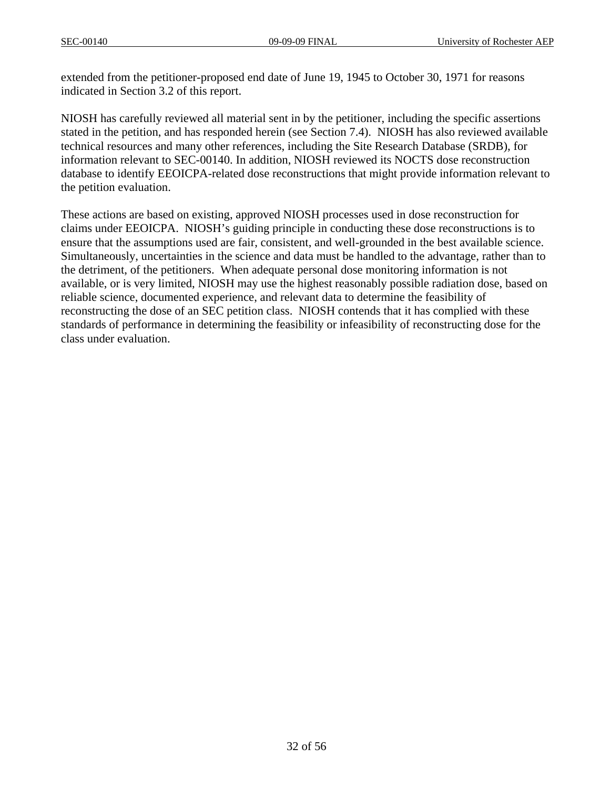extended from the petitioner-proposed end date of June 19, 1945 to October 30, 1971 for reasons indicated in Section 3.2 of this report.

NIOSH has carefully reviewed all material sent in by the petitioner, including the specific assertions stated in the petition, and has responded herein (see Section 7.4). NIOSH has also reviewed available technical resources and many other references, including the Site Research Database (SRDB), for information relevant to SEC-00140. In addition, NIOSH reviewed its NOCTS dose reconstruction database to identify EEOICPA-related dose reconstructions that might provide information relevant to the petition evaluation.

These actions are based on existing, approved NIOSH processes used in dose reconstruction for claims under EEOICPA. NIOSH's guiding principle in conducting these dose reconstructions is to ensure that the assumptions used are fair, consistent, and well-grounded in the best available science. Simultaneously, uncertainties in the science and data must be handled to the advantage, rather than to the detriment, of the petitioners. When adequate personal dose monitoring information is not available, or is very limited, NIOSH may use the highest reasonably possible radiation dose, based on reliable science, documented experience, and relevant data to determine the feasibility of reconstructing the dose of an SEC petition class. NIOSH contends that it has complied with these standards of performance in determining the feasibility or infeasibility of reconstructing dose for the class under evaluation.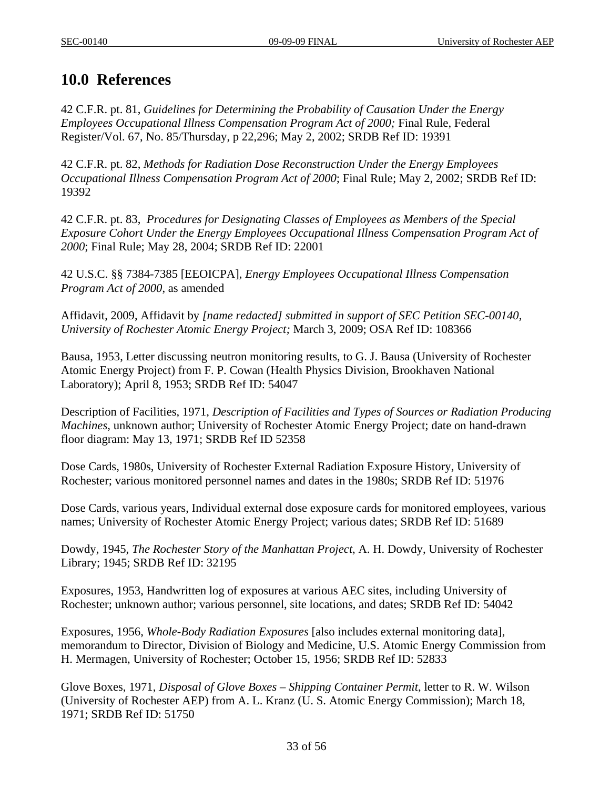## <span id="page-32-0"></span>**10.0 References**

42 C.F.R. pt. 81, *Guidelines for Determining the Probability of Causation Under the Energy Employees Occupational Illness Compensation Program Act of 2000;* Final Rule, Federal Register/Vol. 67, No. 85/Thursday, p 22,296; May 2, 2002; SRDB Ref ID: 19391

42 C.F.R. pt. 82, *Methods for Radiation Dose Reconstruction Under the Energy Employees Occupational Illness Compensation Program Act of 2000*; Final Rule; May 2, 2002; SRDB Ref ID: 19392

42 C.F.R. pt. 83, *Procedures for Designating Classes of Employees as Members of the Special Exposure Cohort Under the Energy Employees Occupational Illness Compensation Program Act of 2000*; Final Rule; May 28, 2004; SRDB Ref ID: 22001

42 U.S.C. §§ 7384-7385 [EEOICPA], *Energy Employees Occupational Illness Compensation Program Act of 2000*, as amended

Affidavit, 2009, Affidavit by *[name redacted] submitted in support of SEC Petition SEC-00140, University of Rochester Atomic Energy Project;* March 3, 2009; OSA Ref ID: 108366

Bausa, 1953, Letter discussing neutron monitoring results, to G. J. Bausa (University of Rochester Atomic Energy Project) from F. P. Cowan (Health Physics Division, Brookhaven National Laboratory); April 8, 1953; SRDB Ref ID: 54047

Description of Facilities, 1971, *Description of Facilities and Types of Sources or Radiation Producing Machines*, unknown author; University of Rochester Atomic Energy Project; date on hand-drawn floor diagram: May 13, 1971; SRDB Ref ID 52358

Dose Cards, 1980s, University of Rochester External Radiation Exposure History, University of Rochester; various monitored personnel names and dates in the 1980s; SRDB Ref ID: 51976

Dose Cards, various years, Individual external dose exposure cards for monitored employees, various names; University of Rochester Atomic Energy Project; various dates; SRDB Ref ID: 51689

Dowdy, 1945, *The Rochester Story of the Manhattan Project*, A. H. Dowdy, University of Rochester Library; 1945; SRDB Ref ID: 32195

Exposures, 1953, Handwritten log of exposures at various AEC sites, including University of Rochester; unknown author; various personnel, site locations, and dates; SRDB Ref ID: 54042

Exposures, 1956, *Whole-Body Radiation Exposures* [also includes external monitoring data], memorandum to Director, Division of Biology and Medicine, U.S. Atomic Energy Commission from H. Mermagen, University of Rochester; October 15, 1956; SRDB Ref ID: 52833

Glove Boxes, 1971, *Disposal of Glove Boxes – Shipping Container Permit*, letter to R. W. Wilson (University of Rochester AEP) from A. L. Kranz (U. S. Atomic Energy Commission); March 18, 1971; SRDB Ref ID: 51750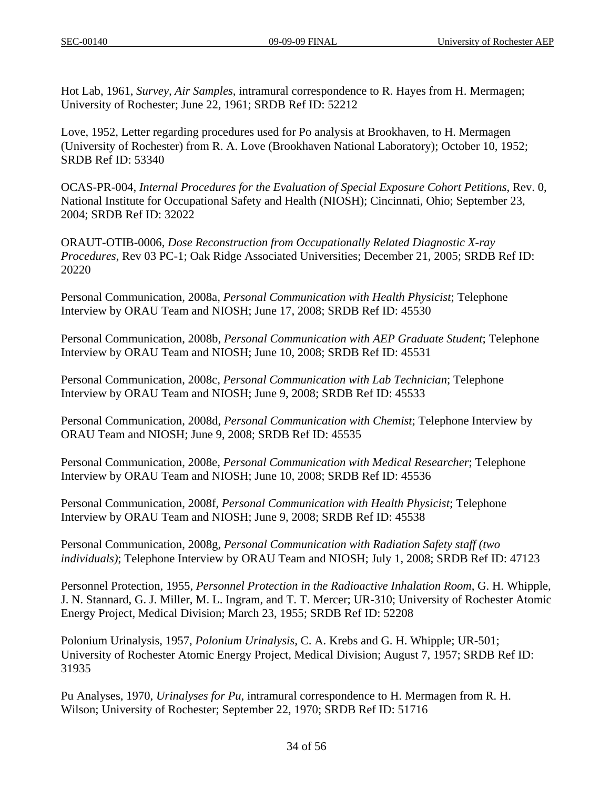Hot Lab, 1961, *Survey, Air Samples*, intramural correspondence to R. Hayes from H. Mermagen; University of Rochester; June 22, 1961; SRDB Ref ID: 52212

Love, 1952, Letter regarding procedures used for Po analysis at Brookhaven, to H. Mermagen (University of Rochester) from R. A. Love (Brookhaven National Laboratory); October 10, 1952; SRDB Ref ID: 53340

OCAS-PR-004, *Internal Procedures for the Evaluation of Special Exposure Cohort Petitions*, Rev. 0, National Institute for Occupational Safety and Health (NIOSH); Cincinnati, Ohio; September 23, 2004; SRDB Ref ID: 32022

ORAUT-OTIB-0006, *Dose Reconstruction from Occupationally Related Diagnostic X-ray Procedures*, Rev 03 PC-1; Oak Ridge Associated Universities; December 21, 2005; SRDB Ref ID: 20220

Personal Communication, 2008a, *Personal Communication with Health Physicist*; Telephone Interview by ORAU Team and NIOSH; June 17, 2008; SRDB Ref ID: 45530

Personal Communication, 2008b, *Personal Communication with AEP Graduate Student*; Telephone Interview by ORAU Team and NIOSH; June 10, 2008; SRDB Ref ID: 45531

Personal Communication, 2008c, *Personal Communication with Lab Technician*; Telephone Interview by ORAU Team and NIOSH; June 9, 2008; SRDB Ref ID: 45533

Personal Communication, 2008d, *Personal Communication with Chemist*; Telephone Interview by ORAU Team and NIOSH; June 9, 2008; SRDB Ref ID: 45535

Personal Communication, 2008e, *Personal Communication with Medical Researcher*; Telephone Interview by ORAU Team and NIOSH; June 10, 2008; SRDB Ref ID: 45536

Personal Communication, 2008f, *Personal Communication with Health Physicist*; Telephone Interview by ORAU Team and NIOSH; June 9, 2008; SRDB Ref ID: 45538

Personal Communication, 2008g, *Personal Communication with Radiation Safety staff (two individuals)*; Telephone Interview by ORAU Team and NIOSH; July 1, 2008; SRDB Ref ID: 47123

Personnel Protection, 1955, *Personnel Protection in the Radioactive Inhalation Room*, G. H. Whipple, J. N. Stannard, G. J. Miller, M. L. Ingram, and T. T. Mercer; UR-310; University of Rochester Atomic Energy Project, Medical Division; March 23, 1955; SRDB Ref ID: 52208

Polonium Urinalysis, 1957, *Polonium Urinalysis*, C. A. Krebs and G. H. Whipple; UR-501; University of Rochester Atomic Energy Project, Medical Division; August 7, 1957; SRDB Ref ID: 31935

Pu Analyses, 1970, *Urinalyses for Pu*, intramural correspondence to H. Mermagen from R. H. Wilson; University of Rochester; September 22, 1970; SRDB Ref ID: 51716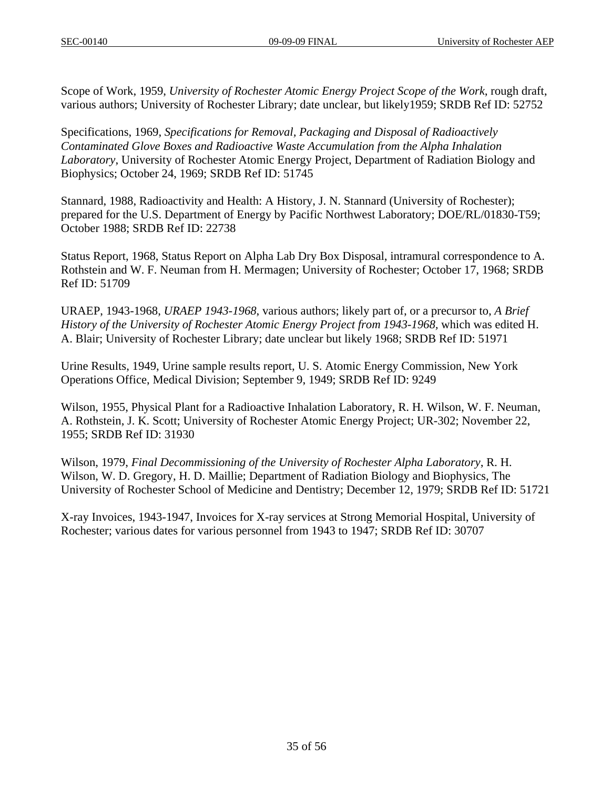Scope of Work, 1959, *University of Rochester Atomic Energy Project Scope of the Work*, rough draft, various authors; University of Rochester Library; date unclear, but likely1959; SRDB Ref ID: 52752

Specifications, 1969, *Specifications for Removal, Packaging and Disposal of Radioactively Contaminated Glove Boxes and Radioactive Waste Accumulation from the Alpha Inhalation Laboratory*, University of Rochester Atomic Energy Project, Department of Radiation Biology and Biophysics; October 24, 1969; SRDB Ref ID: 51745

Stannard, 1988, Radioactivity and Health: A History, J. N. Stannard (University of Rochester); prepared for the U.S. Department of Energy by Pacific Northwest Laboratory; DOE/RL/01830-T59; October 1988; SRDB Ref ID: 22738

Status Report, 1968, Status Report on Alpha Lab Dry Box Disposal, intramural correspondence to A. Rothstein and W. F. Neuman from H. Mermagen; University of Rochester; October 17, 1968; SRDB Ref ID: 51709

URAEP, 1943-1968, *URAEP 1943-1968*, various authors; likely part of, or a precursor to, *A Brief History of the University of Rochester Atomic Energy Project from 1943-1968,* which was edited H. A. Blair; University of Rochester Library; date unclear but likely 1968; SRDB Ref ID: 51971

Urine Results, 1949, Urine sample results report, U. S. Atomic Energy Commission, New York Operations Office, Medical Division; September 9, 1949; SRDB Ref ID: 9249

Wilson, 1955, Physical Plant for a Radioactive Inhalation Laboratory, R. H. Wilson, W. F. Neuman, A. Rothstein, J. K. Scott; University of Rochester Atomic Energy Project; UR-302; November 22, 1955; SRDB Ref ID: 31930

Wilson, 1979, *Final Decommissioning of the University of Rochester Alpha Laboratory*, R. H. Wilson, W. D. Gregory, H. D. Maillie; Department of Radiation Biology and Biophysics, The University of Rochester School of Medicine and Dentistry; December 12, 1979; SRDB Ref ID: 51721

X-ray Invoices, 1943-1947, Invoices for X-ray services at Strong Memorial Hospital, University of Rochester; various dates for various personnel from 1943 to 1947; SRDB Ref ID: 30707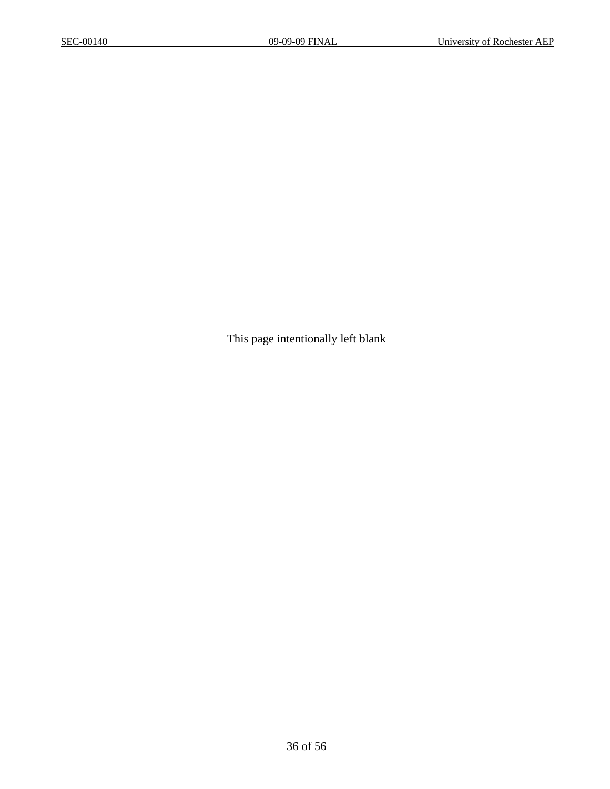This page intentionally left blank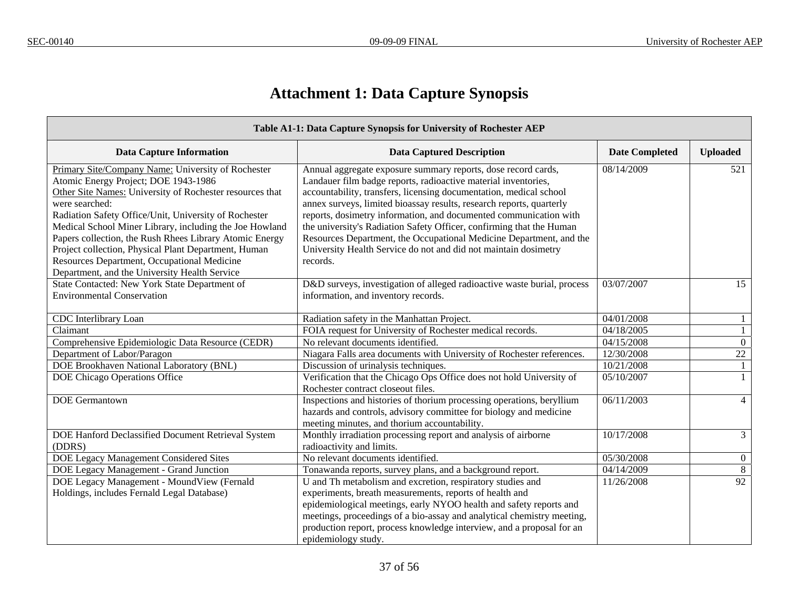# **Attachment 1: Data Capture Synopsis**

<span id="page-36-0"></span>

| Table A1-1: Data Capture Synopsis for University of Rochester AEP                                                                                                                                                                                                                                                                                                                                                                                                                                               |                                                                                                                                                                                                                                                                                                                                                                                                                                                                                                                                                                                  |                         |                 |
|-----------------------------------------------------------------------------------------------------------------------------------------------------------------------------------------------------------------------------------------------------------------------------------------------------------------------------------------------------------------------------------------------------------------------------------------------------------------------------------------------------------------|----------------------------------------------------------------------------------------------------------------------------------------------------------------------------------------------------------------------------------------------------------------------------------------------------------------------------------------------------------------------------------------------------------------------------------------------------------------------------------------------------------------------------------------------------------------------------------|-------------------------|-----------------|
| <b>Data Capture Information</b>                                                                                                                                                                                                                                                                                                                                                                                                                                                                                 | <b>Data Captured Description</b>                                                                                                                                                                                                                                                                                                                                                                                                                                                                                                                                                 | <b>Date Completed</b>   | <b>Uploaded</b> |
| Primary Site/Company Name: University of Rochester<br>Atomic Energy Project; DOE 1943-1986<br>Other Site Names: University of Rochester resources that<br>were searched:<br>Radiation Safety Office/Unit, University of Rochester<br>Medical School Miner Library, including the Joe Howland<br>Papers collection, the Rush Rhees Library Atomic Energy<br>Project collection, Physical Plant Department, Human<br>Resources Department, Occupational Medicine<br>Department, and the University Health Service | Annual aggregate exposure summary reports, dose record cards,<br>Landauer film badge reports, radioactive material inventories,<br>accountability, transfers, licensing documentation, medical school<br>annex surveys, limited bioassay results, research reports, quarterly<br>reports, dosimetry information, and documented communication with<br>the university's Radiation Safety Officer, confirming that the Human<br>Resources Department, the Occupational Medicine Department, and the<br>University Health Service do not and did not maintain dosimetry<br>records. | 08/14/2009              | 521             |
| State Contacted: New York State Department of<br><b>Environmental Conservation</b>                                                                                                                                                                                                                                                                                                                                                                                                                              | D&D surveys, investigation of alleged radioactive waste burial, process<br>information, and inventory records.                                                                                                                                                                                                                                                                                                                                                                                                                                                                   | 03/07/2007              | 15              |
| CDC Interlibrary Loan                                                                                                                                                                                                                                                                                                                                                                                                                                                                                           | Radiation safety in the Manhattan Project.                                                                                                                                                                                                                                                                                                                                                                                                                                                                                                                                       | 04/01/2008              | $\mathbf{1}$    |
| Claimant                                                                                                                                                                                                                                                                                                                                                                                                                                                                                                        | FOIA request for University of Rochester medical records.                                                                                                                                                                                                                                                                                                                                                                                                                                                                                                                        | 04/18/2005              | $\mathbf{1}$    |
| Comprehensive Epidemiologic Data Resource (CEDR)                                                                                                                                                                                                                                                                                                                                                                                                                                                                | No relevant documents identified.                                                                                                                                                                                                                                                                                                                                                                                                                                                                                                                                                | 04/15/2008              | $\mathbf{0}$    |
| Department of Labor/Paragon                                                                                                                                                                                                                                                                                                                                                                                                                                                                                     | Niagara Falls area documents with University of Rochester references.                                                                                                                                                                                                                                                                                                                                                                                                                                                                                                            | 12/30/2008              | 22              |
| DOE Brookhaven National Laboratory (BNL)                                                                                                                                                                                                                                                                                                                                                                                                                                                                        | Discussion of urinalysis techniques.                                                                                                                                                                                                                                                                                                                                                                                                                                                                                                                                             | 10/21/2008              | -1              |
| DOE Chicago Operations Office                                                                                                                                                                                                                                                                                                                                                                                                                                                                                   | Verification that the Chicago Ops Office does not hold University of<br>Rochester contract closeout files.                                                                                                                                                                                                                                                                                                                                                                                                                                                                       | 05/10/2007              | $\mathbf{1}$    |
| <b>DOE</b> Germantown                                                                                                                                                                                                                                                                                                                                                                                                                                                                                           | Inspections and histories of thorium processing operations, beryllium<br>hazards and controls, advisory committee for biology and medicine<br>meeting minutes, and thorium accountability.                                                                                                                                                                                                                                                                                                                                                                                       | $\overline{06}/11/2003$ | $\overline{4}$  |
| DOE Hanford Declassified Document Retrieval System<br>(DDRS)                                                                                                                                                                                                                                                                                                                                                                                                                                                    | Monthly irradiation processing report and analysis of airborne<br>radioactivity and limits.                                                                                                                                                                                                                                                                                                                                                                                                                                                                                      | 10/17/2008              | $\overline{3}$  |
| DOE Legacy Management Considered Sites                                                                                                                                                                                                                                                                                                                                                                                                                                                                          | No relevant documents identified.                                                                                                                                                                                                                                                                                                                                                                                                                                                                                                                                                | 05/30/2008              | $\overline{0}$  |
| DOE Legacy Management - Grand Junction                                                                                                                                                                                                                                                                                                                                                                                                                                                                          | Tonawanda reports, survey plans, and a background report.                                                                                                                                                                                                                                                                                                                                                                                                                                                                                                                        | 04/14/2009              | 8               |
| DOE Legacy Management - MoundView (Fernald<br>Holdings, includes Fernald Legal Database)                                                                                                                                                                                                                                                                                                                                                                                                                        | U and Th metabolism and excretion, respiratory studies and<br>experiments, breath measurements, reports of health and<br>epidemiological meetings, early NYOO health and safety reports and<br>meetings, proceedings of a bio-assay and analytical chemistry meeting,<br>production report, process knowledge interview, and a proposal for an<br>epidemiology study.                                                                                                                                                                                                            | 11/26/2008              | 92              |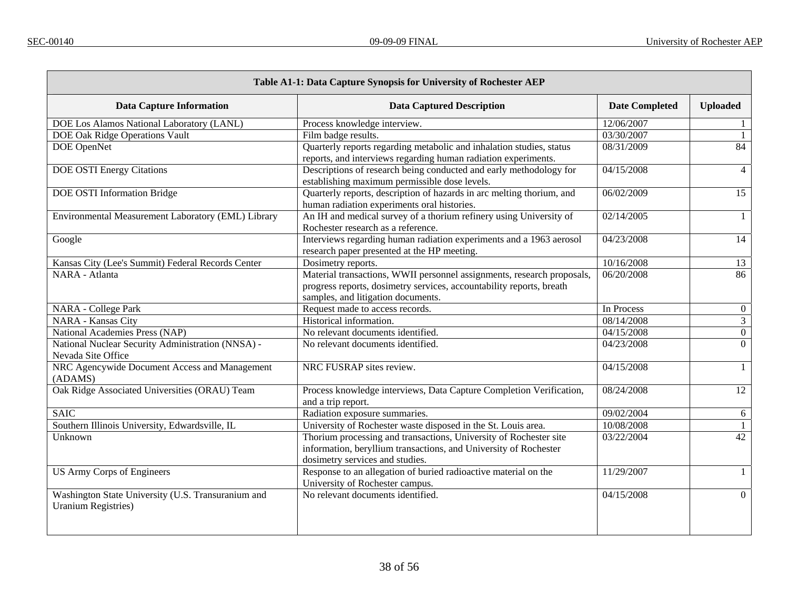| Table A1-1: Data Capture Synopsis for University of Rochester AEP                 |                                                                                                                                                                                      |                       |                 |
|-----------------------------------------------------------------------------------|--------------------------------------------------------------------------------------------------------------------------------------------------------------------------------------|-----------------------|-----------------|
| <b>Data Capture Information</b>                                                   | <b>Data Captured Description</b>                                                                                                                                                     | <b>Date Completed</b> | <b>Uploaded</b> |
| DOE Los Alamos National Laboratory (LANL)                                         | Process knowledge interview.                                                                                                                                                         | 12/06/2007            | 1               |
| <b>DOE Oak Ridge Operations Vault</b>                                             | Film badge results.                                                                                                                                                                  | 03/30/2007            |                 |
| DOE OpenNet                                                                       | Quarterly reports regarding metabolic and inhalation studies, status<br>reports, and interviews regarding human radiation experiments.                                               | 08/31/2009            | 84              |
| <b>DOE OSTI Energy Citations</b>                                                  | Descriptions of research being conducted and early methodology for<br>establishing maximum permissible dose levels.                                                                  | 04/15/2008            | $\overline{4}$  |
| DOE OSTI Information Bridge                                                       | Quarterly reports, description of hazards in arc melting thorium, and<br>human radiation experiments oral histories.                                                                 | 06/02/2009            | 15              |
| Environmental Measurement Laboratory (EML) Library                                | An IH and medical survey of a thorium refinery using University of<br>Rochester research as a reference.                                                                             | 02/14/2005            | $\mathbf{1}$    |
| Google                                                                            | Interviews regarding human radiation experiments and a 1963 aerosol<br>research paper presented at the HP meeting.                                                                   | 04/23/2008            | 14              |
| Kansas City (Lee's Summit) Federal Records Center                                 | Dosimetry reports.                                                                                                                                                                   | 10/16/2008            | 13              |
| NARA - Atlanta                                                                    | Material transactions, WWII personnel assignments, research proposals,<br>progress reports, dosimetry services, accountability reports, breath<br>samples, and litigation documents. | 06/20/2008            | 86              |
| NARA - College Park                                                               | Request made to access records.                                                                                                                                                      | In Process            | $\overline{0}$  |
| <b>NARA - Kansas City</b>                                                         | Historical information.                                                                                                                                                              | 08/14/2008            | 3               |
| National Academies Press (NAP)                                                    | No relevant documents identified.                                                                                                                                                    | 04/15/2008            | $\overline{0}$  |
| National Nuclear Security Administration (NNSA) -<br>Nevada Site Office           | No relevant documents identified.                                                                                                                                                    | 04/23/2008            | $\overline{0}$  |
| NRC Agencywide Document Access and Management<br>(ADAMS)                          | NRC FUSRAP sites review.                                                                                                                                                             | 04/15/2008            | $\mathbf{1}$    |
| Oak Ridge Associated Universities (ORAU) Team                                     | Process knowledge interviews, Data Capture Completion Verification,<br>and a trip report.                                                                                            | 08/24/2008            | 12              |
| <b>SAIC</b>                                                                       | Radiation exposure summaries.                                                                                                                                                        | 09/02/2004            | 6               |
| Southern Illinois University, Edwardsville, IL                                    | University of Rochester waste disposed in the St. Louis area.                                                                                                                        | 10/08/2008            | $\mathbf{1}$    |
| Unknown                                                                           | Thorium processing and transactions, University of Rochester site<br>information, beryllium transactions, and University of Rochester<br>dosimetry services and studies.             | 03/22/2004            | 42              |
| <b>US Army Corps of Engineers</b>                                                 | Response to an allegation of buried radioactive material on the<br>University of Rochester campus.                                                                                   | 11/29/2007            | $\mathbf{1}$    |
| Washington State University (U.S. Transuranium and<br><b>Uranium Registries</b> ) | No relevant documents identified.                                                                                                                                                    | 04/15/2008            | $\Omega$        |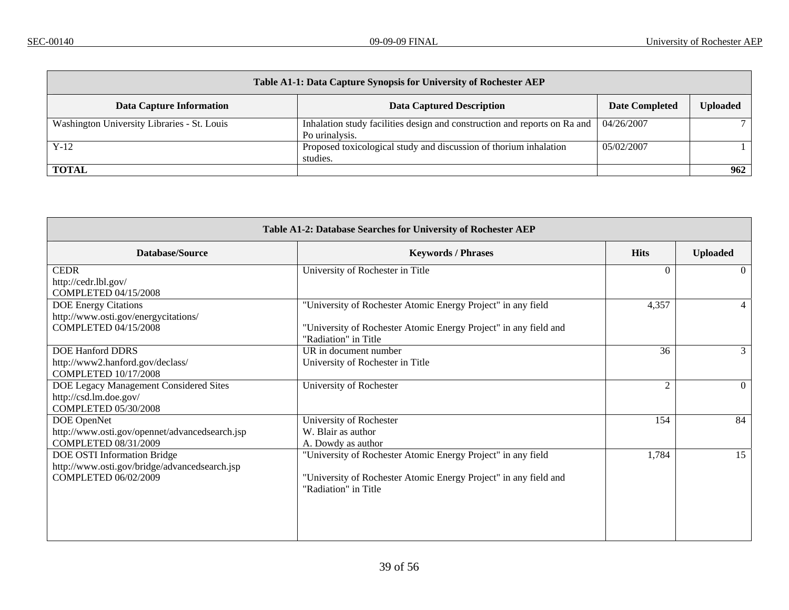| Table A1-1: Data Capture Synopsis for University of Rochester AEP |                                                                                             |                       |                 |  |
|-------------------------------------------------------------------|---------------------------------------------------------------------------------------------|-----------------------|-----------------|--|
| <b>Data Capture Information</b>                                   | <b>Data Captured Description</b>                                                            | <b>Date Completed</b> | <b>Uploaded</b> |  |
| Washington University Libraries - St. Louis                       | Inhalation study facilities design and construction and reports on Ra and<br>Po urinalysis. | 04/26/2007            |                 |  |
| $Y-12$                                                            | Proposed toxicological study and discussion of thorium inhalation<br>studies.               | 05/02/2007            |                 |  |
| <b>TOTAL</b>                                                      |                                                                                             |                       | 962             |  |

| Table A1-2: Database Searches for University of Rochester AEP                                        |                                                                                                                                                          |                |                 |
|------------------------------------------------------------------------------------------------------|----------------------------------------------------------------------------------------------------------------------------------------------------------|----------------|-----------------|
| Database/Source                                                                                      | <b>Keywords / Phrases</b>                                                                                                                                | <b>Hits</b>    | <b>Uploaded</b> |
| <b>CEDR</b><br>http://cedr.lbl.gov/<br>COMPLETED 04/15/2008                                          | University of Rochester in Title                                                                                                                         | $\Omega$       | $\theta$        |
| <b>DOE Energy Citations</b><br>http://www.osti.gov/energycitations/<br>COMPLETED 04/15/2008          | "University of Rochester Atomic Energy Project" in any field<br>"University of Rochester Atomic Energy Project" in any field and<br>"Radiation" in Title | 4,357          | 4               |
| <b>DOE Hanford DDRS</b><br>http://www2.hanford.gov/declass/<br><b>COMPLETED 10/17/2008</b>           | UR in document number<br>University of Rochester in Title                                                                                                | 36             | 3               |
| DOE Legacy Management Considered Sites<br>http://csd.lm.doe.gov/<br>COMPLETED 05/30/2008             | University of Rochester                                                                                                                                  | $\overline{2}$ | $\Omega$        |
| DOE OpenNet<br>http://www.osti.gov/opennet/advancedsearch.jsp<br>COMPLETED 08/31/2009                | University of Rochester<br>W. Blair as author<br>A. Dowdy as author                                                                                      | 154            | 84              |
| DOE OSTI Information Bridge<br>http://www.osti.gov/bridge/advancedsearch.jsp<br>COMPLETED 06/02/2009 | "University of Rochester Atomic Energy Project" in any field<br>"University of Rochester Atomic Energy Project" in any field and<br>"Radiation" in Title | 1,784          | 15              |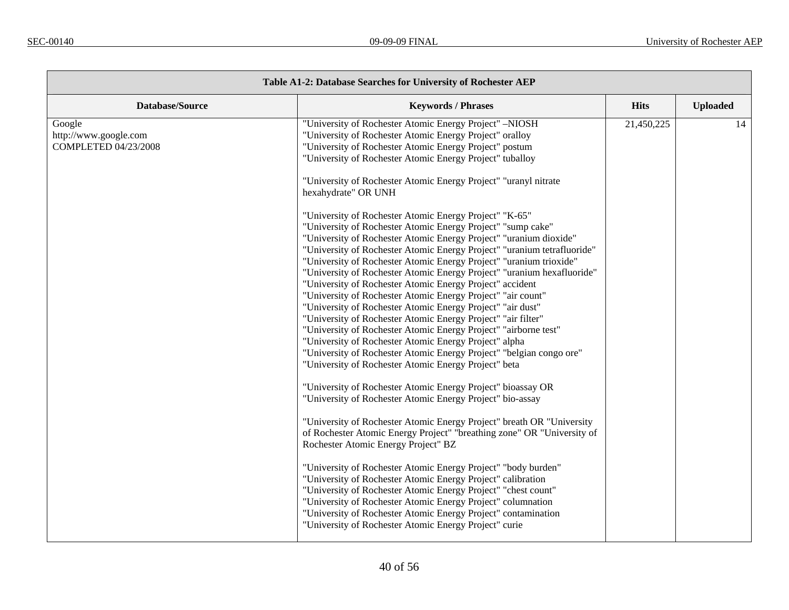| Table A1-2: Database Searches for University of Rochester AEP |                                                                                                                                                                                                                                                                                                                                                                                                                                                                                                                                                                                                                                                                                                                                                                                                                                                                                                                                                                                                                                                                                                                                                                                                                                                                                                                                                                                                                                                                                                                                                                                                                                                                                                                                                                                                                                                                                                                                                                                                |             |                 |
|---------------------------------------------------------------|------------------------------------------------------------------------------------------------------------------------------------------------------------------------------------------------------------------------------------------------------------------------------------------------------------------------------------------------------------------------------------------------------------------------------------------------------------------------------------------------------------------------------------------------------------------------------------------------------------------------------------------------------------------------------------------------------------------------------------------------------------------------------------------------------------------------------------------------------------------------------------------------------------------------------------------------------------------------------------------------------------------------------------------------------------------------------------------------------------------------------------------------------------------------------------------------------------------------------------------------------------------------------------------------------------------------------------------------------------------------------------------------------------------------------------------------------------------------------------------------------------------------------------------------------------------------------------------------------------------------------------------------------------------------------------------------------------------------------------------------------------------------------------------------------------------------------------------------------------------------------------------------------------------------------------------------------------------------------------------------|-------------|-----------------|
| Database/Source                                               | <b>Keywords / Phrases</b>                                                                                                                                                                                                                                                                                                                                                                                                                                                                                                                                                                                                                                                                                                                                                                                                                                                                                                                                                                                                                                                                                                                                                                                                                                                                                                                                                                                                                                                                                                                                                                                                                                                                                                                                                                                                                                                                                                                                                                      | <b>Hits</b> | <b>Uploaded</b> |
| Google<br>http://www.google.com<br>COMPLETED 04/23/2008       | "University of Rochester Atomic Energy Project" -NIOSH<br>"University of Rochester Atomic Energy Project" oralloy<br>"University of Rochester Atomic Energy Project" postum<br>"University of Rochester Atomic Energy Project" tuballoy<br>"University of Rochester Atomic Energy Project" "uranyl nitrate<br>hexahydrate" OR UNH<br>"University of Rochester Atomic Energy Project" "K-65"<br>"University of Rochester Atomic Energy Project" "sump cake"<br>"University of Rochester Atomic Energy Project" "uranium dioxide"<br>"University of Rochester Atomic Energy Project" "uranium tetrafluoride"<br>"University of Rochester Atomic Energy Project" "uranium trioxide"<br>"University of Rochester Atomic Energy Project" "uranium hexafluoride"<br>"University of Rochester Atomic Energy Project" accident<br>"University of Rochester Atomic Energy Project" "air count"<br>"University of Rochester Atomic Energy Project" "air dust"<br>"University of Rochester Atomic Energy Project" "air filter"<br>"University of Rochester Atomic Energy Project" "airborne test"<br>"University of Rochester Atomic Energy Project" alpha<br>"University of Rochester Atomic Energy Project" "belgian congo ore"<br>"University of Rochester Atomic Energy Project" beta<br>"University of Rochester Atomic Energy Project" bioassay OR<br>"University of Rochester Atomic Energy Project" bio-assay<br>"University of Rochester Atomic Energy Project" breath OR "University<br>of Rochester Atomic Energy Project" "breathing zone" OR "University of<br>Rochester Atomic Energy Project" BZ<br>"University of Rochester Atomic Energy Project" "body burden"<br>"University of Rochester Atomic Energy Project" calibration<br>"University of Rochester Atomic Energy Project" "chest count"<br>"University of Rochester Atomic Energy Project" columnation<br>"University of Rochester Atomic Energy Project" contamination<br>"University of Rochester Atomic Energy Project" curie | 21,450,225  | 14              |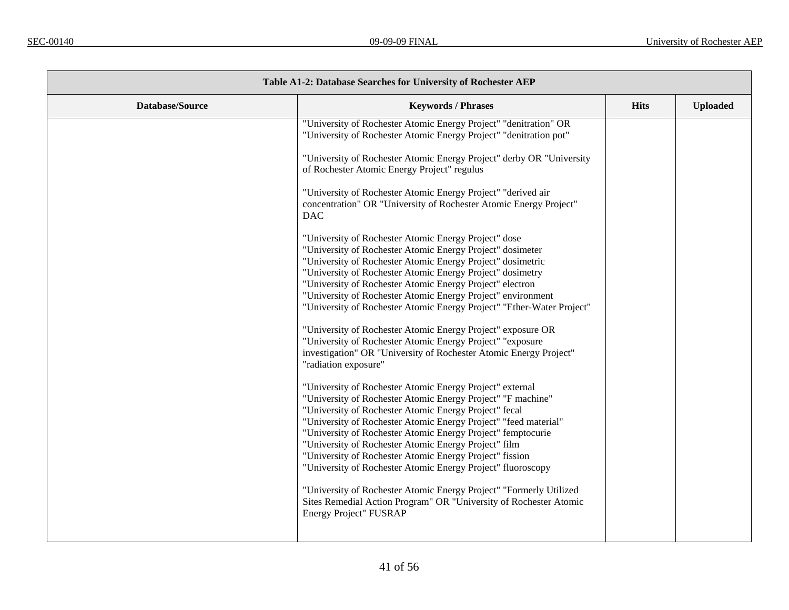| Table A1-2: Database Searches for University of Rochester AEP |                                                                                                                                                                                                                                                                                                                                                                                                                                                                                                                                                                                                                                                                                                                                                                                                                                                                                                                                                                                                                                                                                                                                                                                                                                                                                                                                                                                                                                                                                                                                                                                                                                                                                                                                                                                  |             |                 |
|---------------------------------------------------------------|----------------------------------------------------------------------------------------------------------------------------------------------------------------------------------------------------------------------------------------------------------------------------------------------------------------------------------------------------------------------------------------------------------------------------------------------------------------------------------------------------------------------------------------------------------------------------------------------------------------------------------------------------------------------------------------------------------------------------------------------------------------------------------------------------------------------------------------------------------------------------------------------------------------------------------------------------------------------------------------------------------------------------------------------------------------------------------------------------------------------------------------------------------------------------------------------------------------------------------------------------------------------------------------------------------------------------------------------------------------------------------------------------------------------------------------------------------------------------------------------------------------------------------------------------------------------------------------------------------------------------------------------------------------------------------------------------------------------------------------------------------------------------------|-------------|-----------------|
| Database/Source                                               | <b>Keywords / Phrases</b>                                                                                                                                                                                                                                                                                                                                                                                                                                                                                                                                                                                                                                                                                                                                                                                                                                                                                                                                                                                                                                                                                                                                                                                                                                                                                                                                                                                                                                                                                                                                                                                                                                                                                                                                                        | <b>Hits</b> | <b>Uploaded</b> |
|                                                               | "University of Rochester Atomic Energy Project" "denitration" OR<br>"University of Rochester Atomic Energy Project" "denitration pot"<br>"University of Rochester Atomic Energy Project" derby OR "University<br>of Rochester Atomic Energy Project" regulus<br>"University of Rochester Atomic Energy Project" "derived air<br>concentration" OR "University of Rochester Atomic Energy Project"<br><b>DAC</b><br>"University of Rochester Atomic Energy Project" dose<br>"University of Rochester Atomic Energy Project" dosimeter<br>"University of Rochester Atomic Energy Project" dosimetric<br>"University of Rochester Atomic Energy Project" dosimetry<br>"University of Rochester Atomic Energy Project" electron<br>"University of Rochester Atomic Energy Project" environment<br>"University of Rochester Atomic Energy Project" "Ether-Water Project"<br>"University of Rochester Atomic Energy Project" exposure OR<br>"University of Rochester Atomic Energy Project" "exposure<br>investigation" OR "University of Rochester Atomic Energy Project"<br>"radiation exposure"<br>"University of Rochester Atomic Energy Project" external<br>"University of Rochester Atomic Energy Project" "F machine"<br>"University of Rochester Atomic Energy Project" fecal<br>"University of Rochester Atomic Energy Project" "feed material"<br>"University of Rochester Atomic Energy Project" femptocurie<br>"University of Rochester Atomic Energy Project" film<br>"University of Rochester Atomic Energy Project" fission<br>"University of Rochester Atomic Energy Project" fluoroscopy<br>"University of Rochester Atomic Energy Project" "Formerly Utilized<br>Sites Remedial Action Program" OR "University of Rochester Atomic<br><b>Energy Project" FUSRAP</b> |             |                 |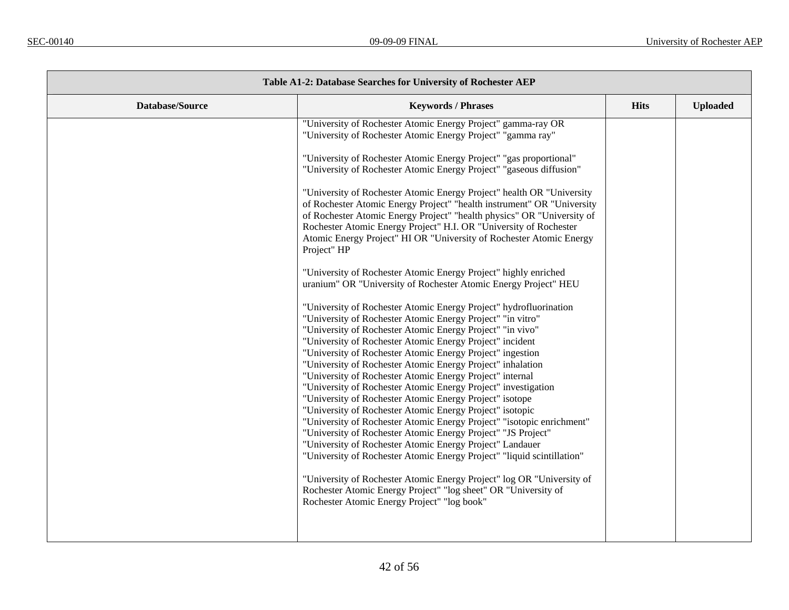| Table A1-2: Database Searches for University of Rochester AEP |                                                                                                                                                                                                                                                                                                                                                                                                                                                                                                                                                                                                                                                                                                                                                                                                                                                                                                                                                                                                                                                                                                                                                                                                                                                                                                                                                                                                                                                                                                                                                                                                                                                                                                                                                                                                                                                                                                                            |             |                 |
|---------------------------------------------------------------|----------------------------------------------------------------------------------------------------------------------------------------------------------------------------------------------------------------------------------------------------------------------------------------------------------------------------------------------------------------------------------------------------------------------------------------------------------------------------------------------------------------------------------------------------------------------------------------------------------------------------------------------------------------------------------------------------------------------------------------------------------------------------------------------------------------------------------------------------------------------------------------------------------------------------------------------------------------------------------------------------------------------------------------------------------------------------------------------------------------------------------------------------------------------------------------------------------------------------------------------------------------------------------------------------------------------------------------------------------------------------------------------------------------------------------------------------------------------------------------------------------------------------------------------------------------------------------------------------------------------------------------------------------------------------------------------------------------------------------------------------------------------------------------------------------------------------------------------------------------------------------------------------------------------------|-------------|-----------------|
| Database/Source                                               | <b>Keywords / Phrases</b>                                                                                                                                                                                                                                                                                                                                                                                                                                                                                                                                                                                                                                                                                                                                                                                                                                                                                                                                                                                                                                                                                                                                                                                                                                                                                                                                                                                                                                                                                                                                                                                                                                                                                                                                                                                                                                                                                                  | <b>Hits</b> | <b>Uploaded</b> |
|                                                               | "University of Rochester Atomic Energy Project" gamma-ray OR<br>"University of Rochester Atomic Energy Project" "gamma ray"<br>"University of Rochester Atomic Energy Project" "gas proportional"<br>"University of Rochester Atomic Energy Project" "gaseous diffusion"<br>"University of Rochester Atomic Energy Project" health OR "University<br>of Rochester Atomic Energy Project" "health instrument" OR "University<br>of Rochester Atomic Energy Project" "health physics" OR "University of<br>Rochester Atomic Energy Project" H.I. OR "University of Rochester<br>Atomic Energy Project" HI OR "University of Rochester Atomic Energy<br>Project" HP<br>"University of Rochester Atomic Energy Project" highly enriched<br>uranium" OR "University of Rochester Atomic Energy Project" HEU<br>"University of Rochester Atomic Energy Project" hydrofluorination<br>"University of Rochester Atomic Energy Project" "in vitro"<br>"University of Rochester Atomic Energy Project" "in vivo"<br>"University of Rochester Atomic Energy Project" incident<br>"University of Rochester Atomic Energy Project" ingestion<br>"University of Rochester Atomic Energy Project" inhalation<br>"University of Rochester Atomic Energy Project" internal<br>"University of Rochester Atomic Energy Project" investigation<br>"University of Rochester Atomic Energy Project" isotope<br>"University of Rochester Atomic Energy Project" isotopic<br>"University of Rochester Atomic Energy Project" "isotopic enrichment"<br>"University of Rochester Atomic Energy Project" "JS Project"<br>"University of Rochester Atomic Energy Project" Landauer<br>"University of Rochester Atomic Energy Project" "liquid scintillation"<br>"University of Rochester Atomic Energy Project" log OR "University of<br>Rochester Atomic Energy Project" "log sheet" OR "University of<br>Rochester Atomic Energy Project" "log book" |             |                 |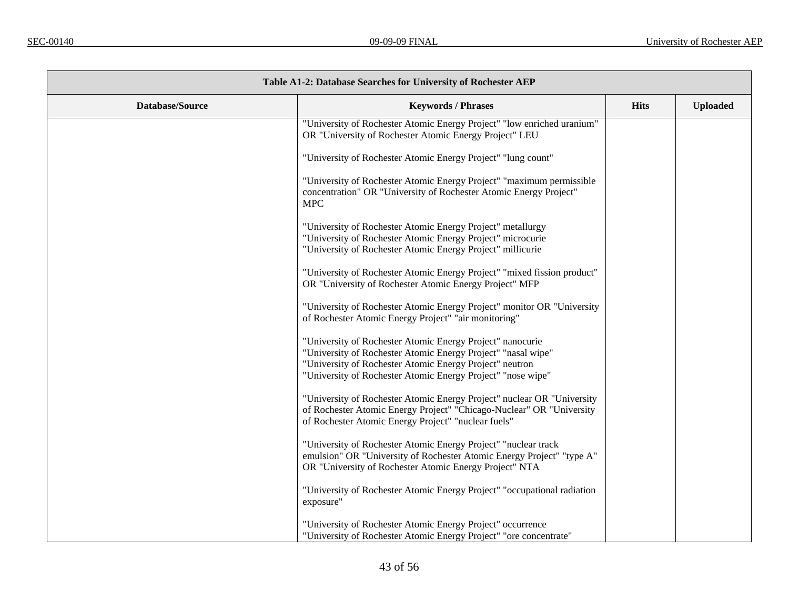| Table A1-2: Database Searches for University of Rochester AEP |                                                                                                                                                                                                                                                     |             |                 |
|---------------------------------------------------------------|-----------------------------------------------------------------------------------------------------------------------------------------------------------------------------------------------------------------------------------------------------|-------------|-----------------|
| Database/Source                                               | <b>Keywords / Phrases</b>                                                                                                                                                                                                                           | <b>Hits</b> | <b>Uploaded</b> |
|                                                               | "University of Rochester Atomic Energy Project" "low enriched uranium"<br>OR "University of Rochester Atomic Energy Project" LEU                                                                                                                    |             |                 |
|                                                               | "University of Rochester Atomic Energy Project" "lung count"                                                                                                                                                                                        |             |                 |
|                                                               | "University of Rochester Atomic Energy Project" "maximum permissible<br>concentration" OR "University of Rochester Atomic Energy Project"<br><b>MPC</b>                                                                                             |             |                 |
|                                                               | "University of Rochester Atomic Energy Project" metallurgy<br>"University of Rochester Atomic Energy Project" microcurie<br>"University of Rochester Atomic Energy Project" millicurie                                                              |             |                 |
|                                                               | "University of Rochester Atomic Energy Project" "mixed fission product"<br>OR "University of Rochester Atomic Energy Project" MFP                                                                                                                   |             |                 |
|                                                               | "University of Rochester Atomic Energy Project" monitor OR "University<br>of Rochester Atomic Energy Project" "air monitoring"                                                                                                                      |             |                 |
|                                                               | "University of Rochester Atomic Energy Project" nanocurie<br>"University of Rochester Atomic Energy Project" "nasal wipe"<br>"University of Rochester Atomic Energy Project" neutron<br>"University of Rochester Atomic Energy Project" "nose wipe" |             |                 |
|                                                               | "University of Rochester Atomic Energy Project" nuclear OR "University<br>of Rochester Atomic Energy Project" "Chicago-Nuclear" OR "University<br>of Rochester Atomic Energy Project" "nuclear fuels"                                               |             |                 |
|                                                               | "University of Rochester Atomic Energy Project" "nuclear track<br>emulsion" OR "University of Rochester Atomic Energy Project" "type A"<br>OR "University of Rochester Atomic Energy Project" NTA                                                   |             |                 |
|                                                               | "University of Rochester Atomic Energy Project" "occupational radiation<br>exposure"                                                                                                                                                                |             |                 |
|                                                               | "University of Rochester Atomic Energy Project" occurrence<br>"University of Rochester Atomic Energy Project" "ore concentrate"                                                                                                                     |             |                 |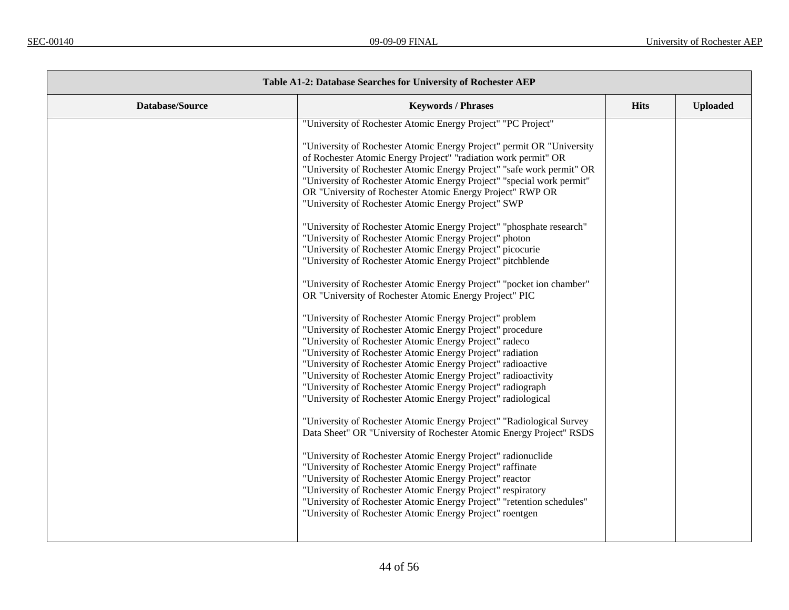| Table A1-2: Database Searches for University of Rochester AEP |                                                                                                                                                                                                                                                                                                                                                                                                                                                                                                                                                                                                                                                                                                                                                                                                                                                                                                                                                                                                                                                                                                                                                                                                                                                                                                                                                                                                                                                                                                                                                                                                                                                                                                                                                                                                                                                                                                                                       |             |                 |
|---------------------------------------------------------------|---------------------------------------------------------------------------------------------------------------------------------------------------------------------------------------------------------------------------------------------------------------------------------------------------------------------------------------------------------------------------------------------------------------------------------------------------------------------------------------------------------------------------------------------------------------------------------------------------------------------------------------------------------------------------------------------------------------------------------------------------------------------------------------------------------------------------------------------------------------------------------------------------------------------------------------------------------------------------------------------------------------------------------------------------------------------------------------------------------------------------------------------------------------------------------------------------------------------------------------------------------------------------------------------------------------------------------------------------------------------------------------------------------------------------------------------------------------------------------------------------------------------------------------------------------------------------------------------------------------------------------------------------------------------------------------------------------------------------------------------------------------------------------------------------------------------------------------------------------------------------------------------------------------------------------------|-------------|-----------------|
| <b>Database/Source</b>                                        | <b>Keywords / Phrases</b>                                                                                                                                                                                                                                                                                                                                                                                                                                                                                                                                                                                                                                                                                                                                                                                                                                                                                                                                                                                                                                                                                                                                                                                                                                                                                                                                                                                                                                                                                                                                                                                                                                                                                                                                                                                                                                                                                                             | <b>Hits</b> | <b>Uploaded</b> |
|                                                               | "University of Rochester Atomic Energy Project" "PC Project"<br>"University of Rochester Atomic Energy Project" permit OR "University<br>of Rochester Atomic Energy Project" "radiation work permit" OR<br>"University of Rochester Atomic Energy Project" "safe work permit" OR<br>"University of Rochester Atomic Energy Project" "special work permit"<br>OR "University of Rochester Atomic Energy Project" RWP OR<br>"University of Rochester Atomic Energy Project" SWP<br>"University of Rochester Atomic Energy Project" "phosphate research"<br>"University of Rochester Atomic Energy Project" photon<br>"University of Rochester Atomic Energy Project" picocurie<br>"University of Rochester Atomic Energy Project" pitchblende<br>"University of Rochester Atomic Energy Project" "pocket ion chamber"<br>OR "University of Rochester Atomic Energy Project" PIC<br>"University of Rochester Atomic Energy Project" problem<br>"University of Rochester Atomic Energy Project" procedure<br>"University of Rochester Atomic Energy Project" radeco<br>"University of Rochester Atomic Energy Project" radiation<br>"University of Rochester Atomic Energy Project" radioactive<br>"University of Rochester Atomic Energy Project" radioactivity<br>"University of Rochester Atomic Energy Project" radiograph<br>"University of Rochester Atomic Energy Project" radiological<br>"University of Rochester Atomic Energy Project" "Radiological Survey<br>Data Sheet" OR "University of Rochester Atomic Energy Project" RSDS<br>"University of Rochester Atomic Energy Project" radionuclide<br>"University of Rochester Atomic Energy Project" raffinate<br>"University of Rochester Atomic Energy Project" reactor<br>"University of Rochester Atomic Energy Project" respiratory<br>"University of Rochester Atomic Energy Project" "retention schedules"<br>"University of Rochester Atomic Energy Project" roentgen |             |                 |
|                                                               |                                                                                                                                                                                                                                                                                                                                                                                                                                                                                                                                                                                                                                                                                                                                                                                                                                                                                                                                                                                                                                                                                                                                                                                                                                                                                                                                                                                                                                                                                                                                                                                                                                                                                                                                                                                                                                                                                                                                       |             |                 |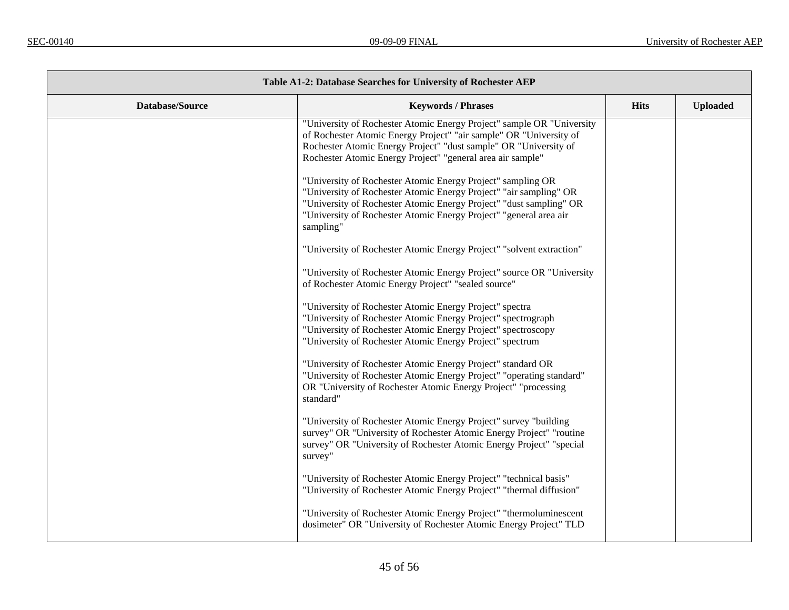| Table A1-2: Database Searches for University of Rochester AEP |                                                                                                                                                                                                                                                                                                                                                                                                                                                                                         |             |                 |
|---------------------------------------------------------------|-----------------------------------------------------------------------------------------------------------------------------------------------------------------------------------------------------------------------------------------------------------------------------------------------------------------------------------------------------------------------------------------------------------------------------------------------------------------------------------------|-------------|-----------------|
| Database/Source                                               | <b>Keywords / Phrases</b>                                                                                                                                                                                                                                                                                                                                                                                                                                                               | <b>Hits</b> | <b>Uploaded</b> |
|                                                               | "University of Rochester Atomic Energy Project" sample OR "University<br>of Rochester Atomic Energy Project" "air sample" OR "University of<br>Rochester Atomic Energy Project" "dust sample" OR "University of<br>Rochester Atomic Energy Project" "general area air sample"<br>"University of Rochester Atomic Energy Project" sampling OR<br>"University of Rochester Atomic Energy Project" "air sampling" OR<br>"University of Rochester Atomic Energy Project" "dust sampling" OR |             |                 |
|                                                               | "University of Rochester Atomic Energy Project" "general area air<br>sampling"                                                                                                                                                                                                                                                                                                                                                                                                          |             |                 |
|                                                               | "University of Rochester Atomic Energy Project" "solvent extraction"                                                                                                                                                                                                                                                                                                                                                                                                                    |             |                 |
|                                                               | "University of Rochester Atomic Energy Project" source OR "University<br>of Rochester Atomic Energy Project" "sealed source"                                                                                                                                                                                                                                                                                                                                                            |             |                 |
|                                                               | "University of Rochester Atomic Energy Project" spectra<br>"University of Rochester Atomic Energy Project" spectrograph<br>"University of Rochester Atomic Energy Project" spectroscopy<br>"University of Rochester Atomic Energy Project" spectrum                                                                                                                                                                                                                                     |             |                 |
|                                                               | "University of Rochester Atomic Energy Project" standard OR<br>"University of Rochester Atomic Energy Project" "operating standard"<br>OR "University of Rochester Atomic Energy Project" "processing<br>standard"                                                                                                                                                                                                                                                                      |             |                 |
|                                                               | "University of Rochester Atomic Energy Project" survey "building<br>survey" OR "University of Rochester Atomic Energy Project" "routine<br>survey" OR "University of Rochester Atomic Energy Project" "special<br>survey"                                                                                                                                                                                                                                                               |             |                 |
|                                                               | "University of Rochester Atomic Energy Project" "technical basis"<br>"University of Rochester Atomic Energy Project" "thermal diffusion"                                                                                                                                                                                                                                                                                                                                                |             |                 |
|                                                               | "University of Rochester Atomic Energy Project" "thermoluminescent<br>dosimeter" OR "University of Rochester Atomic Energy Project" TLD                                                                                                                                                                                                                                                                                                                                                 |             |                 |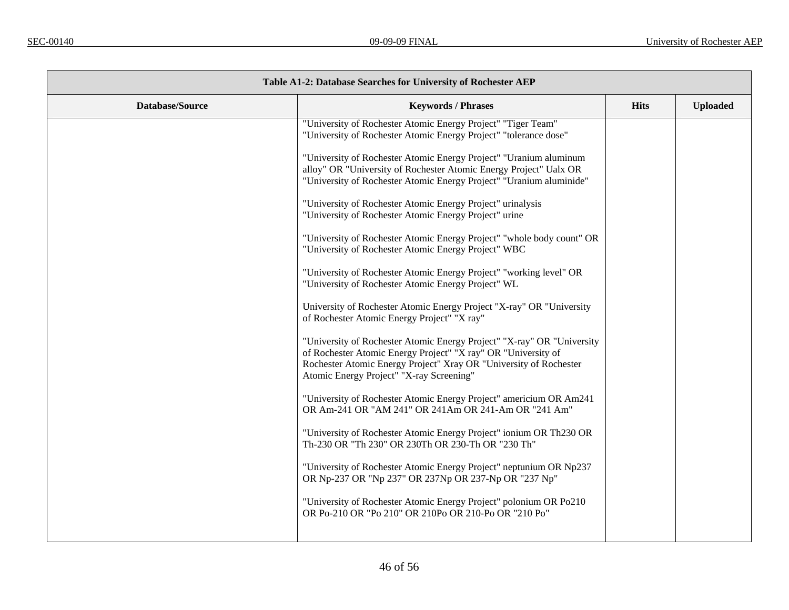| Table A1-2: Database Searches for University of Rochester AEP |                                                                                                                                                                                                                                                                                                                                                                                                                                                                                                                                                                                                                                                                                                                                                                                                                                                                                                                                                                                                                                 |             |                 |
|---------------------------------------------------------------|---------------------------------------------------------------------------------------------------------------------------------------------------------------------------------------------------------------------------------------------------------------------------------------------------------------------------------------------------------------------------------------------------------------------------------------------------------------------------------------------------------------------------------------------------------------------------------------------------------------------------------------------------------------------------------------------------------------------------------------------------------------------------------------------------------------------------------------------------------------------------------------------------------------------------------------------------------------------------------------------------------------------------------|-------------|-----------------|
| Database/Source                                               | <b>Keywords / Phrases</b>                                                                                                                                                                                                                                                                                                                                                                                                                                                                                                                                                                                                                                                                                                                                                                                                                                                                                                                                                                                                       | <b>Hits</b> | <b>Uploaded</b> |
|                                                               | "University of Rochester Atomic Energy Project" "Tiger Team"<br>"University of Rochester Atomic Energy Project" "tolerance dose"<br>"University of Rochester Atomic Energy Project" "Uranium aluminum<br>alloy" OR "University of Rochester Atomic Energy Project" Ualx OR<br>"University of Rochester Atomic Energy Project" "Uranium aluminide"<br>"University of Rochester Atomic Energy Project" urinalysis<br>"University of Rochester Atomic Energy Project" urine<br>"University of Rochester Atomic Energy Project" "whole body count" OR<br>"University of Rochester Atomic Energy Project" WBC                                                                                                                                                                                                                                                                                                                                                                                                                        |             |                 |
|                                                               | "University of Rochester Atomic Energy Project" "working level" OR<br>"University of Rochester Atomic Energy Project" WL<br>University of Rochester Atomic Energy Project "X-ray" OR "University<br>of Rochester Atomic Energy Project" "X ray"<br>"University of Rochester Atomic Energy Project" "X-ray" OR "University<br>of Rochester Atomic Energy Project" "X ray" OR "University of<br>Rochester Atomic Energy Project" Xray OR "University of Rochester<br>Atomic Energy Project" "X-ray Screening"<br>"University of Rochester Atomic Energy Project" americium OR Am241<br>OR Am-241 OR "AM 241" OR 241Am OR 241-Am OR "241 Am"<br>"University of Rochester Atomic Energy Project" ionium OR Th230 OR<br>Th-230 OR "Th 230" OR 230Th OR 230-Th OR "230 Th"<br>"University of Rochester Atomic Energy Project" neptunium OR Np237<br>OR Np-237 OR "Np 237" OR 237Np OR 237-Np OR "237 Np"<br>"University of Rochester Atomic Energy Project" polonium OR Po210<br>OR Po-210 OR "Po 210" OR 210Po OR 210-Po OR "210 Po" |             |                 |
|                                                               |                                                                                                                                                                                                                                                                                                                                                                                                                                                                                                                                                                                                                                                                                                                                                                                                                                                                                                                                                                                                                                 |             |                 |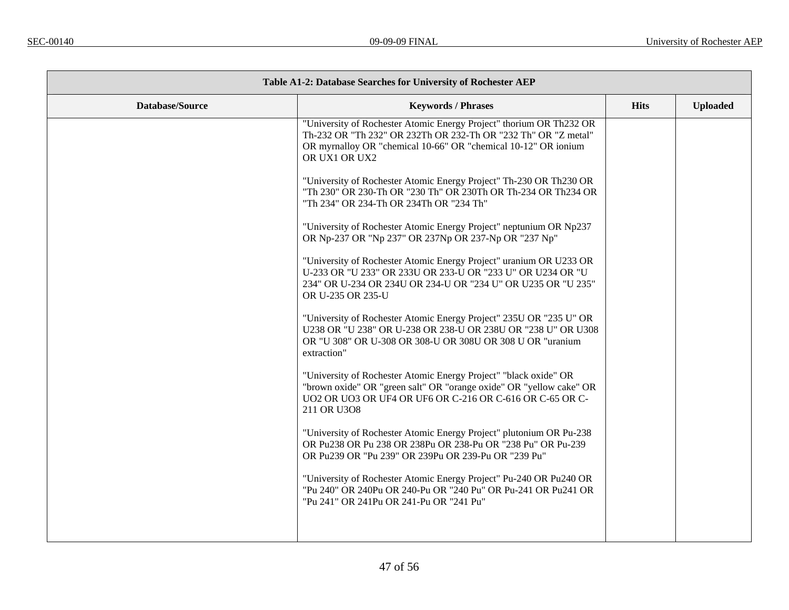| Table A1-2: Database Searches for University of Rochester AEP |                                                                                                                                                                                                                          |             |                 |
|---------------------------------------------------------------|--------------------------------------------------------------------------------------------------------------------------------------------------------------------------------------------------------------------------|-------------|-----------------|
| <b>Database/Source</b>                                        | <b>Keywords / Phrases</b>                                                                                                                                                                                                | <b>Hits</b> | <b>Uploaded</b> |
|                                                               | "University of Rochester Atomic Energy Project" thorium OR Th232 OR<br>Th-232 OR "Th 232" OR 232Th OR 232-Th OR "232 Th" OR "Z metal"<br>OR myrnalloy OR "chemical 10-66" OR "chemical 10-12" OR ionium<br>OR UX1 OR UX2 |             |                 |
|                                                               | "University of Rochester Atomic Energy Project" Th-230 OR Th230 OR<br>"Th 230" OR 230-Th OR "230 Th" OR 230Th OR Th-234 OR Th234 OR<br>"Th 234" OR 234-Th OR 234Th OR "234 Th"                                           |             |                 |
|                                                               | "University of Rochester Atomic Energy Project" neptunium OR Np237<br>OR Np-237 OR "Np 237" OR 237Np OR 237-Np OR "237 Np"                                                                                               |             |                 |
|                                                               | "University of Rochester Atomic Energy Project" uranium OR U233 OR<br>U-233 OR "U 233" OR 233U OR 233-U OR "233 U" OR U234 OR "U<br>234" OR U-234 OR 234U OR 234-U OR "234 U" OR U235 OR "U 235"<br>OR U-235 OR 235-U    |             |                 |
|                                                               | "University of Rochester Atomic Energy Project" 235U OR "235 U" OR<br>U238 OR "U 238" OR U-238 OR 238-U OR 238U OR "238 U" OR U308<br>OR "U 308" OR U-308 OR 308-U OR 308U OR 308 U OR "uranium<br>extraction"           |             |                 |
|                                                               | "University of Rochester Atomic Energy Project" "black oxide" OR<br>"brown oxide" OR "green salt" OR "orange oxide" OR "yellow cake" OR<br>UO2 OR UO3 OR UF4 OR UF6 OR C-216 OR C-616 OR C-65 OR C-<br>211 OR U3O8       |             |                 |
|                                                               | "University of Rochester Atomic Energy Project" plutonium OR Pu-238<br>OR Pu238 OR Pu 238 OR 238Pu OR 238-Pu OR "238 Pu" OR Pu-239<br>OR Pu239 OR "Pu 239" OR 239Pu OR 239-Pu OR "239 Pu"                                |             |                 |
|                                                               | "University of Rochester Atomic Energy Project" Pu-240 OR Pu240 OR<br>"Pu 240" OR 240Pu OR 240-Pu OR "240 Pu" OR Pu-241 OR Pu241 OR<br>"Pu 241" OR 241Pu OR 241-Pu OR "241 Pu"                                           |             |                 |
|                                                               |                                                                                                                                                                                                                          |             |                 |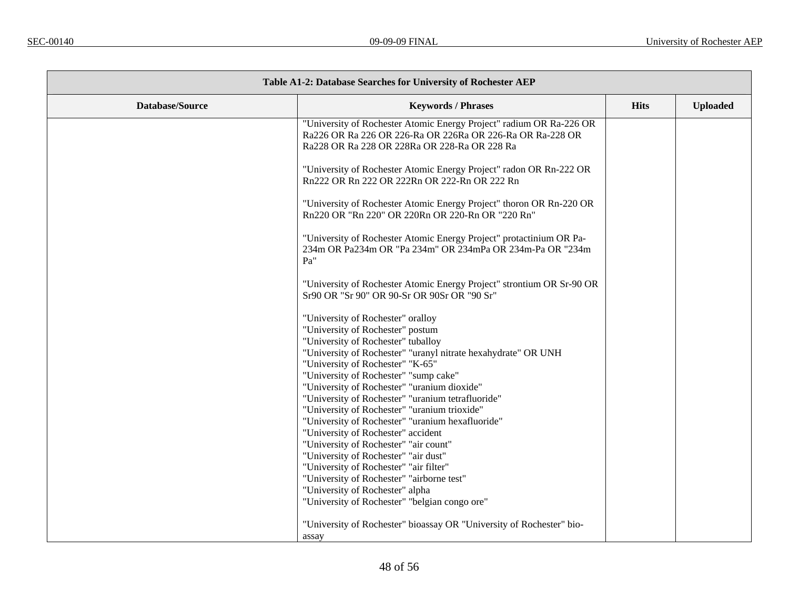| Table A1-2: Database Searches for University of Rochester AEP |                                                                                                                                                                                                                                                                                                                                                                                                                                                                                                                                                                                                                                                                                                                                                                     |             |                 |
|---------------------------------------------------------------|---------------------------------------------------------------------------------------------------------------------------------------------------------------------------------------------------------------------------------------------------------------------------------------------------------------------------------------------------------------------------------------------------------------------------------------------------------------------------------------------------------------------------------------------------------------------------------------------------------------------------------------------------------------------------------------------------------------------------------------------------------------------|-------------|-----------------|
| Database/Source                                               | <b>Keywords / Phrases</b>                                                                                                                                                                                                                                                                                                                                                                                                                                                                                                                                                                                                                                                                                                                                           | <b>Hits</b> | <b>Uploaded</b> |
|                                                               | "University of Rochester Atomic Energy Project" radium OR Ra-226 OR<br>Ra226 OR Ra 226 OR 226-Ra OR 226Ra OR 226-Ra OR Ra-228 OR<br>Ra228 OR Ra 228 OR 228Ra OR 228-Ra OR 228 Ra                                                                                                                                                                                                                                                                                                                                                                                                                                                                                                                                                                                    |             |                 |
|                                                               | "University of Rochester Atomic Energy Project" radon OR Rn-222 OR<br>Rn222 OR Rn 222 OR 222Rn OR 222-Rn OR 222 Rn                                                                                                                                                                                                                                                                                                                                                                                                                                                                                                                                                                                                                                                  |             |                 |
|                                                               | "University of Rochester Atomic Energy Project" thoron OR Rn-220 OR<br>Rn220 OR "Rn 220" OR 220Rn OR 220-Rn OR "220 Rn"                                                                                                                                                                                                                                                                                                                                                                                                                                                                                                                                                                                                                                             |             |                 |
|                                                               | "University of Rochester Atomic Energy Project" protactinium OR Pa-<br>234m OR Pa234m OR "Pa 234m" OR 234mPa OR 234m-Pa OR "234m<br>Pa"                                                                                                                                                                                                                                                                                                                                                                                                                                                                                                                                                                                                                             |             |                 |
|                                                               | "University of Rochester Atomic Energy Project" strontium OR Sr-90 OR<br>Sr90 OR "Sr 90" OR 90-Sr OR 90Sr OR "90 Sr"                                                                                                                                                                                                                                                                                                                                                                                                                                                                                                                                                                                                                                                |             |                 |
|                                                               | "University of Rochester" oralloy<br>"University of Rochester" postum<br>"University of Rochester" tuballoy<br>"University of Rochester" "uranyl nitrate hexahydrate" OR UNH<br>"University of Rochester" "K-65"<br>"University of Rochester" "sump cake"<br>"University of Rochester" "uranium dioxide"<br>"University of Rochester" "uranium tetrafluoride"<br>"University of Rochester" "uranium trioxide"<br>"University of Rochester" "uranium hexafluoride"<br>"University of Rochester" accident<br>"University of Rochester" "air count"<br>"University of Rochester" "air dust"<br>"University of Rochester" "air filter"<br>"University of Rochester" "airborne test"<br>"University of Rochester" alpha<br>"University of Rochester" "belgian congo ore" |             |                 |
|                                                               | "University of Rochester" bioassay OR "University of Rochester" bio-<br>assay                                                                                                                                                                                                                                                                                                                                                                                                                                                                                                                                                                                                                                                                                       |             |                 |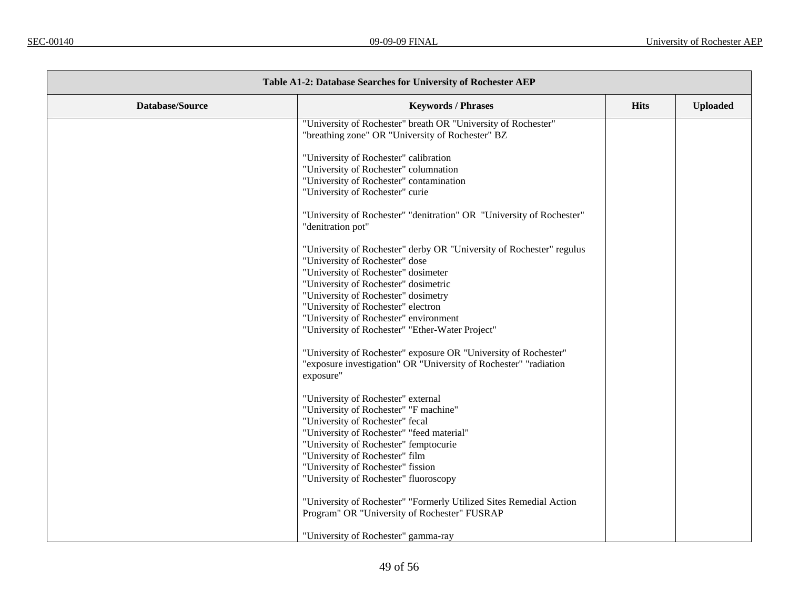| Table A1-2: Database Searches for University of Rochester AEP |                                                                      |             |                 |
|---------------------------------------------------------------|----------------------------------------------------------------------|-------------|-----------------|
| Database/Source                                               | <b>Keywords / Phrases</b>                                            | <b>Hits</b> | <b>Uploaded</b> |
|                                                               | "University of Rochester" breath OR "University of Rochester"        |             |                 |
|                                                               | "breathing zone" OR "University of Rochester" BZ                     |             |                 |
|                                                               | "University of Rochester" calibration                                |             |                 |
|                                                               | "University of Rochester" columnation                                |             |                 |
|                                                               | "University of Rochester" contamination                              |             |                 |
|                                                               | "University of Rochester" curie                                      |             |                 |
|                                                               | "University of Rochester" "denitration" OR "University of Rochester" |             |                 |
|                                                               | "denitration pot"                                                    |             |                 |
|                                                               | "University of Rochester" derby OR "University of Rochester" regulus |             |                 |
|                                                               | "University of Rochester" dose                                       |             |                 |
|                                                               | "University of Rochester" dosimeter                                  |             |                 |
|                                                               | "University of Rochester" dosimetric                                 |             |                 |
|                                                               | "University of Rochester" dosimetry                                  |             |                 |
|                                                               | "University of Rochester" electron                                   |             |                 |
|                                                               | "University of Rochester" environment                                |             |                 |
|                                                               | "University of Rochester" "Ether-Water Project"                      |             |                 |
|                                                               | "University of Rochester" exposure OR "University of Rochester"      |             |                 |
|                                                               | "exposure investigation" OR "University of Rochester" "radiation     |             |                 |
|                                                               | exposure"                                                            |             |                 |
|                                                               | "University of Rochester" external                                   |             |                 |
|                                                               | "University of Rochester" "F machine"                                |             |                 |
|                                                               | "University of Rochester" fecal                                      |             |                 |
|                                                               | "University of Rochester" "feed material"                            |             |                 |
|                                                               | "University of Rochester" femptocurie                                |             |                 |
|                                                               | "University of Rochester" film                                       |             |                 |
|                                                               | "University of Rochester" fission                                    |             |                 |
|                                                               | "University of Rochester" fluoroscopy                                |             |                 |
|                                                               | "University of Rochester" "Formerly Utilized Sites Remedial Action   |             |                 |
|                                                               | Program" OR "University of Rochester" FUSRAP                         |             |                 |
|                                                               | "University of Rochester" gamma-ray                                  |             |                 |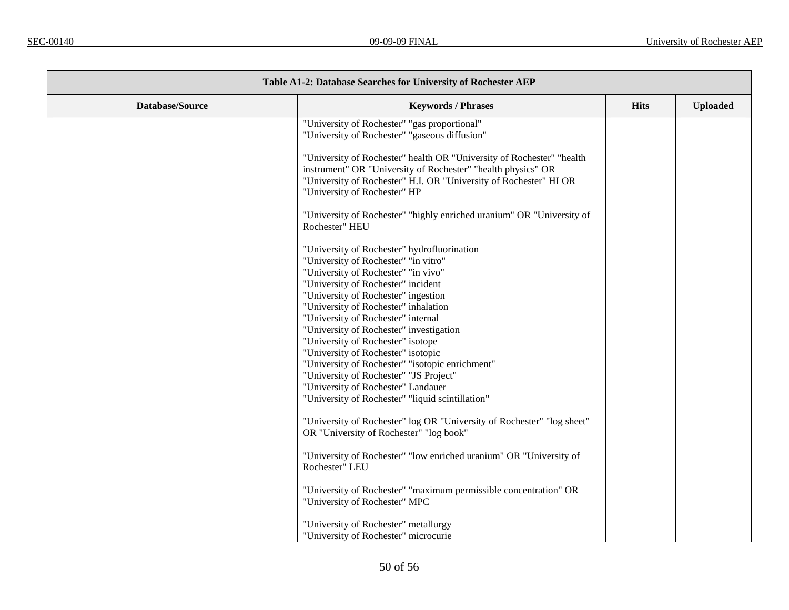| Table A1-2: Database Searches for University of Rochester AEP |                                                                        |             |                 |
|---------------------------------------------------------------|------------------------------------------------------------------------|-------------|-----------------|
| Database/Source                                               | <b>Keywords / Phrases</b>                                              | <b>Hits</b> | <b>Uploaded</b> |
|                                                               | "University of Rochester" "gas proportional"                           |             |                 |
|                                                               | "University of Rochester" "gaseous diffusion"                          |             |                 |
|                                                               | "University of Rochester" health OR "University of Rochester" "health  |             |                 |
|                                                               | instrument" OR "University of Rochester" "health physics" OR           |             |                 |
|                                                               | "University of Rochester" H.I. OR "University of Rochester" HI OR      |             |                 |
|                                                               | "University of Rochester" HP                                           |             |                 |
|                                                               | "University of Rochester" "highly enriched uranium" OR "University of  |             |                 |
|                                                               | Rochester" HEU                                                         |             |                 |
|                                                               |                                                                        |             |                 |
|                                                               | "University of Rochester" hydrofluorination                            |             |                 |
|                                                               | "University of Rochester" "in vitro"                                   |             |                 |
|                                                               | "University of Rochester" "in vivo"                                    |             |                 |
|                                                               | "University of Rochester" incident                                     |             |                 |
|                                                               | "University of Rochester" ingestion                                    |             |                 |
|                                                               | "University of Rochester" inhalation                                   |             |                 |
|                                                               | "University of Rochester" internal                                     |             |                 |
|                                                               | "University of Rochester" investigation                                |             |                 |
|                                                               | "University of Rochester" isotope                                      |             |                 |
|                                                               | "University of Rochester" isotopic                                     |             |                 |
|                                                               | "University of Rochester" "isotopic enrichment"                        |             |                 |
|                                                               | "University of Rochester" "JS Project"                                 |             |                 |
|                                                               | "University of Rochester" Landauer                                     |             |                 |
|                                                               | "University of Rochester" "liquid scintillation"                       |             |                 |
|                                                               | "University of Rochester" log OR "University of Rochester" "log sheet" |             |                 |
|                                                               | OR "University of Rochester" "log book"                                |             |                 |
|                                                               | "University of Rochester" "low enriched uranium" OR "University of     |             |                 |
|                                                               | Rochester" LEU                                                         |             |                 |
|                                                               |                                                                        |             |                 |
|                                                               | "University of Rochester" "maximum permissible concentration" OR       |             |                 |
|                                                               | "University of Rochester" MPC                                          |             |                 |
|                                                               | "University of Rochester" metallurgy                                   |             |                 |
|                                                               | "University of Rochester" microcurie                                   |             |                 |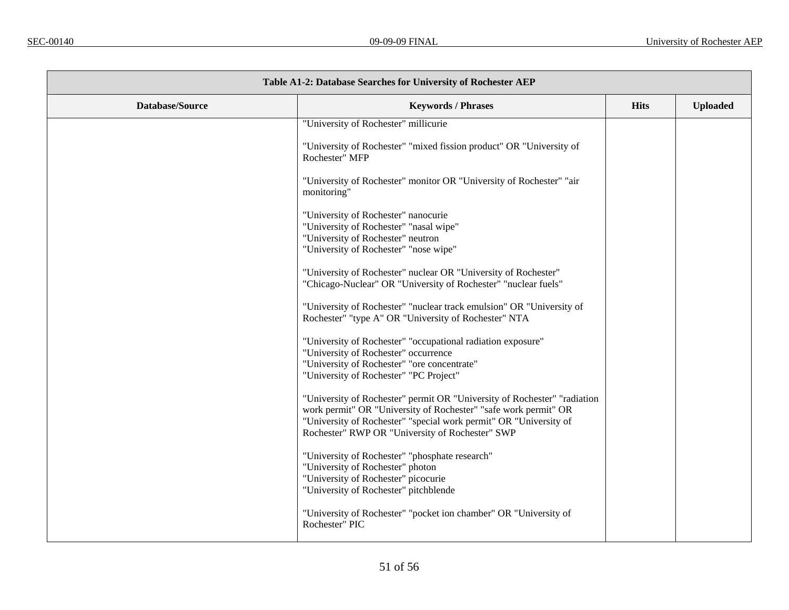| Table A1-2: Database Searches for University of Rochester AEP |                                                                                                                                                                                                                                                                     |             |                 |
|---------------------------------------------------------------|---------------------------------------------------------------------------------------------------------------------------------------------------------------------------------------------------------------------------------------------------------------------|-------------|-----------------|
| Database/Source                                               | <b>Keywords / Phrases</b>                                                                                                                                                                                                                                           | <b>Hits</b> | <b>Uploaded</b> |
|                                                               | "University of Rochester" millicurie                                                                                                                                                                                                                                |             |                 |
|                                                               | "University of Rochester" "mixed fission product" OR "University of<br>Rochester" MFP                                                                                                                                                                               |             |                 |
|                                                               | "University of Rochester" monitor OR "University of Rochester" "air<br>monitoring"                                                                                                                                                                                  |             |                 |
|                                                               | "University of Rochester" nanocurie<br>"University of Rochester" "nasal wipe"<br>"University of Rochester" neutron<br>"University of Rochester" "nose wipe"                                                                                                         |             |                 |
|                                                               | "University of Rochester" nuclear OR "University of Rochester"<br>"Chicago-Nuclear" OR "University of Rochester" "nuclear fuels"                                                                                                                                    |             |                 |
|                                                               | "University of Rochester" "nuclear track emulsion" OR "University of<br>Rochester" "type A" OR "University of Rochester" NTA                                                                                                                                        |             |                 |
|                                                               | "University of Rochester" "occupational radiation exposure"<br>"University of Rochester" occurrence<br>"University of Rochester" "ore concentrate"<br>"University of Rochester" "PC Project"                                                                        |             |                 |
|                                                               | "University of Rochester" permit OR "University of Rochester" "radiation<br>work permit" OR "University of Rochester" "safe work permit" OR<br>"University of Rochester" "special work permit" OR "University of<br>Rochester" RWP OR "University of Rochester" SWP |             |                 |
|                                                               | "University of Rochester" "phosphate research"<br>"University of Rochester" photon<br>"University of Rochester" picocurie<br>"University of Rochester" pitchblende                                                                                                  |             |                 |
|                                                               | "University of Rochester" "pocket ion chamber" OR "University of<br>Rochester" PIC                                                                                                                                                                                  |             |                 |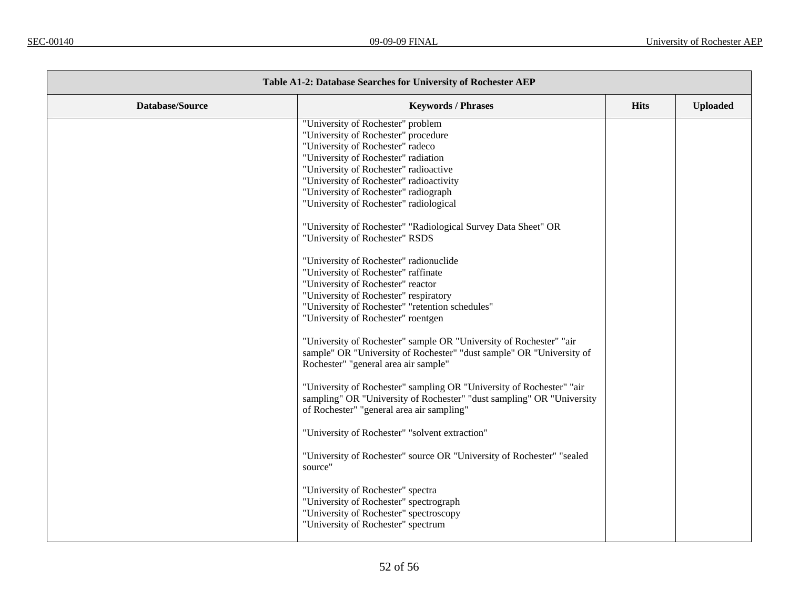| Table A1-2: Database Searches for University of Rochester AEP |                                                                                                                                                                                                                                                                                                                                                                                                                                                                                                                                                                                                                                                                                                                                                                                                                                                                                                                                                                                                                                                                                                                                                                                                                                                                                                                                                                               |             |                 |
|---------------------------------------------------------------|-------------------------------------------------------------------------------------------------------------------------------------------------------------------------------------------------------------------------------------------------------------------------------------------------------------------------------------------------------------------------------------------------------------------------------------------------------------------------------------------------------------------------------------------------------------------------------------------------------------------------------------------------------------------------------------------------------------------------------------------------------------------------------------------------------------------------------------------------------------------------------------------------------------------------------------------------------------------------------------------------------------------------------------------------------------------------------------------------------------------------------------------------------------------------------------------------------------------------------------------------------------------------------------------------------------------------------------------------------------------------------|-------------|-----------------|
| Database/Source                                               | <b>Keywords / Phrases</b>                                                                                                                                                                                                                                                                                                                                                                                                                                                                                                                                                                                                                                                                                                                                                                                                                                                                                                                                                                                                                                                                                                                                                                                                                                                                                                                                                     | <b>Hits</b> | <b>Uploaded</b> |
|                                                               | "University of Rochester" problem<br>"University of Rochester" procedure<br>"University of Rochester" radeco<br>"University of Rochester" radiation<br>"University of Rochester" radioactive<br>"University of Rochester" radioactivity<br>"University of Rochester" radiograph<br>"University of Rochester" radiological<br>"University of Rochester" "Radiological Survey Data Sheet" OR<br>"University of Rochester" RSDS<br>"University of Rochester" radionuclide<br>"University of Rochester" raffinate<br>"University of Rochester" reactor<br>"University of Rochester" respiratory<br>"University of Rochester" "retention schedules"<br>"University of Rochester" roentgen<br>"University of Rochester" sample OR "University of Rochester" "air<br>sample" OR "University of Rochester" "dust sample" OR "University of<br>Rochester" "general area air sample"<br>"University of Rochester" sampling OR "University of Rochester" "air<br>sampling" OR "University of Rochester" "dust sampling" OR "University<br>of Rochester" "general area air sampling"<br>"University of Rochester" "solvent extraction"<br>"University of Rochester" source OR "University of Rochester" "sealed<br>source"<br>"University of Rochester" spectra<br>"University of Rochester" spectrograph<br>"University of Rochester" spectroscopy<br>"University of Rochester" spectrum |             |                 |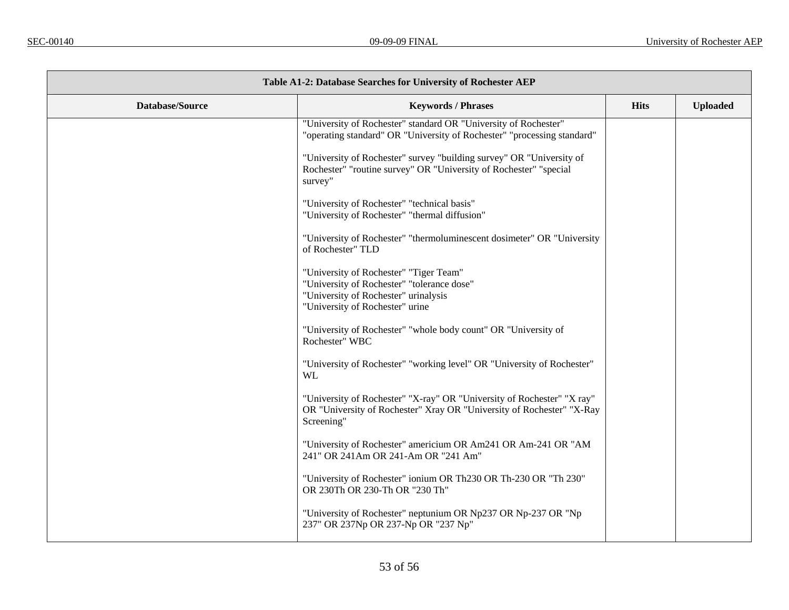| Table A1-2: Database Searches for University of Rochester AEP |                                                                                                                                                                 |             |                 |
|---------------------------------------------------------------|-----------------------------------------------------------------------------------------------------------------------------------------------------------------|-------------|-----------------|
| Database/Source                                               | <b>Keywords / Phrases</b>                                                                                                                                       | <b>Hits</b> | <b>Uploaded</b> |
|                                                               | "University of Rochester" standard OR "University of Rochester"<br>"operating standard" OR "University of Rochester" "processing standard"                      |             |                 |
|                                                               | "University of Rochester" survey "building survey" OR "University of<br>Rochester" "routine survey" OR "University of Rochester" "special<br>survey"            |             |                 |
|                                                               | "University of Rochester" "technical basis"<br>"University of Rochester" "thermal diffusion"                                                                    |             |                 |
|                                                               | "University of Rochester" "thermoluminescent dosimeter" OR "University<br>of Rochester" TLD                                                                     |             |                 |
|                                                               | "University of Rochester" "Tiger Team"<br>"University of Rochester" "tolerance dose"<br>"University of Rochester" urinalysis<br>"University of Rochester" urine |             |                 |
|                                                               | "University of Rochester" "whole body count" OR "University of<br>Rochester" WBC                                                                                |             |                 |
|                                                               | "University of Rochester" "working level" OR "University of Rochester"<br><b>WL</b>                                                                             |             |                 |
|                                                               | "University of Rochester" "X-ray" OR "University of Rochester" "X ray"<br>OR "University of Rochester" Xray OR "University of Rochester" "X-Ray<br>Screening"   |             |                 |
|                                                               | "University of Rochester" americium OR Am241 OR Am-241 OR "AM<br>241" OR 241Am OR 241-Am OR "241 Am"                                                            |             |                 |
|                                                               | "University of Rochester" ionium OR Th230 OR Th-230 OR "Th 230"<br>OR 230Th OR 230-Th OR "230 Th"                                                               |             |                 |
|                                                               | "University of Rochester" neptunium OR Np237 OR Np-237 OR "Np<br>237" OR 237Np OR 237-Np OR "237 Np"                                                            |             |                 |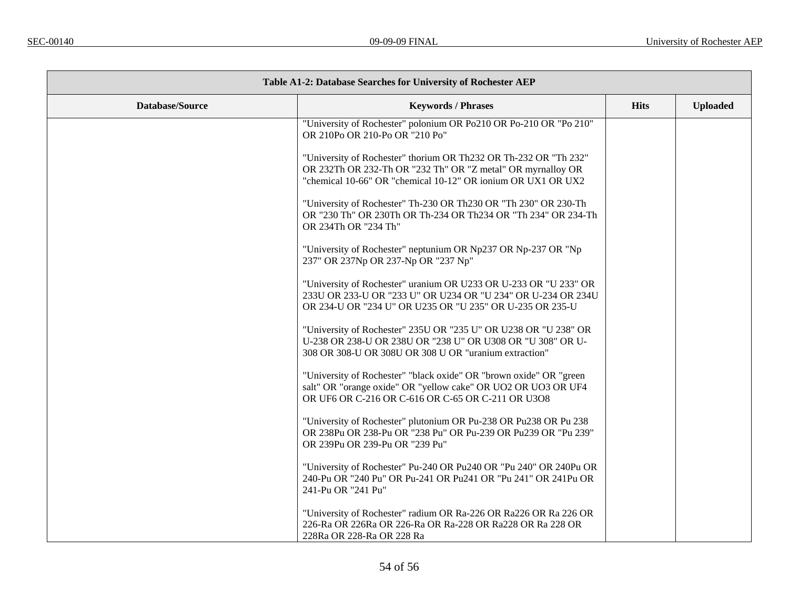| Table A1-2: Database Searches for University of Rochester AEP |                                                                                                                                                                                                 |             |                 |
|---------------------------------------------------------------|-------------------------------------------------------------------------------------------------------------------------------------------------------------------------------------------------|-------------|-----------------|
| Database/Source                                               | <b>Keywords / Phrases</b>                                                                                                                                                                       | <b>Hits</b> | <b>Uploaded</b> |
|                                                               | "University of Rochester" polonium OR Po210 OR Po-210 OR "Po 210"<br>OR 210Po OR 210-Po OR "210 Po"                                                                                             |             |                 |
|                                                               | "University of Rochester" thorium OR Th232 OR Th-232 OR "Th 232"<br>OR 232Th OR 232-Th OR "232 Th" OR "Z metal" OR myrnalloy OR<br>"chemical 10-66" OR "chemical 10-12" OR ionium OR UX1 OR UX2 |             |                 |
|                                                               | "University of Rochester" Th-230 OR Th230 OR "Th 230" OR 230-Th<br>OR "230 Th" OR 230Th OR Th-234 OR Th234 OR "Th 234" OR 234-Th<br>OR 234Th OR "234 Th"                                        |             |                 |
|                                                               | "University of Rochester" neptunium OR Np237 OR Np-237 OR "Np<br>237" OR 237Np OR 237-Np OR "237 Np"                                                                                            |             |                 |
|                                                               | "University of Rochester" uranium OR U233 OR U-233 OR "U 233" OR<br>233U OR 233-U OR "233 U" OR U234 OR "U 234" OR U-234 OR 234U<br>OR 234-U OR "234 U" OR U235 OR "U 235" OR U-235 OR 235-U    |             |                 |
|                                                               | "University of Rochester" 235U OR "235 U" OR U238 OR "U 238" OR<br>U-238 OR 238-U OR 238U OR "238 U" OR U308 OR "U 308" OR U-<br>308 OR 308-U OR 308U OR 308 U OR "uranium extraction"          |             |                 |
|                                                               | "University of Rochester" "black oxide" OR "brown oxide" OR "green<br>salt" OR "orange oxide" OR "yellow cake" OR UO2 OR UO3 OR UF4<br>OR UF6 OR C-216 OR C-616 OR C-65 OR C-211 OR U3O8        |             |                 |
|                                                               | "University of Rochester" plutonium OR Pu-238 OR Pu238 OR Pu 238<br>OR 238Pu OR 238-Pu OR "238 Pu" OR Pu-239 OR Pu239 OR "Pu 239"<br>OR 239Pu OR 239-Pu OR "239 Pu"                             |             |                 |
|                                                               | "University of Rochester" Pu-240 OR Pu240 OR "Pu 240" OR 240Pu OR<br>240-Pu OR "240 Pu" OR Pu-241 OR Pu241 OR "Pu 241" OR 241Pu OR<br>241-Pu OR "241 Pu"                                        |             |                 |
|                                                               | "University of Rochester" radium OR Ra-226 OR Ra226 OR Ra 226 OR<br>226-Ra OR 226Ra OR 226-Ra OR Ra-228 OR Ra228 OR Ra 228 OR<br>228Ra OR 228-Ra OR 228 Ra                                      |             |                 |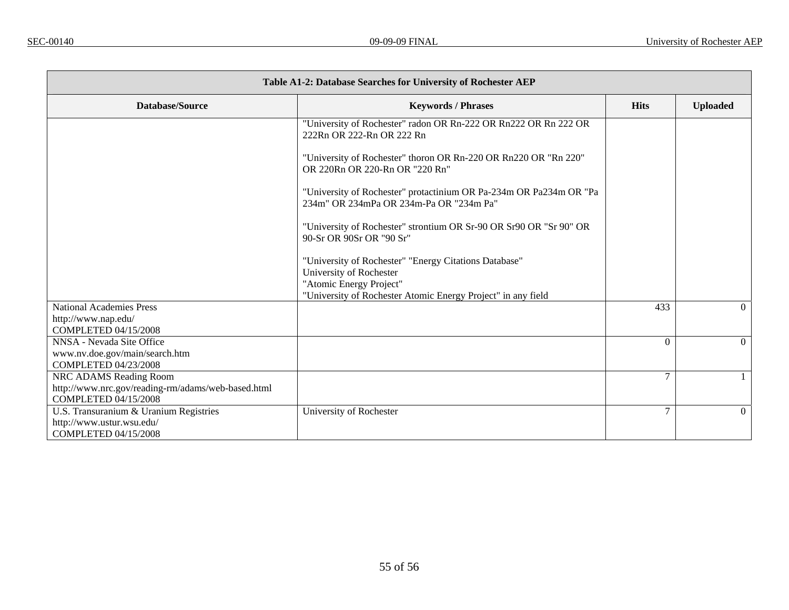| Table A1-2: Database Searches for University of Rochester AEP                                        |                                                                                                                                                                                                                                                                                                                                                                                                                                                                                                                                                                                                     |             |                 |
|------------------------------------------------------------------------------------------------------|-----------------------------------------------------------------------------------------------------------------------------------------------------------------------------------------------------------------------------------------------------------------------------------------------------------------------------------------------------------------------------------------------------------------------------------------------------------------------------------------------------------------------------------------------------------------------------------------------------|-------------|-----------------|
| Database/Source                                                                                      | <b>Keywords / Phrases</b>                                                                                                                                                                                                                                                                                                                                                                                                                                                                                                                                                                           | <b>Hits</b> | <b>Uploaded</b> |
|                                                                                                      | "University of Rochester" radon OR Rn-222 OR Rn222 OR Rn 222 OR<br>222Rn OR 222-Rn OR 222 Rn<br>"University of Rochester" thoron OR Rn-220 OR Rn220 OR "Rn 220"<br>OR 220Rn OR 220-Rn OR "220 Rn"<br>"University of Rochester" protactinium OR Pa-234m OR Pa234m OR "Pa<br>234m" OR 234mPa OR 234m-Pa OR "234m Pa"<br>"University of Rochester" strontium OR Sr-90 OR Sr90 OR "Sr 90" OR<br>90-Sr OR 90Sr OR "90 Sr"<br>"University of Rochester" "Energy Citations Database"<br>University of Rochester<br>"Atomic Energy Project"<br>"University of Rochester Atomic Energy Project" in any field |             |                 |
| <b>National Academies Press</b><br>http://www.nap.edu/<br>COMPLETED 04/15/2008                       |                                                                                                                                                                                                                                                                                                                                                                                                                                                                                                                                                                                                     | 433         | $\Omega$        |
| NNSA - Nevada Site Office<br>www.nv.doe.gov/main/search.htm<br>COMPLETED 04/23/2008                  |                                                                                                                                                                                                                                                                                                                                                                                                                                                                                                                                                                                                     | $\theta$    | $\Omega$        |
| NRC ADAMS Reading Room<br>http://www.nrc.gov/reading-rm/adams/web-based.html<br>COMPLETED 04/15/2008 |                                                                                                                                                                                                                                                                                                                                                                                                                                                                                                                                                                                                     | $\tau$      |                 |
| U.S. Transuranium & Uranium Registries<br>http://www.ustur.wsu.edu/<br>COMPLETED 04/15/2008          | University of Rochester                                                                                                                                                                                                                                                                                                                                                                                                                                                                                                                                                                             | $\tau$      | $\Omega$        |